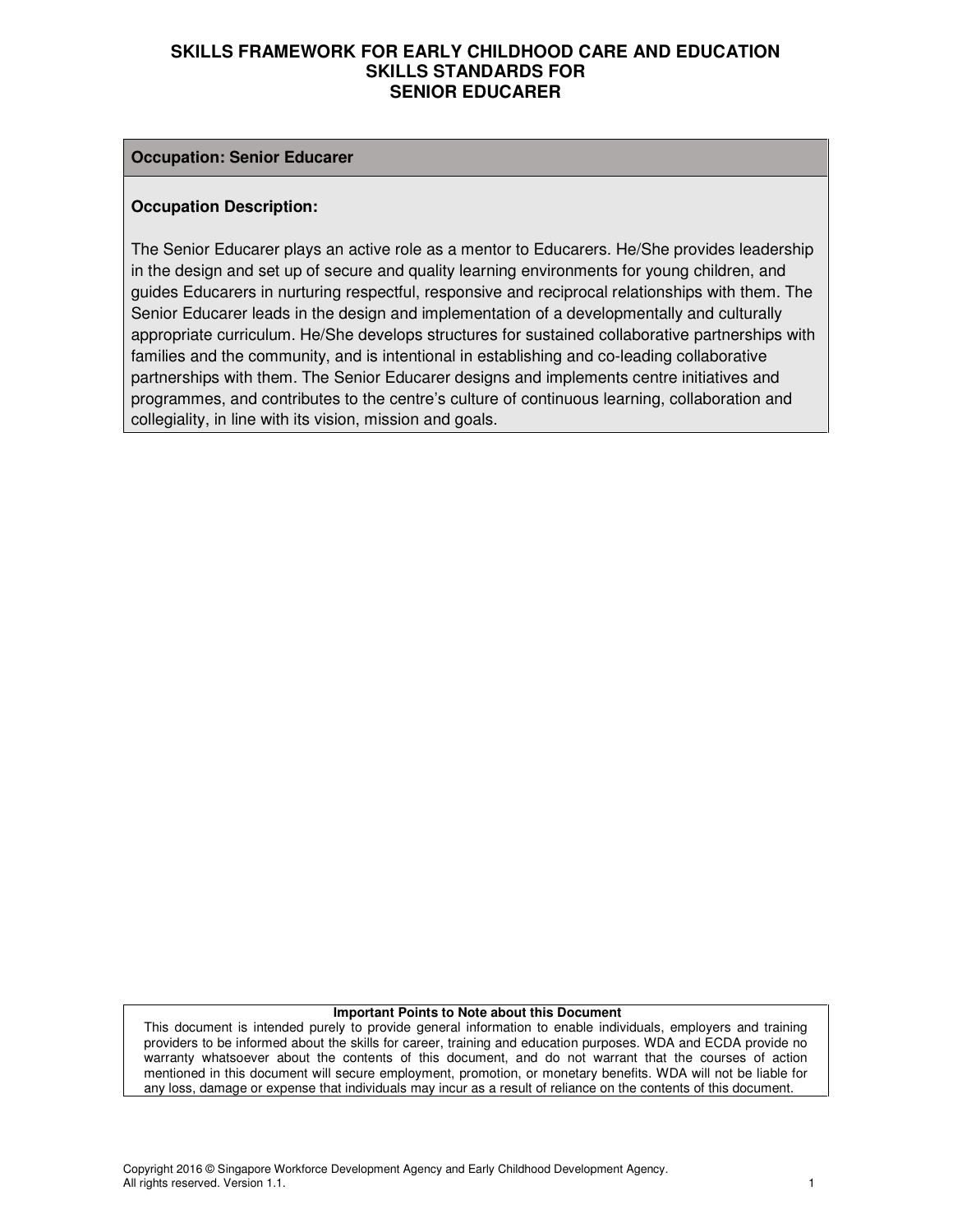#### **Occupation: Senior Educarer**

#### **Occupation Description:**

The Senior Educarer plays an active role as a mentor to Educarers. He/She provides leadership in the design and set up of secure and quality learning environments for young children, and guides Educarers in nurturing respectful, responsive and reciprocal relationships with them. The Senior Educarer leads in the design and implementation of a developmentally and culturally appropriate curriculum. He/She develops structures for sustained collaborative partnerships with families and the community, and is intentional in establishing and co-leading collaborative partnerships with them. The Senior Educarer designs and implements centre initiatives and programmes, and contributes to the centre's culture of continuous learning, collaboration and collegiality, in line with its vision, mission and goals.

#### **Important Points to Note about this Document**

This document is intended purely to provide general information to enable individuals, employers and training providers to be informed about the skills for career, training and education purposes. WDA and ECDA provide no warranty whatsoever about the contents of this document, and do not warrant that the courses of action mentioned in this document will secure employment, promotion, or monetary benefits. WDA will not be liable for any loss, damage or expense that individuals may incur as a result of reliance on the contents of this document.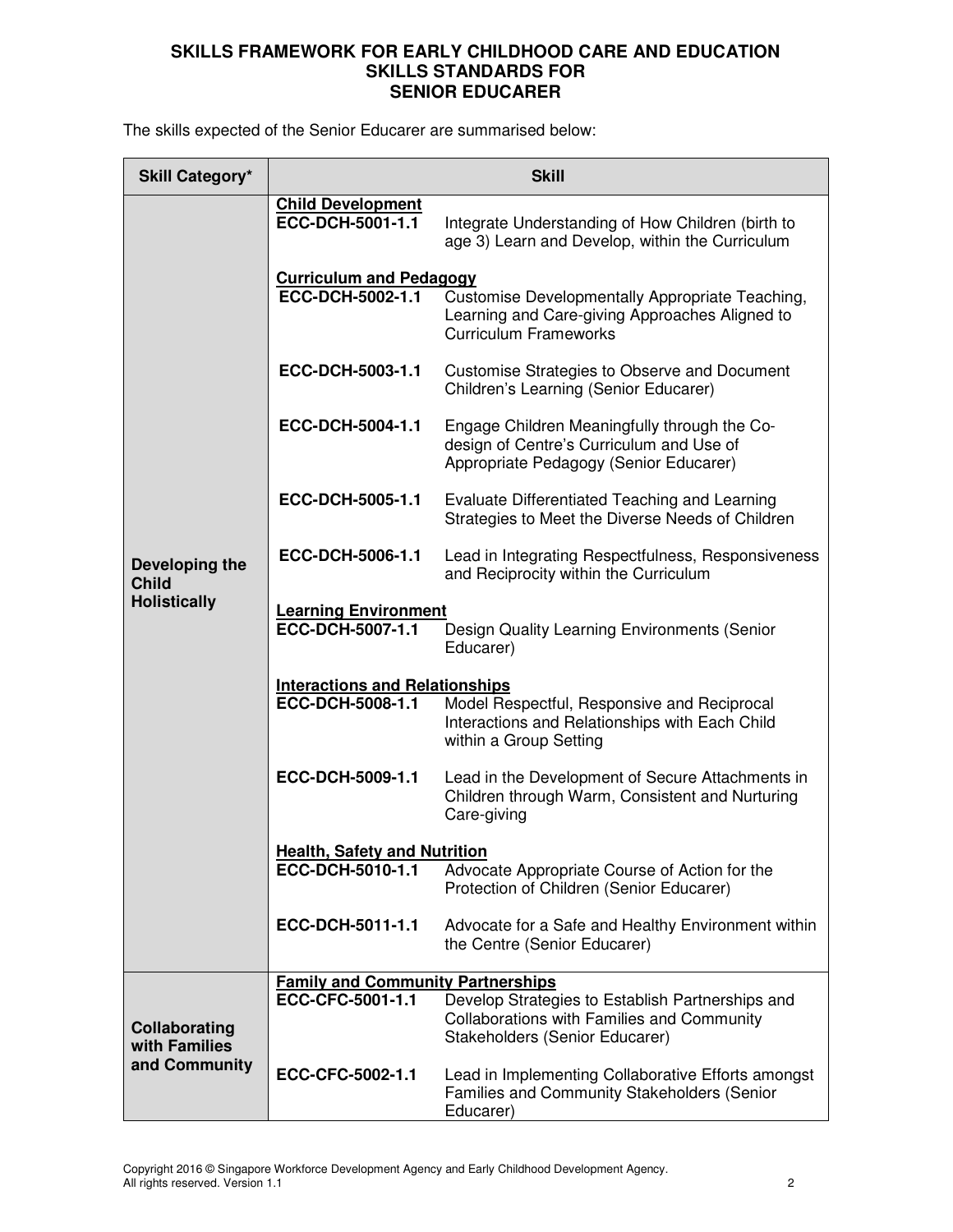The skills expected of the Senior Educarer are summarised below:

| <b>Skill Category*</b>                                | <b>Skill</b>                                    |                                                                                                                                         |  |  |
|-------------------------------------------------------|-------------------------------------------------|-----------------------------------------------------------------------------------------------------------------------------------------|--|--|
|                                                       | <b>Child Development</b><br>ECC-DCH-5001-1.1    | Integrate Understanding of How Children (birth to<br>age 3) Learn and Develop, within the Curriculum                                    |  |  |
|                                                       | <b>Curriculum and Pedagogy</b>                  |                                                                                                                                         |  |  |
|                                                       | ECC-DCH-5002-1.1                                | Customise Developmentally Appropriate Teaching,<br>Learning and Care-giving Approaches Aligned to<br><b>Curriculum Frameworks</b>       |  |  |
|                                                       | ECC-DCH-5003-1.1                                | Customise Strategies to Observe and Document<br>Children's Learning (Senior Educarer)                                                   |  |  |
|                                                       | ECC-DCH-5004-1.1                                | Engage Children Meaningfully through the Co-<br>design of Centre's Curriculum and Use of<br>Appropriate Pedagogy (Senior Educarer)      |  |  |
|                                                       | ECC-DCH-5005-1.1                                | Evaluate Differentiated Teaching and Learning<br>Strategies to Meet the Diverse Needs of Children                                       |  |  |
| Developing the<br><b>Child</b><br><b>Holistically</b> | ECC-DCH-5006-1.1                                | Lead in Integrating Respectfulness, Responsiveness<br>and Reciprocity within the Curriculum                                             |  |  |
|                                                       | <b>Learning Environment</b><br>ECC-DCH-5007-1.1 | Design Quality Learning Environments (Senior<br>Educarer)                                                                               |  |  |
|                                                       | <b>Interactions and Relationships</b>           |                                                                                                                                         |  |  |
|                                                       | ECC-DCH-5008-1.1                                | Model Respectful, Responsive and Reciprocal<br>Interactions and Relationships with Each Child<br>within a Group Setting                 |  |  |
|                                                       | ECC-DCH-5009-1.1                                | Lead in the Development of Secure Attachments in<br>Children through Warm, Consistent and Nurturing<br>Care-giving                      |  |  |
|                                                       | <b>Health, Safety and Nutrition</b>             |                                                                                                                                         |  |  |
|                                                       | ECC-DCH-5010-1.1                                | Advocate Appropriate Course of Action for the<br>Protection of Children (Senior Educarer)                                               |  |  |
|                                                       | ECC-DCH-5011-1.1                                | Advocate for a Safe and Healthy Environment within<br>the Centre (Senior Educarer)                                                      |  |  |
|                                                       | <b>Family and Community Partnerships</b>        |                                                                                                                                         |  |  |
| Collaborating<br>with Families                        | ECC-CFC-5001-1.1                                | Develop Strategies to Establish Partnerships and<br><b>Collaborations with Families and Community</b><br>Stakeholders (Senior Educarer) |  |  |
| and Community                                         | ECC-CFC-5002-1.1                                | Lead in Implementing Collaborative Efforts amongst<br>Families and Community Stakeholders (Senior<br>Educarer)                          |  |  |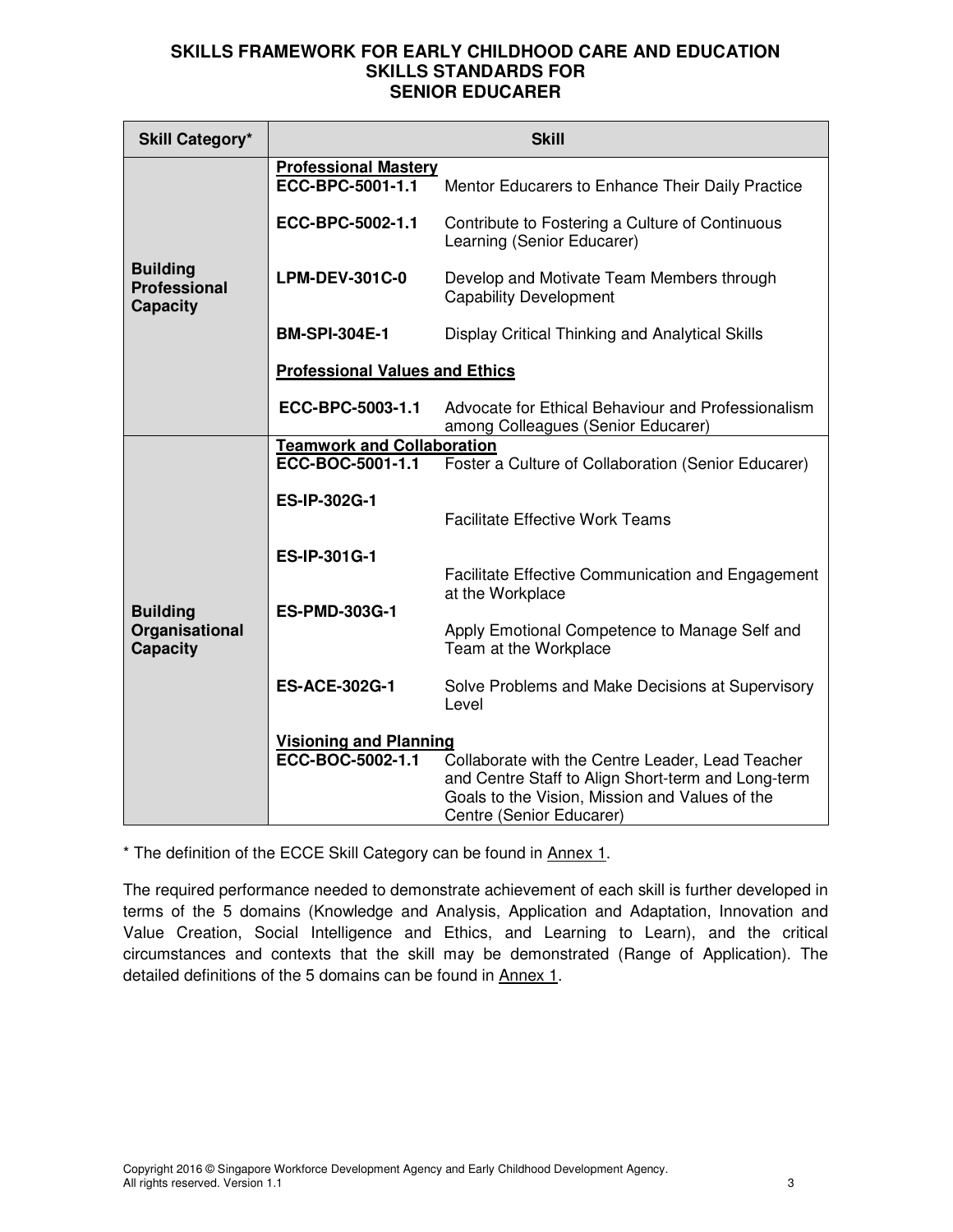| <b>Skill Category*</b>                                    | <b>Skill</b>                                      |                                                                                                                                                                                      |  |
|-----------------------------------------------------------|---------------------------------------------------|--------------------------------------------------------------------------------------------------------------------------------------------------------------------------------------|--|
|                                                           | <b>Professional Mastery</b><br>ECC-BPC-5001-1.1   | Mentor Educarers to Enhance Their Daily Practice                                                                                                                                     |  |
|                                                           | ECC-BPC-5002-1.1                                  | Contribute to Fostering a Culture of Continuous<br>Learning (Senior Educarer)                                                                                                        |  |
| <b>Building</b><br><b>Professional</b><br><b>Capacity</b> | <b>LPM-DEV-301C-0</b>                             | Develop and Motivate Team Members through<br><b>Capability Development</b>                                                                                                           |  |
|                                                           | <b>BM-SPI-304E-1</b>                              | Display Critical Thinking and Analytical Skills                                                                                                                                      |  |
|                                                           | <b>Professional Values and Ethics</b>             |                                                                                                                                                                                      |  |
|                                                           | ECC-BPC-5003-1.1                                  | Advocate for Ethical Behaviour and Professionalism<br>among Colleagues (Senior Educarer)                                                                                             |  |
|                                                           | <b>Teamwork and Collaboration</b>                 |                                                                                                                                                                                      |  |
|                                                           | ECC-BOC-5001-1.1                                  | Foster a Culture of Collaboration (Senior Educarer)                                                                                                                                  |  |
|                                                           | <b>ES-IP-302G-1</b>                               | <b>Facilitate Effective Work Teams</b>                                                                                                                                               |  |
|                                                           | ES-IP-301G-1                                      |                                                                                                                                                                                      |  |
|                                                           | <b>ES-PMD-303G-1</b>                              | Facilitate Effective Communication and Engagement<br>at the Workplace                                                                                                                |  |
| <b>Building</b><br>Organisational<br><b>Capacity</b>      |                                                   | Apply Emotional Competence to Manage Self and<br>Team at the Workplace                                                                                                               |  |
|                                                           | <b>ES-ACE-302G-1</b>                              | Solve Problems and Make Decisions at Supervisory<br>Level                                                                                                                            |  |
|                                                           | <b>Visioning and Planning</b><br>ECC-BOC-5002-1.1 | Collaborate with the Centre Leader, Lead Teacher<br>and Centre Staff to Align Short-term and Long-term<br>Goals to the Vision, Mission and Values of the<br>Centre (Senior Educarer) |  |

\* The definition of the ECCE Skill Category can be found in Annex 1.

The required performance needed to demonstrate achievement of each skill is further developed in terms of the 5 domains (Knowledge and Analysis, Application and Adaptation, Innovation and Value Creation, Social Intelligence and Ethics, and Learning to Learn), and the critical circumstances and contexts that the skill may be demonstrated (Range of Application). The detailed definitions of the 5 domains can be found in Annex 1.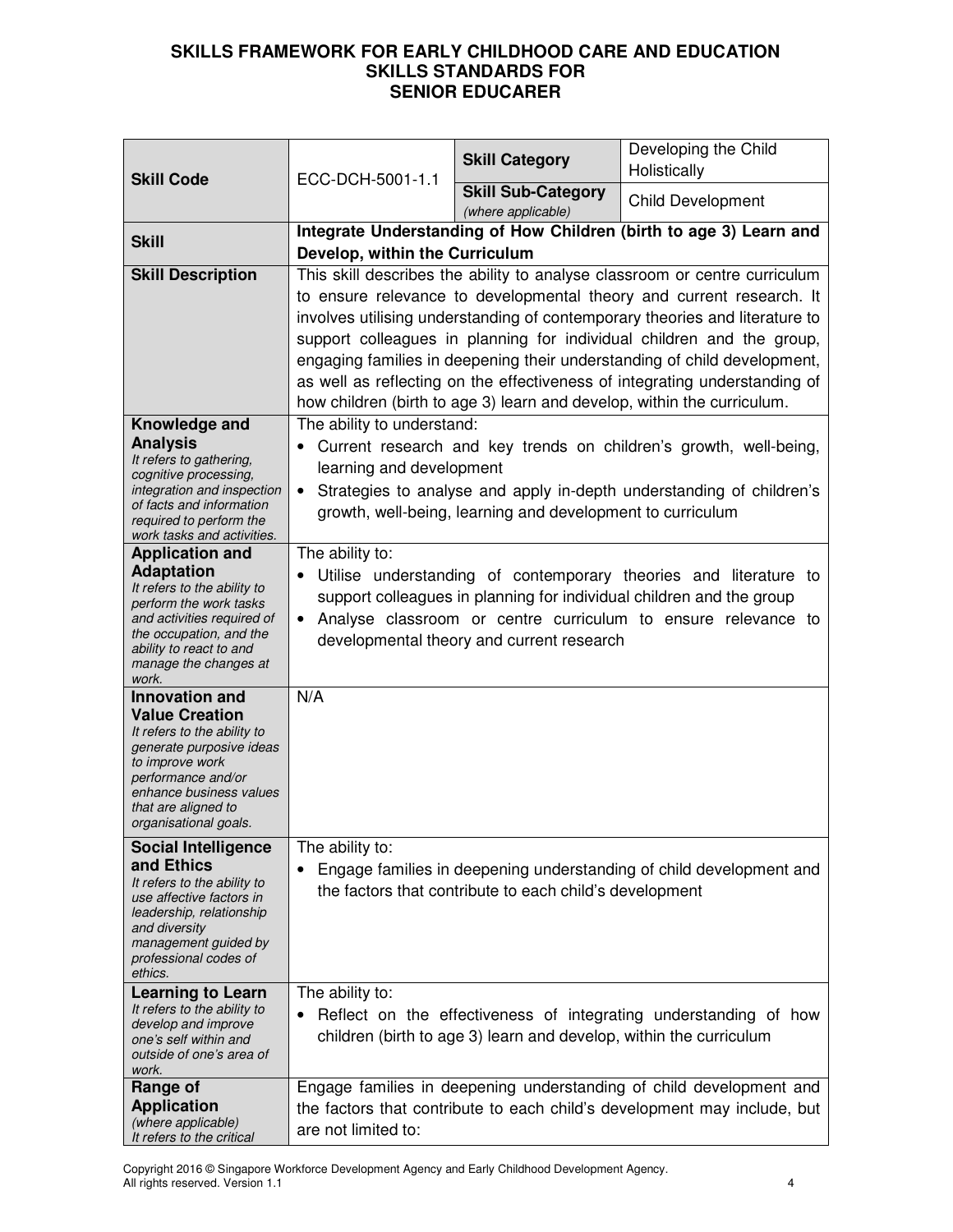|                                                         | ECC-DCH-5001-1.1                                                           | <b>Skill Category</b>                                              | Developing the Child<br>Holistically                                                                                                                   |  |
|---------------------------------------------------------|----------------------------------------------------------------------------|--------------------------------------------------------------------|--------------------------------------------------------------------------------------------------------------------------------------------------------|--|
| <b>Skill Code</b>                                       |                                                                            | <b>Skill Sub-Category</b><br>(where applicable)                    | <b>Child Development</b>                                                                                                                               |  |
| <b>Skill</b>                                            | Integrate Understanding of How Children (birth to age 3) Learn and         |                                                                    |                                                                                                                                                        |  |
|                                                         | Develop, within the Curriculum                                             |                                                                    |                                                                                                                                                        |  |
| <b>Skill Description</b>                                | This skill describes the ability to analyse classroom or centre curriculum |                                                                    |                                                                                                                                                        |  |
|                                                         | to ensure relevance to developmental theory and current research. It       |                                                                    |                                                                                                                                                        |  |
|                                                         |                                                                            |                                                                    | involves utilising understanding of contemporary theories and literature to                                                                            |  |
|                                                         |                                                                            |                                                                    | support colleagues in planning for individual children and the group,                                                                                  |  |
|                                                         |                                                                            |                                                                    | engaging families in deepening their understanding of child development,<br>as well as reflecting on the effectiveness of integrating understanding of |  |
|                                                         |                                                                            |                                                                    | how children (birth to age 3) learn and develop, within the curriculum.                                                                                |  |
| Knowledge and                                           | The ability to understand:                                                 |                                                                    |                                                                                                                                                        |  |
| <b>Analysis</b>                                         |                                                                            |                                                                    | Current research and key trends on children's growth, well-being,                                                                                      |  |
| It refers to gathering,                                 | learning and development                                                   |                                                                    |                                                                                                                                                        |  |
| cognitive processing,<br>integration and inspection     |                                                                            |                                                                    | Strategies to analyse and apply in-depth understanding of children's                                                                                   |  |
| of facts and information                                |                                                                            | growth, well-being, learning and development to curriculum         |                                                                                                                                                        |  |
| required to perform the<br>work tasks and activities.   |                                                                            |                                                                    |                                                                                                                                                        |  |
| <b>Application and</b>                                  | The ability to:                                                            |                                                                    |                                                                                                                                                        |  |
| <b>Adaptation</b><br>It refers to the ability to        |                                                                            |                                                                    | Utilise understanding of contemporary theories and literature to                                                                                       |  |
| perform the work tasks                                  | support colleagues in planning for individual children and the group       |                                                                    |                                                                                                                                                        |  |
| and activities required of<br>the occupation, and the   | • Analyse classroom or centre curriculum to ensure relevance to            |                                                                    |                                                                                                                                                        |  |
| ability to react to and                                 | developmental theory and current research                                  |                                                                    |                                                                                                                                                        |  |
| manage the changes at<br>work.                          |                                                                            |                                                                    |                                                                                                                                                        |  |
| Innovation and                                          | N/A                                                                        |                                                                    |                                                                                                                                                        |  |
| <b>Value Creation</b>                                   |                                                                            |                                                                    |                                                                                                                                                        |  |
| It refers to the ability to<br>generate purposive ideas |                                                                            |                                                                    |                                                                                                                                                        |  |
| to improve work                                         |                                                                            |                                                                    |                                                                                                                                                        |  |
| performance and/or<br>enhance business values           |                                                                            |                                                                    |                                                                                                                                                        |  |
| that are aligned to<br>organisational goals.            |                                                                            |                                                                    |                                                                                                                                                        |  |
|                                                         |                                                                            |                                                                    |                                                                                                                                                        |  |
| <b>Social Intelligence</b><br>and Ethics                | The ability to:                                                            |                                                                    | Engage families in deepening understanding of child development and                                                                                    |  |
| It refers to the ability to                             |                                                                            | the factors that contribute to each child's development            |                                                                                                                                                        |  |
| use affective factors in<br>leadership, relationship    |                                                                            |                                                                    |                                                                                                                                                        |  |
| and diversity                                           |                                                                            |                                                                    |                                                                                                                                                        |  |
| management guided by<br>professional codes of           |                                                                            |                                                                    |                                                                                                                                                        |  |
| ethics.                                                 |                                                                            |                                                                    |                                                                                                                                                        |  |
| <b>Learning to Learn</b><br>It refers to the ability to | The ability to:                                                            |                                                                    |                                                                                                                                                        |  |
| develop and improve                                     |                                                                            |                                                                    | Reflect on the effectiveness of integrating understanding of how                                                                                       |  |
| one's self within and<br>outside of one's area of       |                                                                            | children (birth to age 3) learn and develop, within the curriculum |                                                                                                                                                        |  |
| work.                                                   |                                                                            |                                                                    |                                                                                                                                                        |  |
| Range of                                                |                                                                            |                                                                    | Engage families in deepening understanding of child development and                                                                                    |  |
| <b>Application</b><br>(where applicable)                | the factors that contribute to each child's development may include, but   |                                                                    |                                                                                                                                                        |  |
| It refers to the critical                               | are not limited to:                                                        |                                                                    |                                                                                                                                                        |  |

Copyright 2016 © Singapore Workforce Development Agency and Early Childhood Development Agency. All rights reserved. Version 1.1 4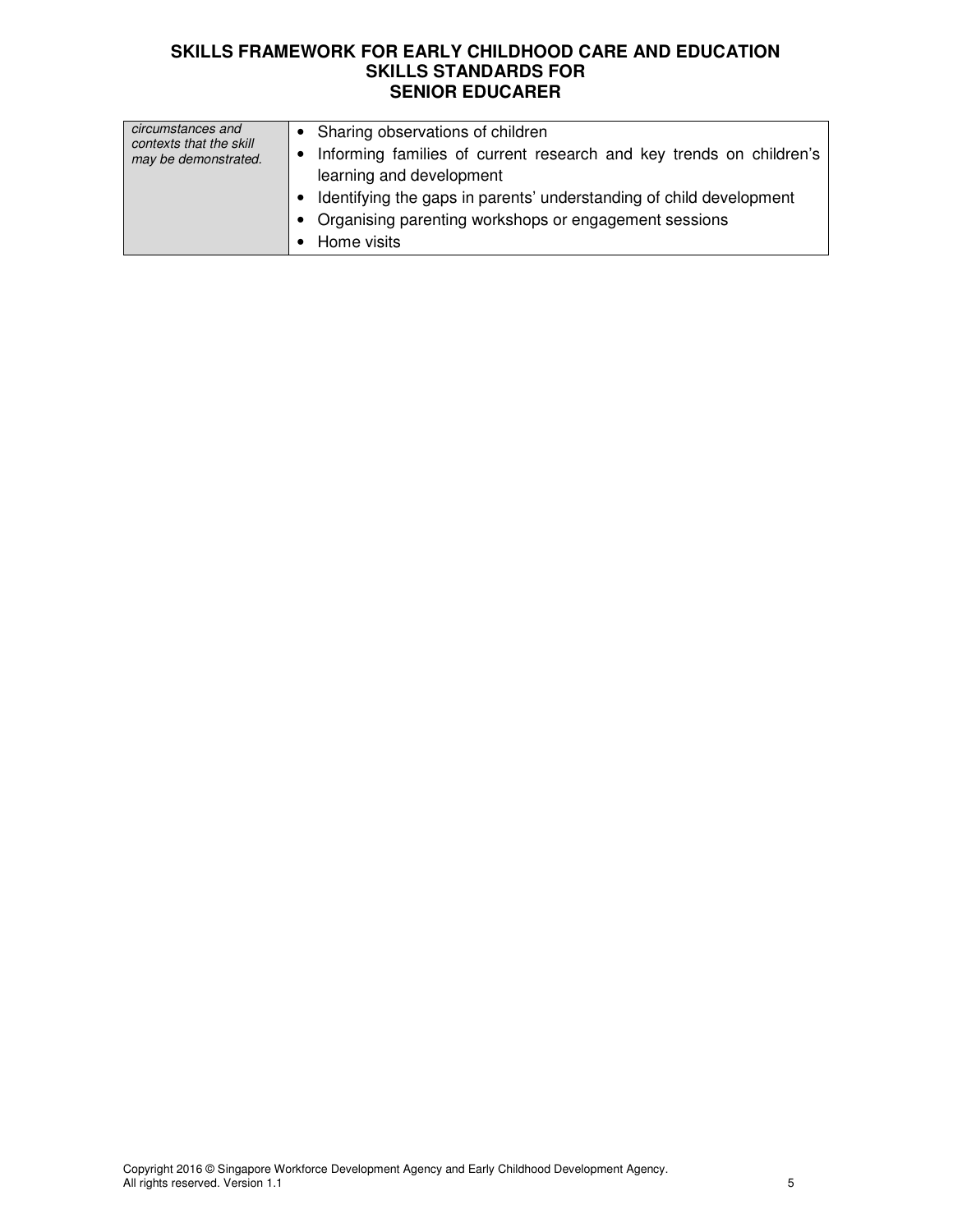| circumstances and<br>contexts that the skill<br>may be demonstrated. | • Sharing observations of children<br>• Informing families of current research and key trends on children's<br>learning and development<br>• Identifying the gaps in parents' understanding of child development<br>• Organising parenting workshops or engagement sessions<br>• Home visits |
|----------------------------------------------------------------------|----------------------------------------------------------------------------------------------------------------------------------------------------------------------------------------------------------------------------------------------------------------------------------------------|
|                                                                      |                                                                                                                                                                                                                                                                                              |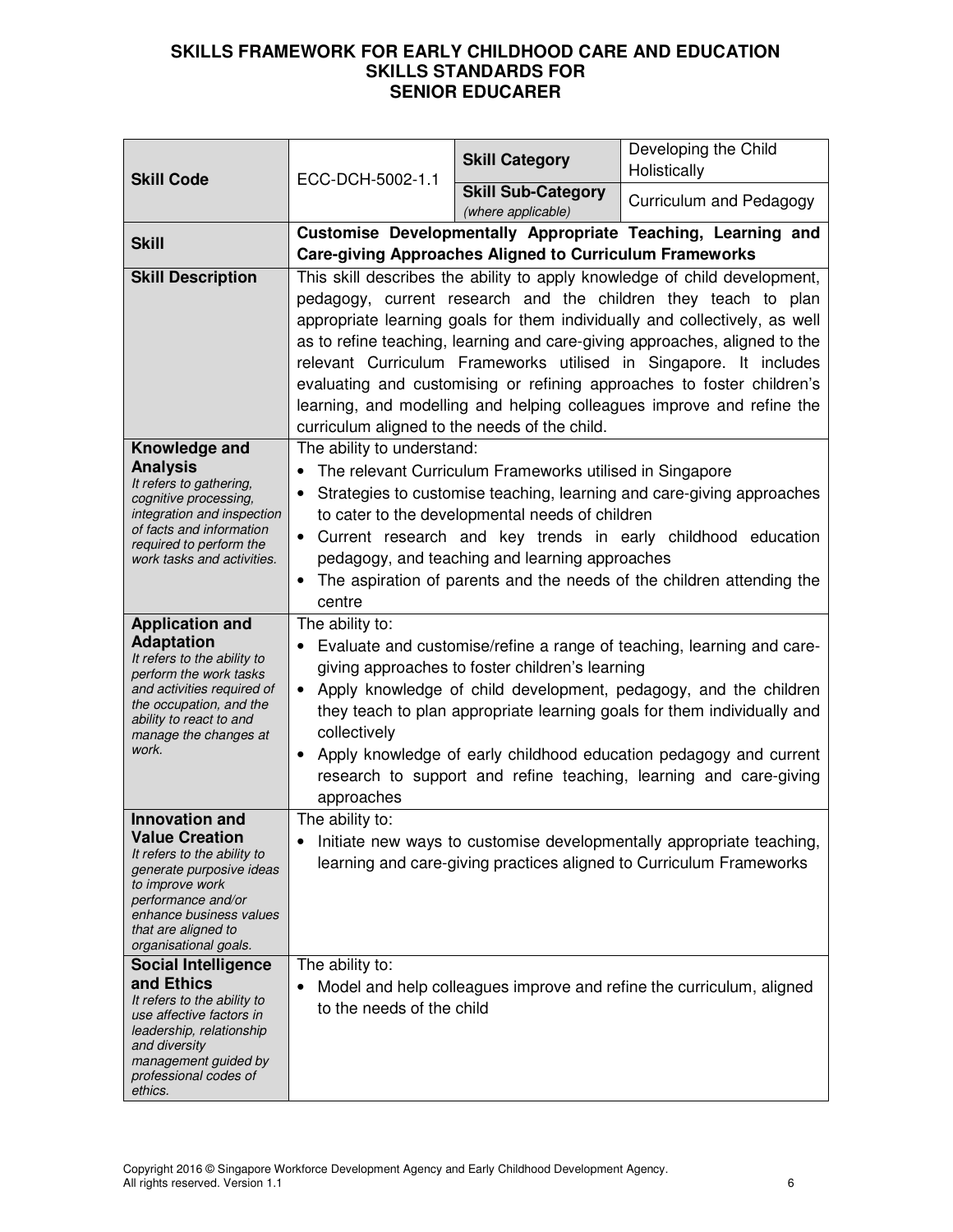| <b>Skill Code</b>                                                                                                                                                                                                             | ECC-DCH-5002-1.1                                                                                                                                                                                                                                                                                                                                                                                                                                                                                                                                                                 | <b>Skill Category</b>                                          | Developing the Child<br>Holistically                         |
|-------------------------------------------------------------------------------------------------------------------------------------------------------------------------------------------------------------------------------|----------------------------------------------------------------------------------------------------------------------------------------------------------------------------------------------------------------------------------------------------------------------------------------------------------------------------------------------------------------------------------------------------------------------------------------------------------------------------------------------------------------------------------------------------------------------------------|----------------------------------------------------------------|--------------------------------------------------------------|
|                                                                                                                                                                                                                               |                                                                                                                                                                                                                                                                                                                                                                                                                                                                                                                                                                                  | <b>Skill Sub-Category</b><br>(where applicable)                | Curriculum and Pedagogy                                      |
| <b>Skill</b>                                                                                                                                                                                                                  |                                                                                                                                                                                                                                                                                                                                                                                                                                                                                                                                                                                  | <b>Care-giving Approaches Aligned to Curriculum Frameworks</b> | Customise Developmentally Appropriate Teaching, Learning and |
| <b>Skill Description</b>                                                                                                                                                                                                      | This skill describes the ability to apply knowledge of child development,<br>pedagogy, current research and the children they teach to plan<br>appropriate learning goals for them individually and collectively, as well<br>as to refine teaching, learning and care-giving approaches, aligned to the<br>relevant Curriculum Frameworks utilised in Singapore. It includes<br>evaluating and customising or refining approaches to foster children's<br>learning, and modelling and helping colleagues improve and refine the<br>curriculum aligned to the needs of the child. |                                                                |                                                              |
| Knowledge and<br><b>Analysis</b><br>It refers to gathering,<br>cognitive processing,<br>integration and inspection<br>of facts and information<br>required to perform the<br>work tasks and activities.                       | The ability to understand:<br>The relevant Curriculum Frameworks utilised in Singapore<br>Strategies to customise teaching, learning and care-giving approaches<br>to cater to the developmental needs of children<br>Current research and key trends in early childhood education<br>pedagogy, and teaching and learning approaches<br>The aspiration of parents and the needs of the children attending the<br>$\bullet$<br>centre                                                                                                                                             |                                                                |                                                              |
| <b>Application and</b><br><b>Adaptation</b><br>It refers to the ability to<br>perform the work tasks<br>and activities required of<br>the occupation, and the<br>ability to react to and<br>manage the changes at<br>work.    | The ability to:<br>Evaluate and customise/refine a range of teaching, learning and care-<br>giving approaches to foster children's learning<br>Apply knowledge of child development, pedagogy, and the children<br>$\bullet$<br>they teach to plan appropriate learning goals for them individually and<br>collectively<br>Apply knowledge of early childhood education pedagogy and current<br>research to support and refine teaching, learning and care-giving<br>approaches                                                                                                  |                                                                |                                                              |
| <b>Innovation and</b><br><b>Value Creation</b><br>It refers to the ability to<br>generate purposive ideas<br>to improve work<br>performance and/or<br>enhance business values<br>that are aligned to<br>organisational goals. | The ability to:<br>Initiate new ways to customise developmentally appropriate teaching,<br>learning and care-giving practices aligned to Curriculum Frameworks                                                                                                                                                                                                                                                                                                                                                                                                                   |                                                                |                                                              |
| <b>Social Intelligence</b><br>and Ethics<br>It refers to the ability to<br>use affective factors in<br>leadership, relationship<br>and diversity<br>management guided by<br>professional codes of<br>ethics.                  | The ability to:<br>Model and help colleagues improve and refine the curriculum, aligned<br>to the needs of the child                                                                                                                                                                                                                                                                                                                                                                                                                                                             |                                                                |                                                              |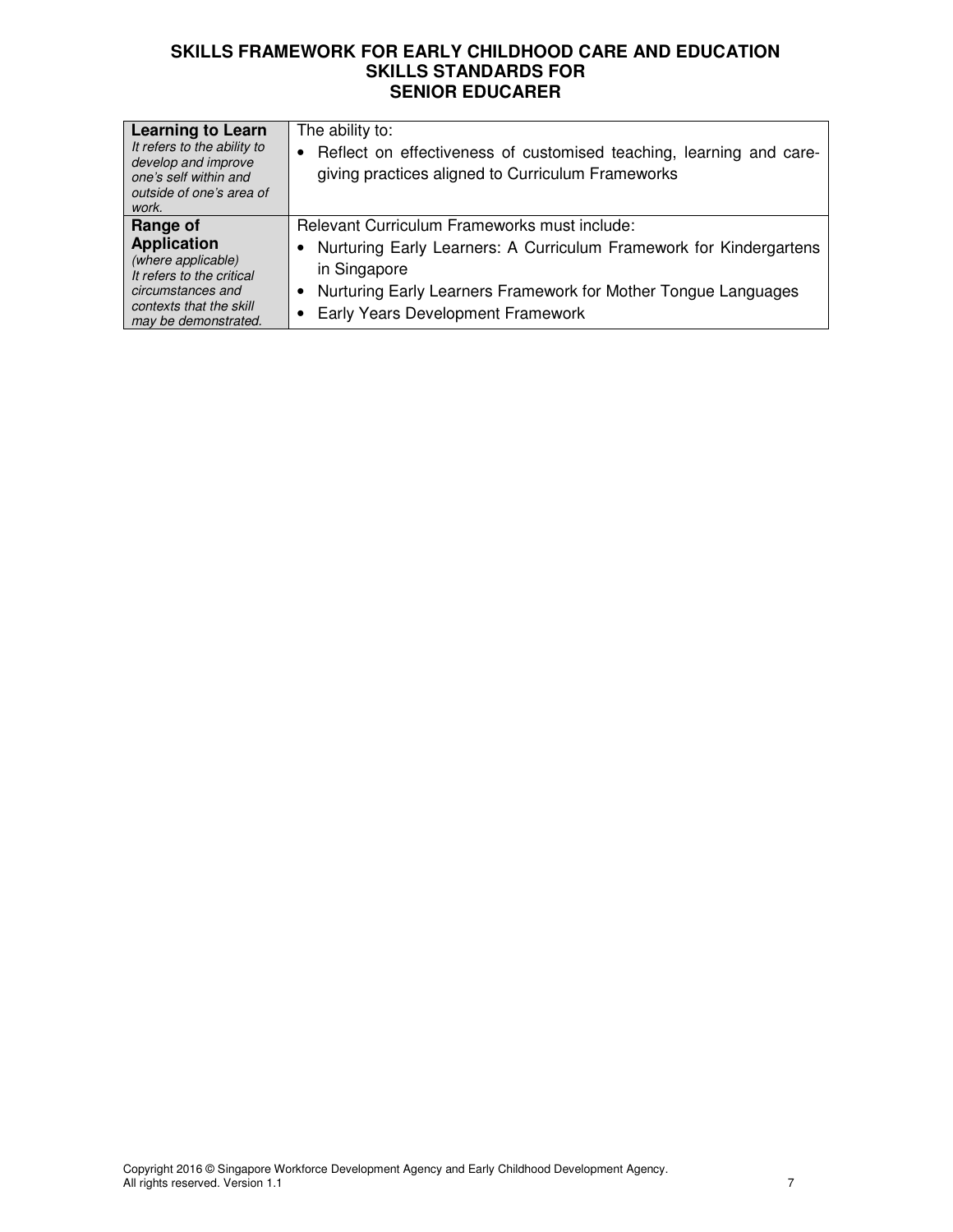| <b>Learning to Learn</b><br>It refers to the ability to<br>develop and improve<br>one's self within and<br>outside of one's area of<br>work.              | The ability to:<br>• Reflect on effectiveness of customised teaching, learning and care-<br>giving practices aligned to Curriculum Frameworks                                                                                                    |
|-----------------------------------------------------------------------------------------------------------------------------------------------------------|--------------------------------------------------------------------------------------------------------------------------------------------------------------------------------------------------------------------------------------------------|
| Range of<br><b>Application</b><br>(where applicable)<br>It refers to the critical<br>circumstances and<br>contexts that the skill<br>may be demonstrated. | Relevant Curriculum Frameworks must include:<br>Nurturing Early Learners: A Curriculum Framework for Kindergartens<br>in Singapore<br>Nurturing Early Learners Framework for Mother Tongue Languages<br><b>Early Years Development Framework</b> |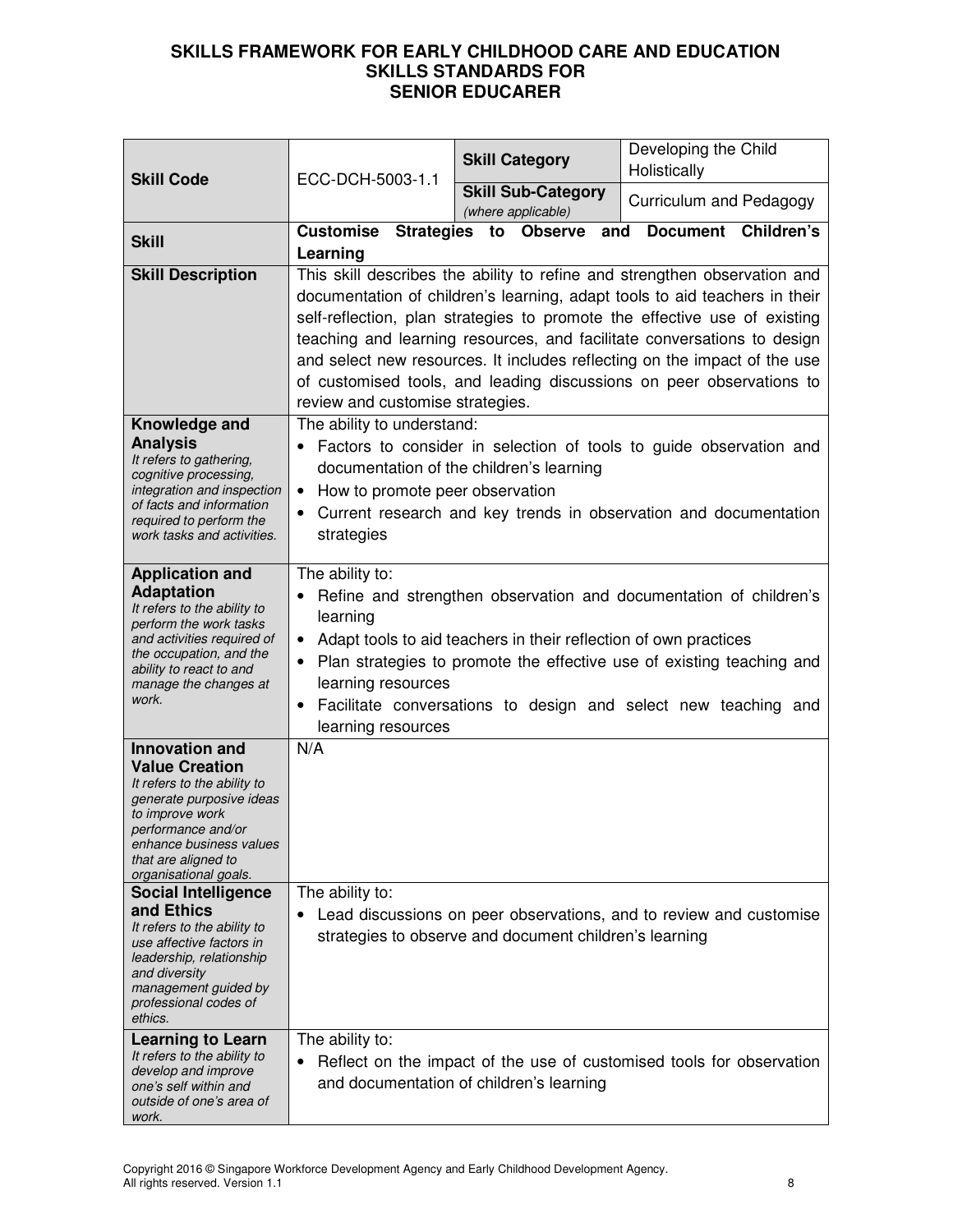| <b>Skill Code</b>                                                                                                                                                                                                                                                                                                                                                                                                                             | ECC-DCH-5003-1.1                                                                                                                                                                                                                                                                                                                                                                                                                                                                                         |    | <b>Skill Category</b>                           |     | Developing the Child<br>Holistically |            |
|-----------------------------------------------------------------------------------------------------------------------------------------------------------------------------------------------------------------------------------------------------------------------------------------------------------------------------------------------------------------------------------------------------------------------------------------------|----------------------------------------------------------------------------------------------------------------------------------------------------------------------------------------------------------------------------------------------------------------------------------------------------------------------------------------------------------------------------------------------------------------------------------------------------------------------------------------------------------|----|-------------------------------------------------|-----|--------------------------------------|------------|
|                                                                                                                                                                                                                                                                                                                                                                                                                                               |                                                                                                                                                                                                                                                                                                                                                                                                                                                                                                          |    | <b>Skill Sub-Category</b><br>(where applicable) |     | Curriculum and Pedagogy              |            |
| <b>Skill</b>                                                                                                                                                                                                                                                                                                                                                                                                                                  | <b>Customise Strategies</b><br>Learning                                                                                                                                                                                                                                                                                                                                                                                                                                                                  | to | <b>Observe</b>                                  | and | <b>Document</b>                      | Children's |
| <b>Skill Description</b>                                                                                                                                                                                                                                                                                                                                                                                                                      | This skill describes the ability to refine and strengthen observation and<br>documentation of children's learning, adapt tools to aid teachers in their<br>self-reflection, plan strategies to promote the effective use of existing<br>teaching and learning resources, and facilitate conversations to design<br>and select new resources. It includes reflecting on the impact of the use<br>of customised tools, and leading discussions on peer observations to<br>review and customise strategies. |    |                                                 |     |                                      |            |
| Knowledge and<br><b>Analysis</b><br>It refers to gathering,<br>cognitive processing,<br>integration and inspection<br>of facts and information<br>required to perform the<br>work tasks and activities.                                                                                                                                                                                                                                       | The ability to understand:<br>Factors to consider in selection of tools to guide observation and<br>documentation of the children's learning<br>How to promote peer observation<br>Current research and key trends in observation and documentation<br>strategies                                                                                                                                                                                                                                        |    |                                                 |     |                                      |            |
| <b>Application and</b><br><b>Adaptation</b><br>It refers to the ability to<br>perform the work tasks<br>and activities required of<br>the occupation, and the<br>ability to react to and<br>manage the changes at<br>work.                                                                                                                                                                                                                    | The ability to:<br>Refine and strengthen observation and documentation of children's<br>learning<br>Adapt tools to aid teachers in their reflection of own practices<br>Plan strategies to promote the effective use of existing teaching and<br>٠<br>learning resources<br>Facilitate conversations to design and select new teaching and<br>learning resources                                                                                                                                         |    |                                                 |     |                                      |            |
| <b>Innovation and</b><br><b>Value Creation</b><br>It refers to the ability to<br>generate purposive ideas<br>to improve work<br>performance and/or<br>enhance business values<br>that are aligned to<br>organisational goals.<br><b>Social Intelligence</b><br>and Ethics<br>It refers to the ability to<br>use affective factors in<br>leadership, relationship<br>and diversity<br>management guided by<br>professional codes of<br>ethics. | N/A<br>The ability to:<br>Lead discussions on peer observations, and to review and customise<br>strategies to observe and document children's learning                                                                                                                                                                                                                                                                                                                                                   |    |                                                 |     |                                      |            |
| <b>Learning to Learn</b><br>It refers to the ability to<br>develop and improve<br>one's self within and<br>outside of one's area of<br>work.                                                                                                                                                                                                                                                                                                  | The ability to:<br>Reflect on the impact of the use of customised tools for observation<br>and documentation of children's learning                                                                                                                                                                                                                                                                                                                                                                      |    |                                                 |     |                                      |            |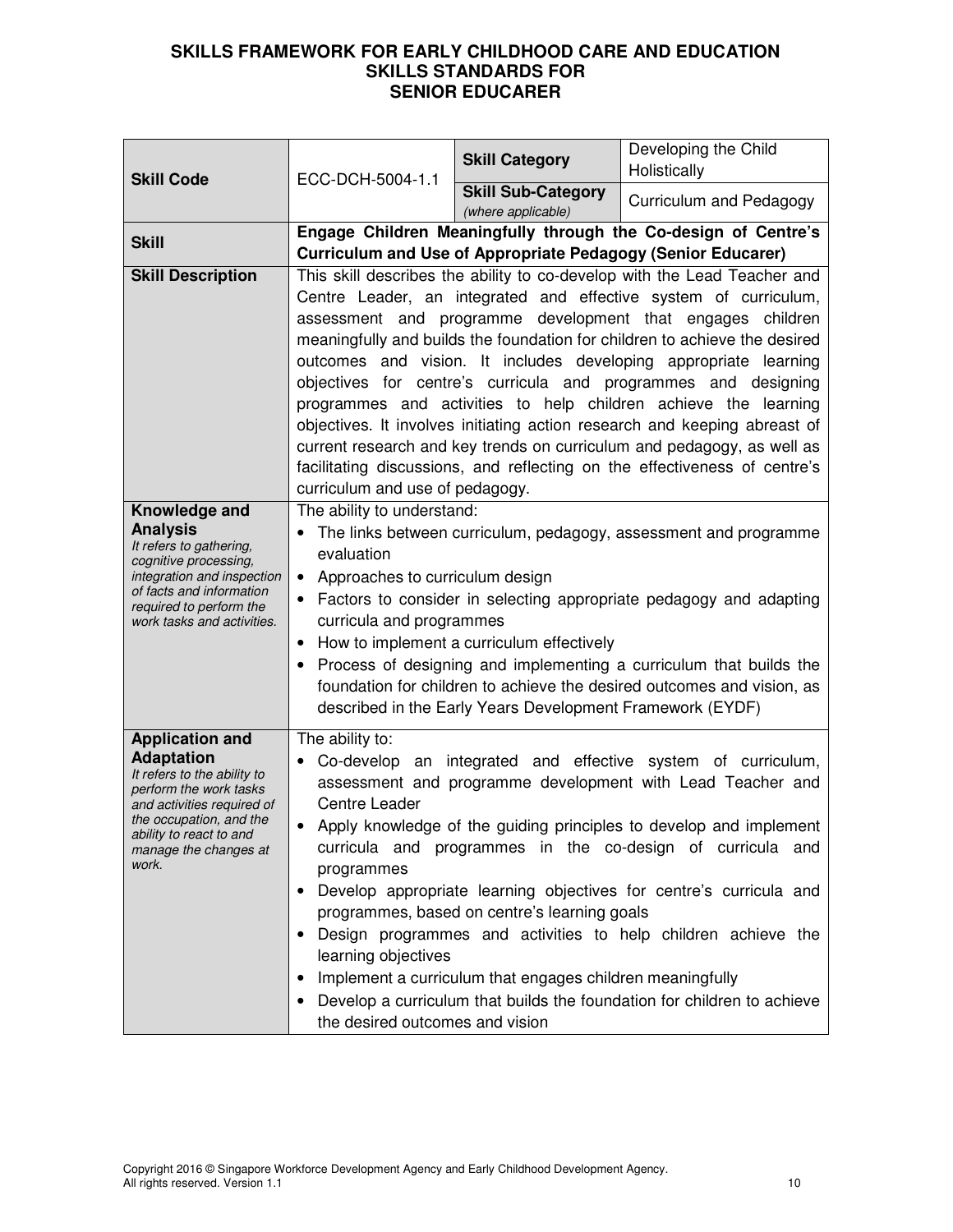| <b>Skill Code</b>                                                                                                                                                                                                          | ECC-DCH-5004-1.1                                                                                                                                                                                                                                                                                                                                                                                                                                                                                                                                                                                                                                                                                                                                                         | <b>Skill Category</b>                           | Developing the Child<br>Holistically                                                                                                  |
|----------------------------------------------------------------------------------------------------------------------------------------------------------------------------------------------------------------------------|--------------------------------------------------------------------------------------------------------------------------------------------------------------------------------------------------------------------------------------------------------------------------------------------------------------------------------------------------------------------------------------------------------------------------------------------------------------------------------------------------------------------------------------------------------------------------------------------------------------------------------------------------------------------------------------------------------------------------------------------------------------------------|-------------------------------------------------|---------------------------------------------------------------------------------------------------------------------------------------|
|                                                                                                                                                                                                                            |                                                                                                                                                                                                                                                                                                                                                                                                                                                                                                                                                                                                                                                                                                                                                                          | <b>Skill Sub-Category</b><br>(where applicable) | Curriculum and Pedagogy                                                                                                               |
| <b>Skill</b>                                                                                                                                                                                                               |                                                                                                                                                                                                                                                                                                                                                                                                                                                                                                                                                                                                                                                                                                                                                                          |                                                 | Engage Children Meaningfully through the Co-design of Centre's<br><b>Curriculum and Use of Appropriate Pedagogy (Senior Educarer)</b> |
| <b>Skill Description</b>                                                                                                                                                                                                   | This skill describes the ability to co-develop with the Lead Teacher and<br>Centre Leader, an integrated and effective system of curriculum,<br>assessment and programme development that engages children<br>meaningfully and builds the foundation for children to achieve the desired<br>outcomes and vision. It includes developing appropriate learning<br>objectives for centre's curricula and programmes and designing<br>programmes and activities to help children achieve the learning<br>objectives. It involves initiating action research and keeping abreast of<br>current research and key trends on curriculum and pedagogy, as well as<br>facilitating discussions, and reflecting on the effectiveness of centre's<br>curriculum and use of pedagogy. |                                                 |                                                                                                                                       |
| Knowledge and<br><b>Analysis</b><br>It refers to gathering,<br>cognitive processing,<br>integration and inspection<br>of facts and information<br>required to perform the<br>work tasks and activities.                    | The ability to understand:<br>The links between curriculum, pedagogy, assessment and programme<br>evaluation<br>Approaches to curriculum design<br>$\bullet$<br>Factors to consider in selecting appropriate pedagogy and adapting<br>curricula and programmes<br>How to implement a curriculum effectively<br>٠<br>Process of designing and implementing a curriculum that builds the<br>foundation for children to achieve the desired outcomes and vision, as<br>described in the Early Years Development Framework (EYDF)                                                                                                                                                                                                                                            |                                                 |                                                                                                                                       |
| <b>Application and</b><br><b>Adaptation</b><br>It refers to the ability to<br>perform the work tasks<br>and activities required of<br>the occupation, and the<br>ability to react to and<br>manage the changes at<br>work. | The ability to:<br>Co-develop an integrated and effective system of curriculum,<br>assessment and programme development with Lead Teacher and<br>Centre Leader<br>Apply knowledge of the guiding principles to develop and implement<br>curricula and programmes in the co-design of curricula and<br>programmes<br>Develop appropriate learning objectives for centre's curricula and<br>programmes, based on centre's learning goals<br>Design programmes and activities to help children achieve the<br>learning objectives<br>Implement a curriculum that engages children meaningfully<br>Develop a curriculum that builds the foundation for children to achieve<br>the desired outcomes and vision                                                                |                                                 |                                                                                                                                       |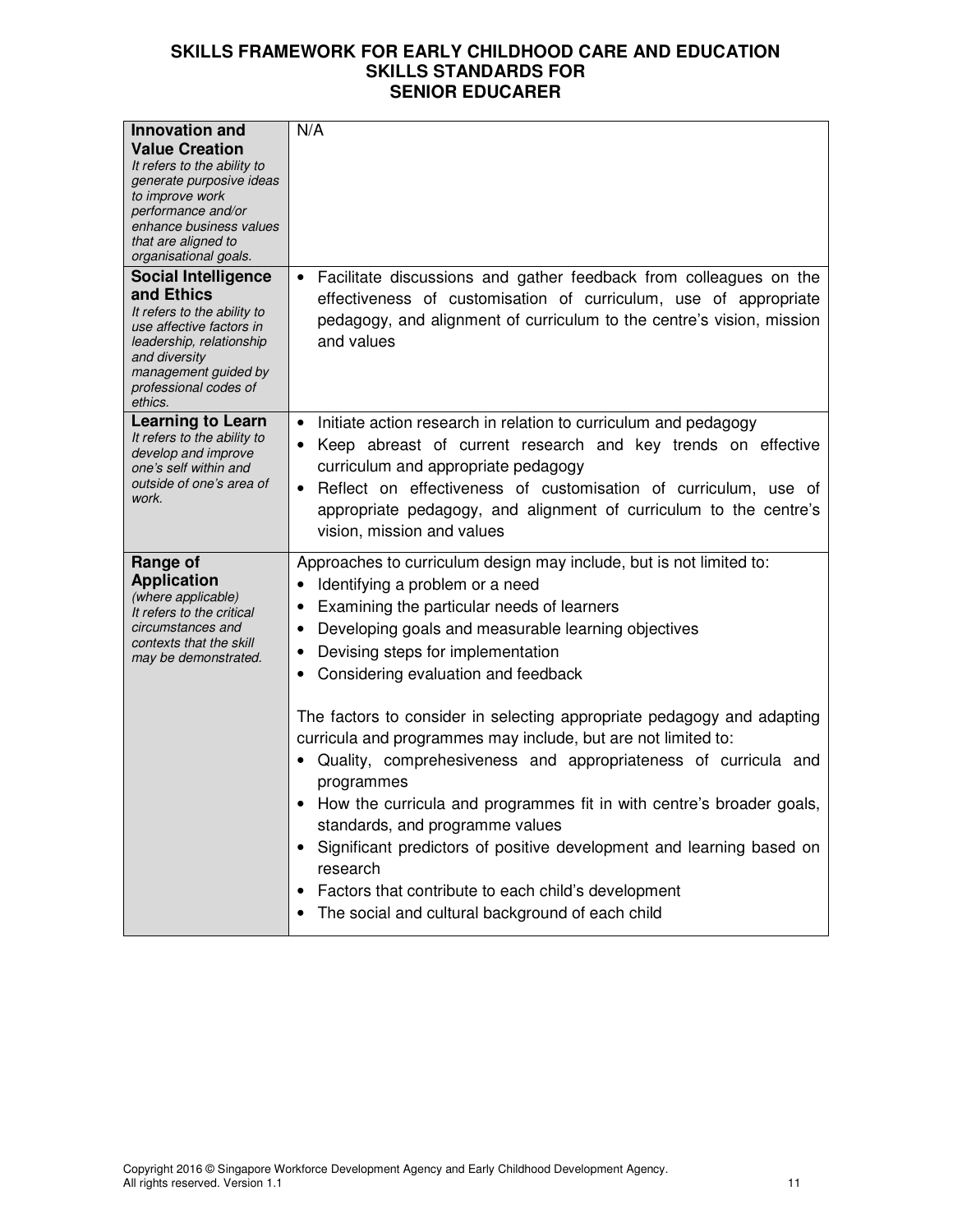| <b>Innovation and</b><br><b>Value Creation</b><br>It refers to the ability to<br>generate purposive ideas<br>to improve work<br>performance and/or<br>enhance business values<br>that are aligned to<br>organisational goals. | N/A                                                                                                                                                                                                                                                                                                                                                                                                                                                                                                                                                                                                                                                                                                                                                                                                                                                 |
|-------------------------------------------------------------------------------------------------------------------------------------------------------------------------------------------------------------------------------|-----------------------------------------------------------------------------------------------------------------------------------------------------------------------------------------------------------------------------------------------------------------------------------------------------------------------------------------------------------------------------------------------------------------------------------------------------------------------------------------------------------------------------------------------------------------------------------------------------------------------------------------------------------------------------------------------------------------------------------------------------------------------------------------------------------------------------------------------------|
| <b>Social Intelligence</b><br>and Ethics<br>It refers to the ability to<br>use affective factors in<br>leadership, relationship<br>and diversity<br>management guided by<br>professional codes of<br>ethics.                  | Facilitate discussions and gather feedback from colleagues on the<br>effectiveness of customisation of curriculum, use of appropriate<br>pedagogy, and alignment of curriculum to the centre's vision, mission<br>and values                                                                                                                                                                                                                                                                                                                                                                                                                                                                                                                                                                                                                        |
| <b>Learning to Learn</b><br>It refers to the ability to<br>develop and improve<br>one's self within and<br>outside of one's area of<br>work.                                                                                  | Initiate action research in relation to curriculum and pedagogy<br>Keep abreast of current research and key trends on effective<br>curriculum and appropriate pedagogy<br>Reflect on effectiveness of customisation of curriculum, use of<br>appropriate pedagogy, and alignment of curriculum to the centre's<br>vision, mission and values                                                                                                                                                                                                                                                                                                                                                                                                                                                                                                        |
| Range of<br><b>Application</b><br>(where applicable)<br>It refers to the critical<br>circumstances and<br>contexts that the skill<br>may be demonstrated.                                                                     | Approaches to curriculum design may include, but is not limited to:<br>Identifying a problem or a need<br>٠<br>Examining the particular needs of learners<br>٠<br>Developing goals and measurable learning objectives<br>Devising steps for implementation<br>Considering evaluation and feedback<br>The factors to consider in selecting appropriate pedagogy and adapting<br>curricula and programmes may include, but are not limited to:<br>Quality, comprehesiveness and appropriateness of curricula and<br>programmes<br>How the curricula and programmes fit in with centre's broader goals,<br>standards, and programme values<br>Significant predictors of positive development and learning based on<br>research<br>Factors that contribute to each child's development<br>$\bullet$<br>The social and cultural background of each child |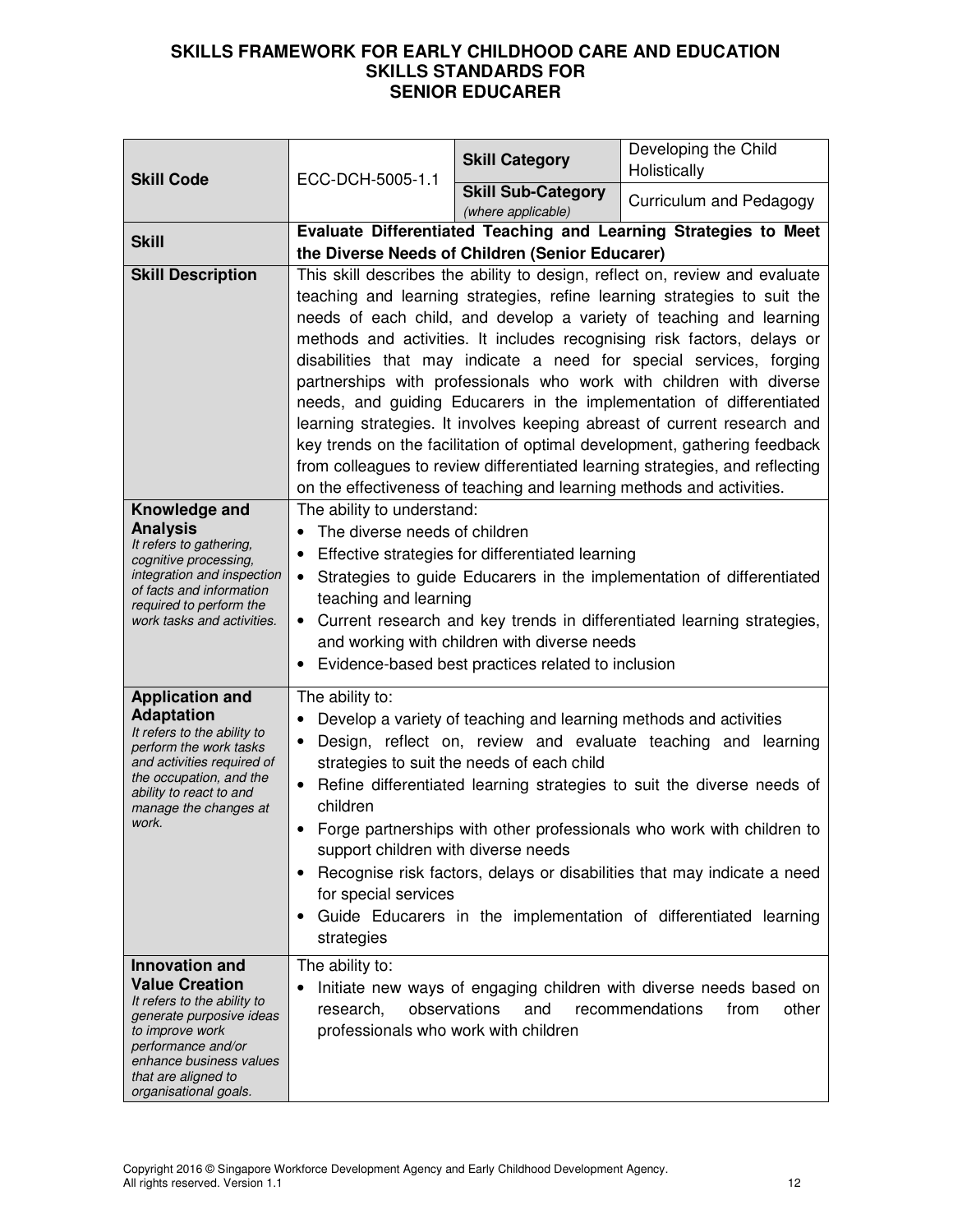| <b>Skill Code</b>                                                                                                                                                                                                             | ECC-DCH-5005-1.1                                                                                                      | <b>Skill Category</b>                                                                                                                                  | Developing the Child<br>Holistically                                                                                                                                                                                                                                                                                                                                                                                                                                                                                                                                                                                                                                                                                                                                     |
|-------------------------------------------------------------------------------------------------------------------------------------------------------------------------------------------------------------------------------|-----------------------------------------------------------------------------------------------------------------------|--------------------------------------------------------------------------------------------------------------------------------------------------------|--------------------------------------------------------------------------------------------------------------------------------------------------------------------------------------------------------------------------------------------------------------------------------------------------------------------------------------------------------------------------------------------------------------------------------------------------------------------------------------------------------------------------------------------------------------------------------------------------------------------------------------------------------------------------------------------------------------------------------------------------------------------------|
|                                                                                                                                                                                                                               |                                                                                                                       | <b>Skill Sub-Category</b><br>(where applicable)                                                                                                        | Curriculum and Pedagogy                                                                                                                                                                                                                                                                                                                                                                                                                                                                                                                                                                                                                                                                                                                                                  |
| <b>Skill</b>                                                                                                                                                                                                                  | Evaluate Differentiated Teaching and Learning Strategies to Meet<br>the Diverse Needs of Children (Senior Educarer)   |                                                                                                                                                        |                                                                                                                                                                                                                                                                                                                                                                                                                                                                                                                                                                                                                                                                                                                                                                          |
| <b>Skill Description</b>                                                                                                                                                                                                      |                                                                                                                       | on the effectiveness of teaching and learning methods and activities.                                                                                  | This skill describes the ability to design, reflect on, review and evaluate<br>teaching and learning strategies, refine learning strategies to suit the<br>needs of each child, and develop a variety of teaching and learning<br>methods and activities. It includes recognising risk factors, delays or<br>disabilities that may indicate a need for special services, forging<br>partnerships with professionals who work with children with diverse<br>needs, and guiding Educarers in the implementation of differentiated<br>learning strategies. It involves keeping abreast of current research and<br>key trends on the facilitation of optimal development, gathering feedback<br>from colleagues to review differentiated learning strategies, and reflecting |
| Knowledge and<br><b>Analysis</b><br>It refers to gathering,<br>cognitive processing,<br>integration and inspection<br>of facts and information<br>required to perform the<br>work tasks and activities.                       | The ability to understand:<br>The diverse needs of children<br>$\bullet$<br>teaching and learning                     | Effective strategies for differentiated learning<br>and working with children with diverse needs<br>Evidence-based best practices related to inclusion | Strategies to guide Educarers in the implementation of differentiated<br>• Current research and key trends in differentiated learning strategies,                                                                                                                                                                                                                                                                                                                                                                                                                                                                                                                                                                                                                        |
| <b>Application and</b><br><b>Adaptation</b><br>It refers to the ability to<br>perform the work tasks<br>and activities required of<br>the occupation, and the<br>ability to react to and<br>manage the changes at<br>work.    | The ability to:<br>$\bullet$<br>children<br>support children with diverse needs<br>for special services<br>strategies | Develop a variety of teaching and learning methods and activities<br>strategies to suit the needs of each child                                        | Design, reflect on, review and evaluate teaching and learning<br>Refine differentiated learning strategies to suit the diverse needs of<br>Forge partnerships with other professionals who work with children to<br>Recognise risk factors, delays or disabilities that may indicate a need<br>Guide Educarers in the implementation of differentiated learning                                                                                                                                                                                                                                                                                                                                                                                                          |
| <b>Innovation and</b><br><b>Value Creation</b><br>It refers to the ability to<br>generate purposive ideas<br>to improve work<br>performance and/or<br>enhance business values<br>that are aligned to<br>organisational goals. | The ability to:<br>observations<br>research,<br>professionals who work with children                                  | and                                                                                                                                                    | Initiate new ways of engaging children with diverse needs based on<br>recommendations<br>from<br>other                                                                                                                                                                                                                                                                                                                                                                                                                                                                                                                                                                                                                                                                   |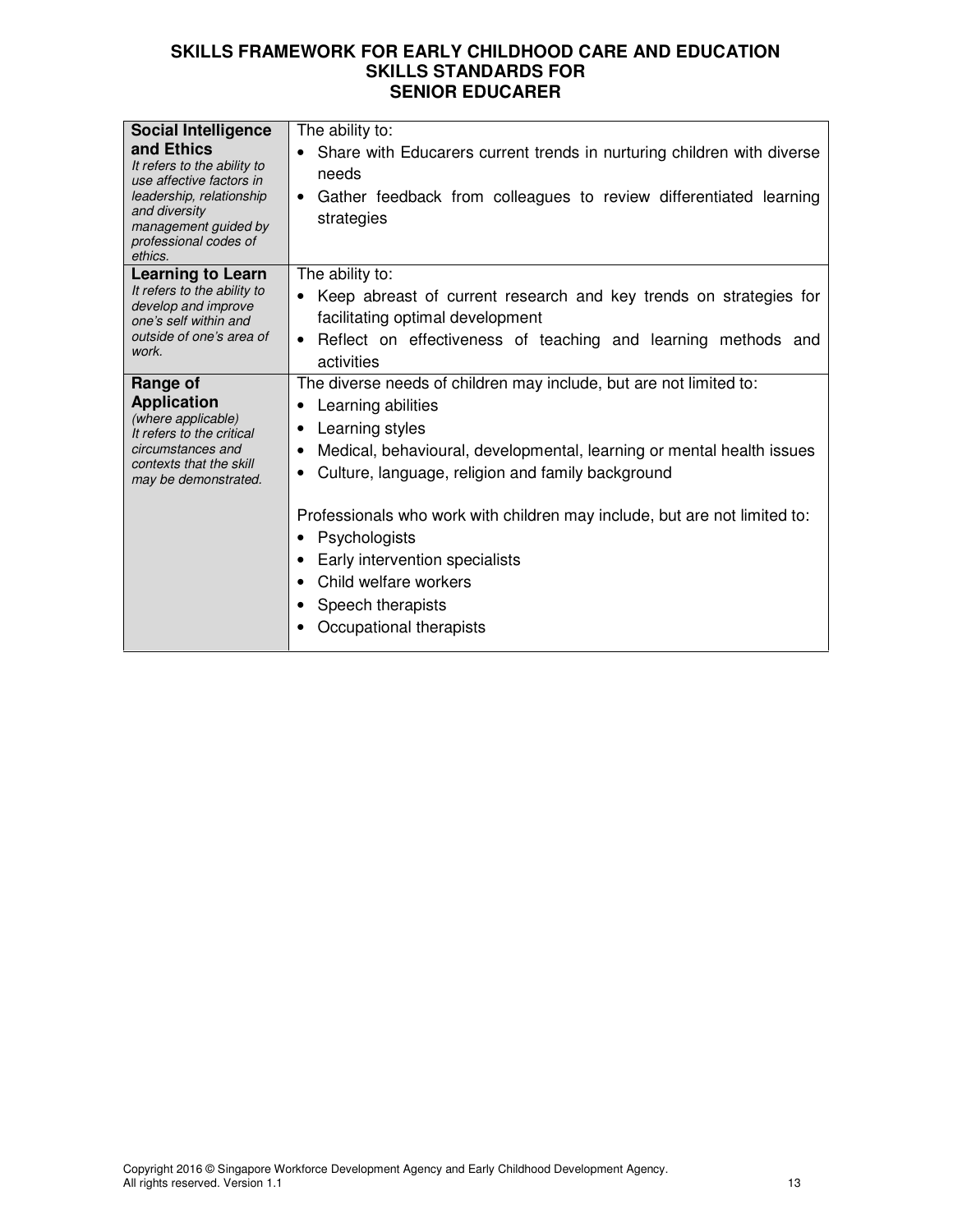| <b>Social Intelligence</b>                                                                                                                                                     | The ability to:                                                                                                                                                                                                                                                                                                                                                                                                                                                                |
|--------------------------------------------------------------------------------------------------------------------------------------------------------------------------------|--------------------------------------------------------------------------------------------------------------------------------------------------------------------------------------------------------------------------------------------------------------------------------------------------------------------------------------------------------------------------------------------------------------------------------------------------------------------------------|
| and Ethics<br>It refers to the ability to<br>use affective factors in<br>leadership, relationship<br>and diversity<br>management guided by<br>professional codes of<br>ethics. | Share with Educarers current trends in nurturing children with diverse<br>needs<br>Gather feedback from colleagues to review differentiated learning<br>$\bullet$<br>strategies                                                                                                                                                                                                                                                                                                |
| <b>Learning to Learn</b><br>It refers to the ability to<br>develop and improve<br>one's self within and<br>outside of one's area of<br>work.                                   | The ability to:<br>Keep abreast of current research and key trends on strategies for<br>facilitating optimal development<br>Reflect on effectiveness of teaching and learning methods and<br>$\bullet$<br>activities                                                                                                                                                                                                                                                           |
| Range of<br><b>Application</b><br>(where applicable)<br>It refers to the critical<br>circumstances and<br>contexts that the skill<br>may be demonstrated.                      | The diverse needs of children may include, but are not limited to:<br>Learning abilities<br>$\bullet$<br>Learning styles<br>٠<br>Medical, behavioural, developmental, learning or mental health issues<br>Culture, language, religion and family background<br>٠<br>Professionals who work with children may include, but are not limited to:<br>Psychologists<br>Early intervention specialists<br>Child welfare workers<br>Speech therapists<br>٠<br>Occupational therapists |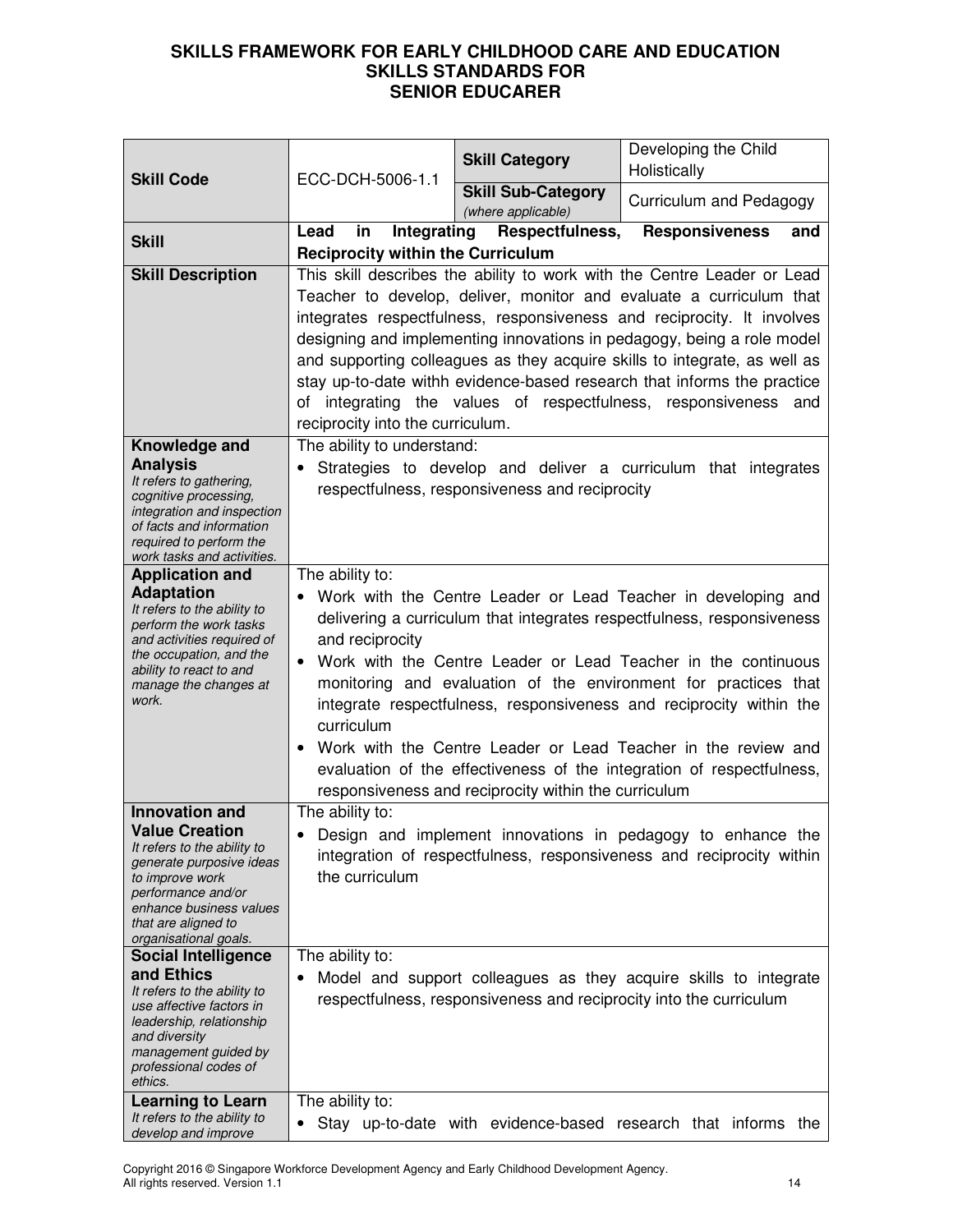| <b>Skill Code</b>                                                                                                                                                                                                                                                                                                                                                                                                                             | ECC-DCH-5006-1.1                                                                                                                                                                                                                                                                                                                                                                                                                                                                                                                                                                                                      | <b>Skill Category</b>                           | Developing the Child<br>Holistically                                                                                                                                                                                                                                                                                                                                                                                                                                                                                       |
|-----------------------------------------------------------------------------------------------------------------------------------------------------------------------------------------------------------------------------------------------------------------------------------------------------------------------------------------------------------------------------------------------------------------------------------------------|-----------------------------------------------------------------------------------------------------------------------------------------------------------------------------------------------------------------------------------------------------------------------------------------------------------------------------------------------------------------------------------------------------------------------------------------------------------------------------------------------------------------------------------------------------------------------------------------------------------------------|-------------------------------------------------|----------------------------------------------------------------------------------------------------------------------------------------------------------------------------------------------------------------------------------------------------------------------------------------------------------------------------------------------------------------------------------------------------------------------------------------------------------------------------------------------------------------------------|
|                                                                                                                                                                                                                                                                                                                                                                                                                                               |                                                                                                                                                                                                                                                                                                                                                                                                                                                                                                                                                                                                                       | <b>Skill Sub-Category</b><br>(where applicable) | Curriculum and Pedagogy                                                                                                                                                                                                                                                                                                                                                                                                                                                                                                    |
| <b>Skill</b>                                                                                                                                                                                                                                                                                                                                                                                                                                  | Integrating<br>Lead<br>in<br><b>Reciprocity within the Curriculum</b>                                                                                                                                                                                                                                                                                                                                                                                                                                                                                                                                                 | Respectfulness,                                 | <b>Responsiveness</b><br>and                                                                                                                                                                                                                                                                                                                                                                                                                                                                                               |
| <b>Skill Description</b>                                                                                                                                                                                                                                                                                                                                                                                                                      | of<br>reciprocity into the curriculum.                                                                                                                                                                                                                                                                                                                                                                                                                                                                                                                                                                                |                                                 | This skill describes the ability to work with the Centre Leader or Lead<br>Teacher to develop, deliver, monitor and evaluate a curriculum that<br>integrates respectfulness, responsiveness and reciprocity. It involves<br>designing and implementing innovations in pedagogy, being a role model<br>and supporting colleagues as they acquire skills to integrate, as well as<br>stay up-to-date withh evidence-based research that informs the practice<br>integrating the values of respectfulness, responsiveness and |
| Knowledge and<br><b>Analysis</b><br>It refers to gathering,<br>cognitive processing,<br>integration and inspection<br>of facts and information<br>required to perform the<br>work tasks and activities.                                                                                                                                                                                                                                       | The ability to understand:                                                                                                                                                                                                                                                                                                                                                                                                                                                                                                                                                                                            | respectfulness, responsiveness and reciprocity  | Strategies to develop and deliver a curriculum that integrates                                                                                                                                                                                                                                                                                                                                                                                                                                                             |
| <b>Application and</b><br><b>Adaptation</b><br>It refers to the ability to<br>perform the work tasks<br>and activities required of<br>the occupation, and the<br>ability to react to and<br>manage the changes at<br>work.                                                                                                                                                                                                                    | The ability to:<br>Work with the Centre Leader or Lead Teacher in developing and<br>delivering a curriculum that integrates respectfulness, responsiveness<br>and reciprocity<br>Work with the Centre Leader or Lead Teacher in the continuous<br>monitoring and evaluation of the environment for practices that<br>integrate respectfulness, responsiveness and reciprocity within the<br>curriculum<br>Work with the Centre Leader or Lead Teacher in the review and<br>$\bullet$<br>evaluation of the effectiveness of the integration of respectfulness,<br>responsiveness and reciprocity within the curriculum |                                                 |                                                                                                                                                                                                                                                                                                                                                                                                                                                                                                                            |
| <b>Innovation and</b><br><b>Value Creation</b><br>It refers to the ability to<br>generate purposive ideas<br>to improve work<br>performance and/or<br>enhance business values<br>that are aligned to<br>organisational goals.<br><b>Social Intelligence</b><br>and Ethics<br>It refers to the ability to<br>use affective factors in<br>leadership, relationship<br>and diversity<br>management guided by<br>professional codes of<br>ethics. | The ability to:<br>the curriculum<br>The ability to:                                                                                                                                                                                                                                                                                                                                                                                                                                                                                                                                                                  |                                                 | Design and implement innovations in pedagogy to enhance the<br>integration of respectfulness, responsiveness and reciprocity within<br>Model and support colleagues as they acquire skills to integrate<br>respectfulness, responsiveness and reciprocity into the curriculum                                                                                                                                                                                                                                              |
| <b>Learning to Learn</b><br>It refers to the ability to<br>develop and improve                                                                                                                                                                                                                                                                                                                                                                | The ability to:<br>٠                                                                                                                                                                                                                                                                                                                                                                                                                                                                                                                                                                                                  |                                                 | Stay up-to-date with evidence-based research that informs the                                                                                                                                                                                                                                                                                                                                                                                                                                                              |

Copyright 2016 © Singapore Workforce Development Agency and Early Childhood Development Agency. All rights reserved. Version 1.1 14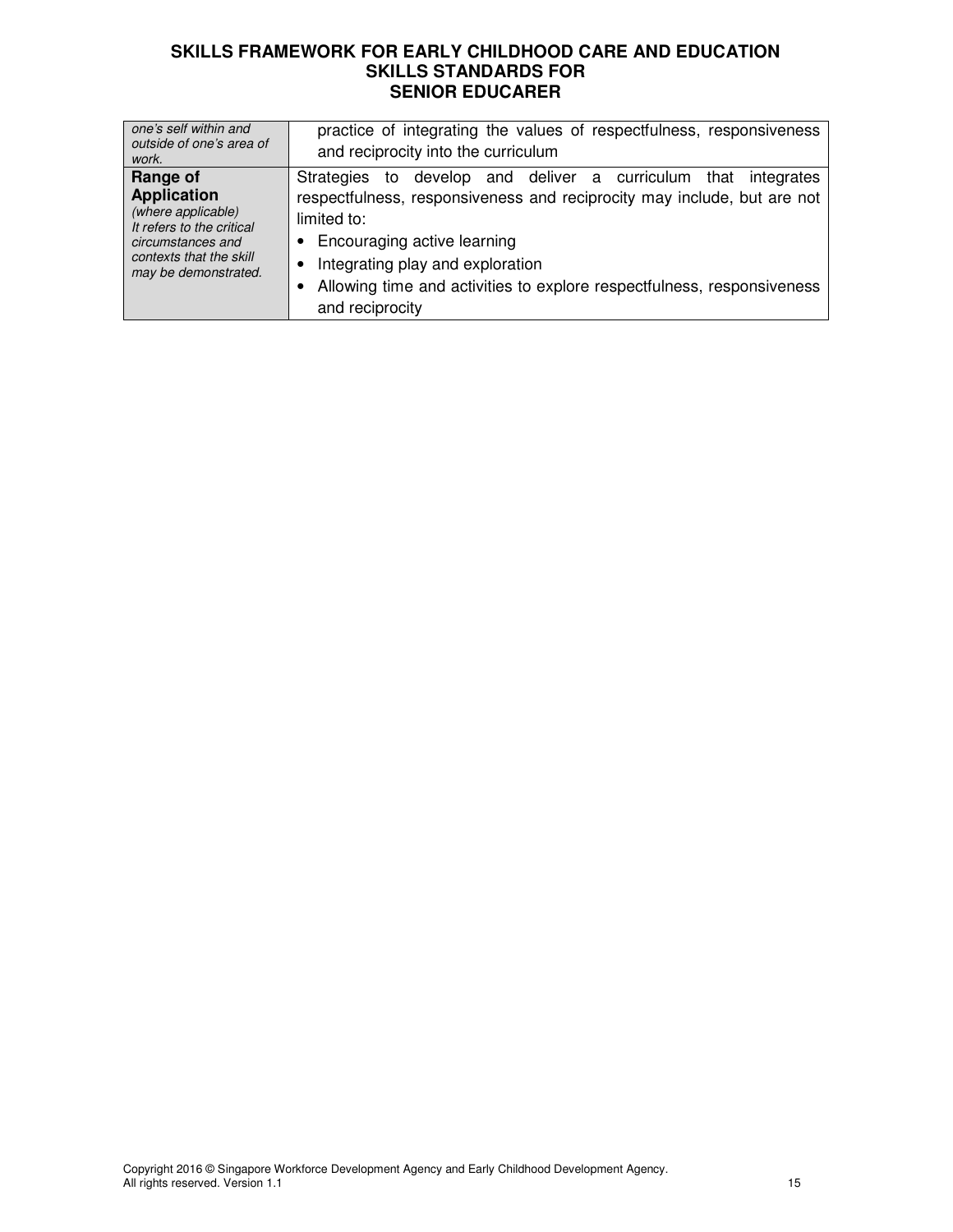| one's self within and<br>outside of one's area of<br>work.                                                                                                | practice of integrating the values of respectfulness, responsiveness<br>and reciprocity into the curriculum                                                                                                                                                                                                                              |
|-----------------------------------------------------------------------------------------------------------------------------------------------------------|------------------------------------------------------------------------------------------------------------------------------------------------------------------------------------------------------------------------------------------------------------------------------------------------------------------------------------------|
| Range of<br><b>Application</b><br>(where applicable)<br>It refers to the critical<br>circumstances and<br>contexts that the skill<br>may be demonstrated. | Strategies to develop and deliver a curriculum<br>that integrates<br>respectfulness, responsiveness and reciprocity may include, but are not<br>limited to:<br>Encouraging active learning<br>Integrating play and exploration<br>$\bullet$<br>Allowing time and activities to explore respectfulness, responsiveness<br>and reciprocity |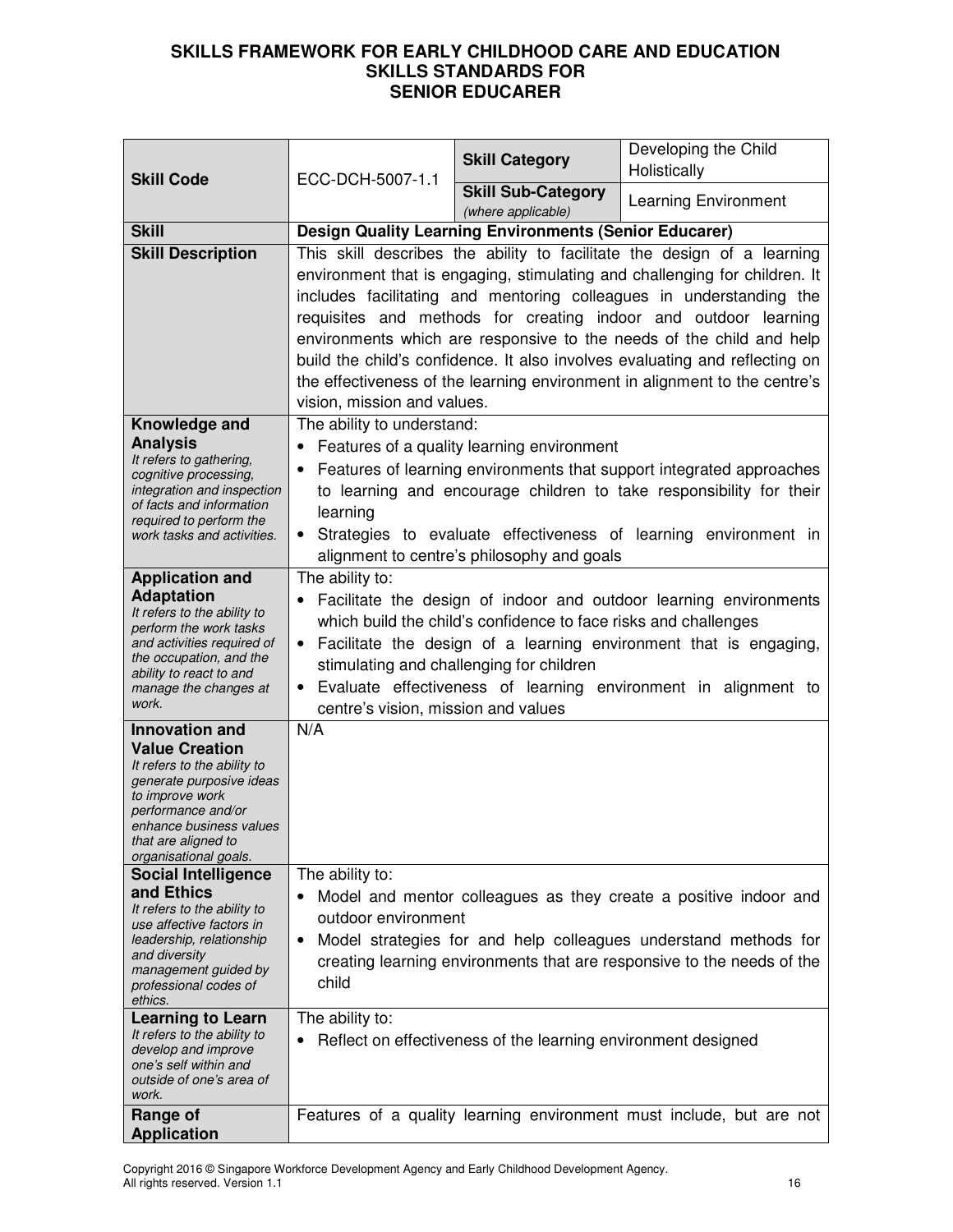|                                                         |                                                                                                                 | <b>Skill Category</b>                                           | Developing the Child<br>Holistically                                        |
|---------------------------------------------------------|-----------------------------------------------------------------------------------------------------------------|-----------------------------------------------------------------|-----------------------------------------------------------------------------|
| <b>Skill Code</b>                                       | ECC-DCH-5007-1.1                                                                                                | <b>Skill Sub-Category</b>                                       |                                                                             |
|                                                         |                                                                                                                 | (where applicable)                                              | <b>Learning Environment</b>                                                 |
| <b>Skill</b>                                            |                                                                                                                 | <b>Design Quality Learning Environments (Senior Educarer)</b>   |                                                                             |
| <b>Skill Description</b>                                | This skill describes the ability to facilitate the design of a learning                                         |                                                                 |                                                                             |
|                                                         |                                                                                                                 |                                                                 | environment that is engaging, stimulating and challenging for children. It  |
|                                                         |                                                                                                                 |                                                                 | includes facilitating and mentoring colleagues in understanding the         |
|                                                         |                                                                                                                 |                                                                 | requisites and methods for creating indoor and outdoor learning             |
|                                                         |                                                                                                                 |                                                                 | environments which are responsive to the needs of the child and help        |
|                                                         |                                                                                                                 |                                                                 | build the child's confidence. It also involves evaluating and reflecting on |
|                                                         | vision, mission and values.                                                                                     |                                                                 | the effectiveness of the learning environment in alignment to the centre's  |
| Knowledge and                                           | The ability to understand:                                                                                      |                                                                 |                                                                             |
| <b>Analysis</b>                                         |                                                                                                                 | Features of a quality learning environment                      |                                                                             |
| It refers to gathering,                                 |                                                                                                                 |                                                                 | Features of learning environments that support integrated approaches        |
| cognitive processing,<br>integration and inspection     |                                                                                                                 |                                                                 | to learning and encourage children to take responsibility for their         |
| of facts and information                                | learning                                                                                                        |                                                                 |                                                                             |
| required to perform the<br>work tasks and activities.   |                                                                                                                 |                                                                 | • Strategies to evaluate effectiveness of learning environment in           |
|                                                         |                                                                                                                 | alignment to centre's philosophy and goals                      |                                                                             |
| <b>Application and</b>                                  | The ability to:                                                                                                 |                                                                 |                                                                             |
| <b>Adaptation</b>                                       | Facilitate the design of indoor and outdoor learning environments                                               |                                                                 |                                                                             |
| It refers to the ability to<br>perform the work tasks   |                                                                                                                 | which build the child's confidence to face risks and challenges |                                                                             |
| and activities required of                              | • Facilitate the design of a learning environment that is engaging,<br>stimulating and challenging for children |                                                                 |                                                                             |
| the occupation, and the<br>ability to react to and      |                                                                                                                 |                                                                 |                                                                             |
| manage the changes at                                   |                                                                                                                 |                                                                 | Evaluate effectiveness of learning environment in alignment to              |
| work.                                                   | centre's vision, mission and values                                                                             |                                                                 |                                                                             |
| <b>Innovation and</b>                                   | N/A                                                                                                             |                                                                 |                                                                             |
| <b>Value Creation</b><br>It refers to the ability to    |                                                                                                                 |                                                                 |                                                                             |
| generate purposive ideas                                |                                                                                                                 |                                                                 |                                                                             |
| to improve work<br>performance and/or                   |                                                                                                                 |                                                                 |                                                                             |
| enhance business values                                 |                                                                                                                 |                                                                 |                                                                             |
| that are aligned to<br>organisational goals.            |                                                                                                                 |                                                                 |                                                                             |
| <b>Social Intelligence</b>                              | The ability to:                                                                                                 |                                                                 |                                                                             |
| and Ethics                                              |                                                                                                                 |                                                                 | Model and mentor colleagues as they create a positive indoor and            |
| It refers to the ability to<br>use affective factors in | outdoor environment                                                                                             |                                                                 |                                                                             |
| leadership, relationship                                | ٠                                                                                                               |                                                                 | Model strategies for and help colleagues understand methods for             |
| and diversity<br>management guided by                   |                                                                                                                 |                                                                 | creating learning environments that are responsive to the needs of the      |
| professional codes of<br>ethics.                        | child                                                                                                           |                                                                 |                                                                             |
| <b>Learning to Learn</b>                                | The ability to:                                                                                                 |                                                                 |                                                                             |
| It refers to the ability to                             |                                                                                                                 | Reflect on effectiveness of the learning environment designed   |                                                                             |
| develop and improve<br>one's self within and            |                                                                                                                 |                                                                 |                                                                             |
| outside of one's area of<br>work.                       |                                                                                                                 |                                                                 |                                                                             |
| Range of                                                |                                                                                                                 |                                                                 | Features of a quality learning environment must include, but are not        |
| <b>Application</b>                                      |                                                                                                                 |                                                                 |                                                                             |

Copyright 2016 © Singapore Workforce Development Agency and Early Childhood Development Agency. All rights reserved. Version 1.1 16 and 2012 16 and 2012 16 and 2012 16 and 2012 16 and 2012 16 and 2012 16 and 201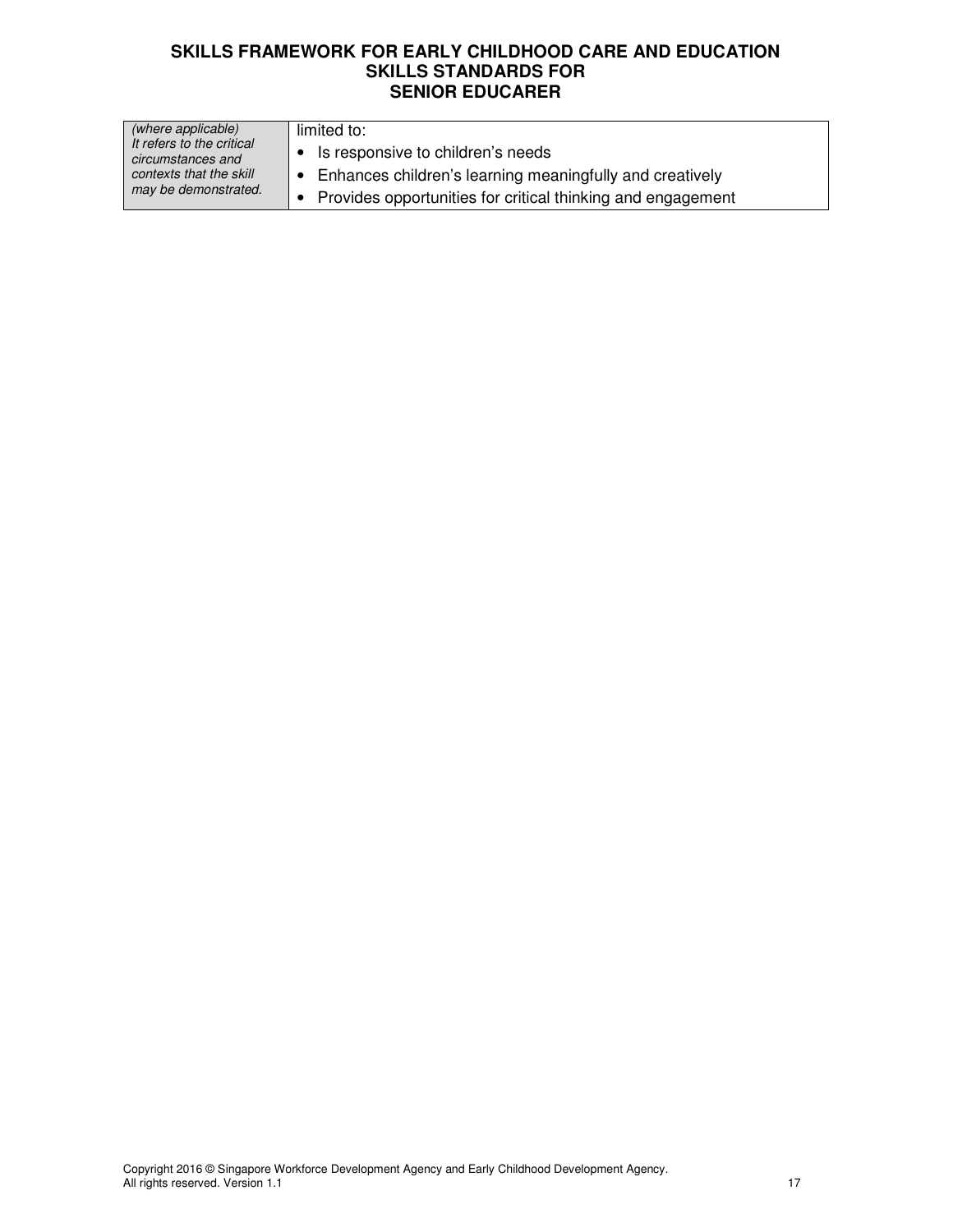| (where applicable)                             | limited to:                                                        |
|------------------------------------------------|--------------------------------------------------------------------|
| It refers to the critical<br>circumstances and | Is responsive to children's needs                                  |
| contexts that the skill                        | $\bullet$ Enhances children's learning meaningfully and creatively |
| may be demonstrated.                           | Provides opportunities for critical thinking and engagement        |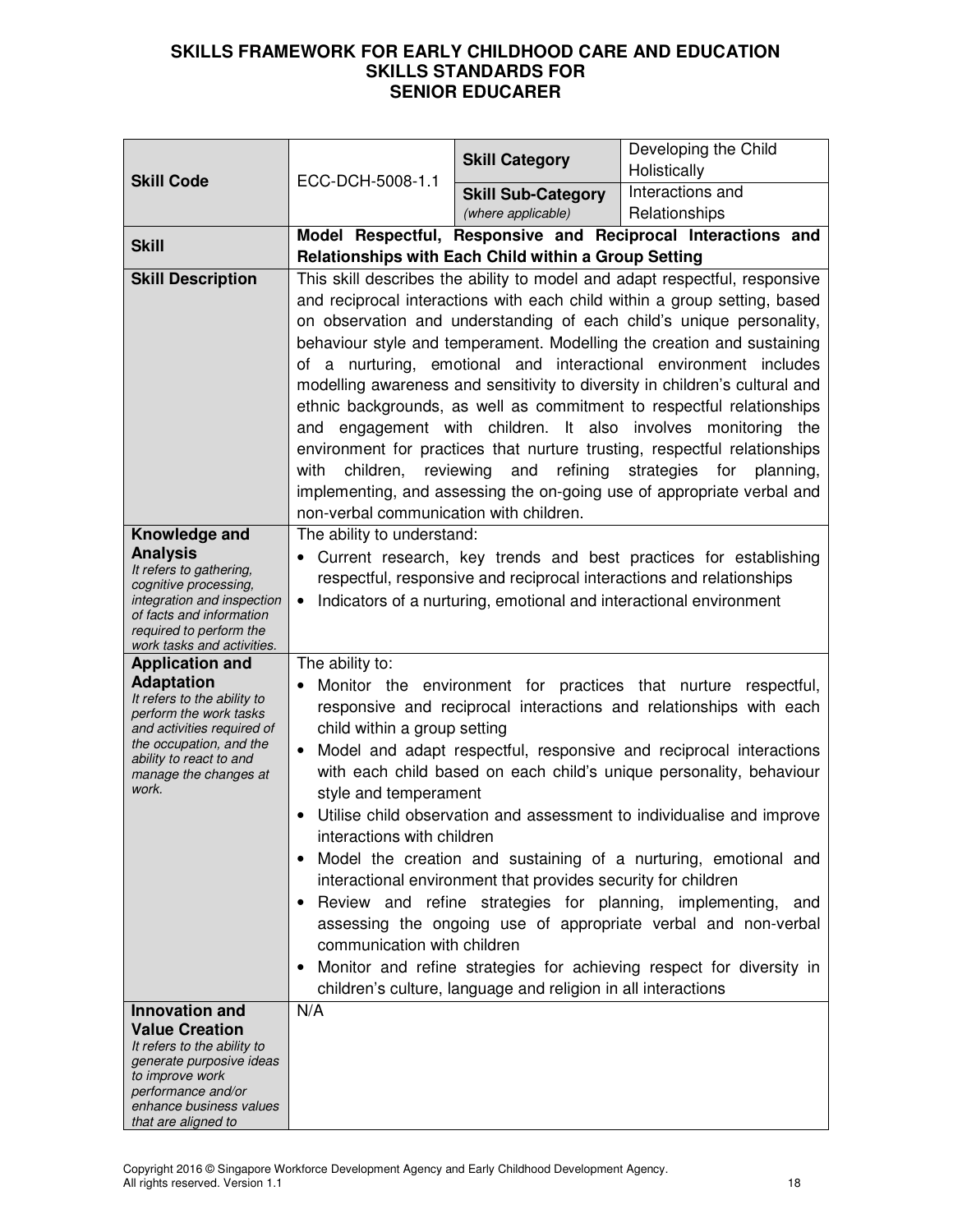| <b>Skill Code</b>                                     |                                                                                                                                          | <b>Skill Category</b>                                         | Developing the Child<br>Holistically                                                                                                            |
|-------------------------------------------------------|------------------------------------------------------------------------------------------------------------------------------------------|---------------------------------------------------------------|-------------------------------------------------------------------------------------------------------------------------------------------------|
|                                                       | ECC-DCH-5008-1.1                                                                                                                         | <b>Skill Sub-Category</b>                                     | Interactions and                                                                                                                                |
|                                                       |                                                                                                                                          | (where applicable)                                            | Relationships                                                                                                                                   |
|                                                       |                                                                                                                                          |                                                               | Model Respectful, Responsive and Reciprocal Interactions and                                                                                    |
| <b>Skill</b>                                          |                                                                                                                                          | Relationships with Each Child within a Group Setting          |                                                                                                                                                 |
| <b>Skill Description</b>                              |                                                                                                                                          |                                                               | This skill describes the ability to model and adapt respectful, responsive                                                                      |
|                                                       |                                                                                                                                          |                                                               | and reciprocal interactions with each child within a group setting, based                                                                       |
|                                                       |                                                                                                                                          |                                                               | on observation and understanding of each child's unique personality,                                                                            |
|                                                       |                                                                                                                                          |                                                               | behaviour style and temperament. Modelling the creation and sustaining                                                                          |
|                                                       |                                                                                                                                          |                                                               | of a nurturing, emotional and interactional environment includes<br>modelling awareness and sensitivity to diversity in children's cultural and |
|                                                       |                                                                                                                                          |                                                               | ethnic backgrounds, as well as commitment to respectful relationships                                                                           |
|                                                       |                                                                                                                                          |                                                               | and engagement with children. It also involves monitoring the                                                                                   |
|                                                       |                                                                                                                                          |                                                               | environment for practices that nurture trusting, respectful relationships                                                                       |
|                                                       | children,<br>with                                                                                                                        | refining<br>reviewing and                                     | strategies for<br>planning,                                                                                                                     |
|                                                       |                                                                                                                                          |                                                               | implementing, and assessing the on-going use of appropriate verbal and                                                                          |
|                                                       | non-verbal communication with children.                                                                                                  |                                                               |                                                                                                                                                 |
| Knowledge and<br><b>Analysis</b>                      | The ability to understand:                                                                                                               |                                                               |                                                                                                                                                 |
| It refers to gathering,                               | Current research, key trends and best practices for establishing<br>respectful, responsive and reciprocal interactions and relationships |                                                               |                                                                                                                                                 |
| cognitive processing,<br>integration and inspection   | $\bullet$                                                                                                                                |                                                               |                                                                                                                                                 |
| of facts and information                              | Indicators of a nurturing, emotional and interactional environment                                                                       |                                                               |                                                                                                                                                 |
| required to perform the<br>work tasks and activities. |                                                                                                                                          |                                                               |                                                                                                                                                 |
| <b>Application and</b>                                | The ability to:                                                                                                                          |                                                               |                                                                                                                                                 |
| <b>Adaptation</b><br>It refers to the ability to      | $\bullet$                                                                                                                                |                                                               | Monitor the environment for practices that nurture respectful,                                                                                  |
| perform the work tasks<br>and activities required of  | child within a group setting                                                                                                             |                                                               | responsive and reciprocal interactions and relationships with each                                                                              |
| the occupation, and the                               | $\bullet$                                                                                                                                |                                                               | Model and adapt respectful, responsive and reciprocal interactions                                                                              |
| ability to react to and<br>manage the changes at      |                                                                                                                                          |                                                               | with each child based on each child's unique personality, behaviour                                                                             |
| work.                                                 | style and temperament                                                                                                                    |                                                               |                                                                                                                                                 |
|                                                       | Utilise child observation and assessment to individualise and improve<br>interactions with children                                      |                                                               |                                                                                                                                                 |
|                                                       |                                                                                                                                          |                                                               | Model the creation and sustaining of a nurturing, emotional and                                                                                 |
|                                                       |                                                                                                                                          | interactional environment that provides security for children |                                                                                                                                                 |
|                                                       |                                                                                                                                          |                                                               | Review and refine strategies for planning, implementing, and                                                                                    |
|                                                       |                                                                                                                                          |                                                               | assessing the ongoing use of appropriate verbal and non-verbal                                                                                  |
|                                                       | communication with children                                                                                                              |                                                               |                                                                                                                                                 |
|                                                       | Monitor and refine strategies for achieving respect for diversity in                                                                     |                                                               |                                                                                                                                                 |
| <b>Innovation and</b>                                 | N/A                                                                                                                                      | children's culture, language and religion in all interactions |                                                                                                                                                 |
| <b>Value Creation</b>                                 |                                                                                                                                          |                                                               |                                                                                                                                                 |
| It refers to the ability to                           |                                                                                                                                          |                                                               |                                                                                                                                                 |
| generate purposive ideas<br>to improve work           |                                                                                                                                          |                                                               |                                                                                                                                                 |
| performance and/or<br>enhance business values         |                                                                                                                                          |                                                               |                                                                                                                                                 |
| that are aligned to                                   |                                                                                                                                          |                                                               |                                                                                                                                                 |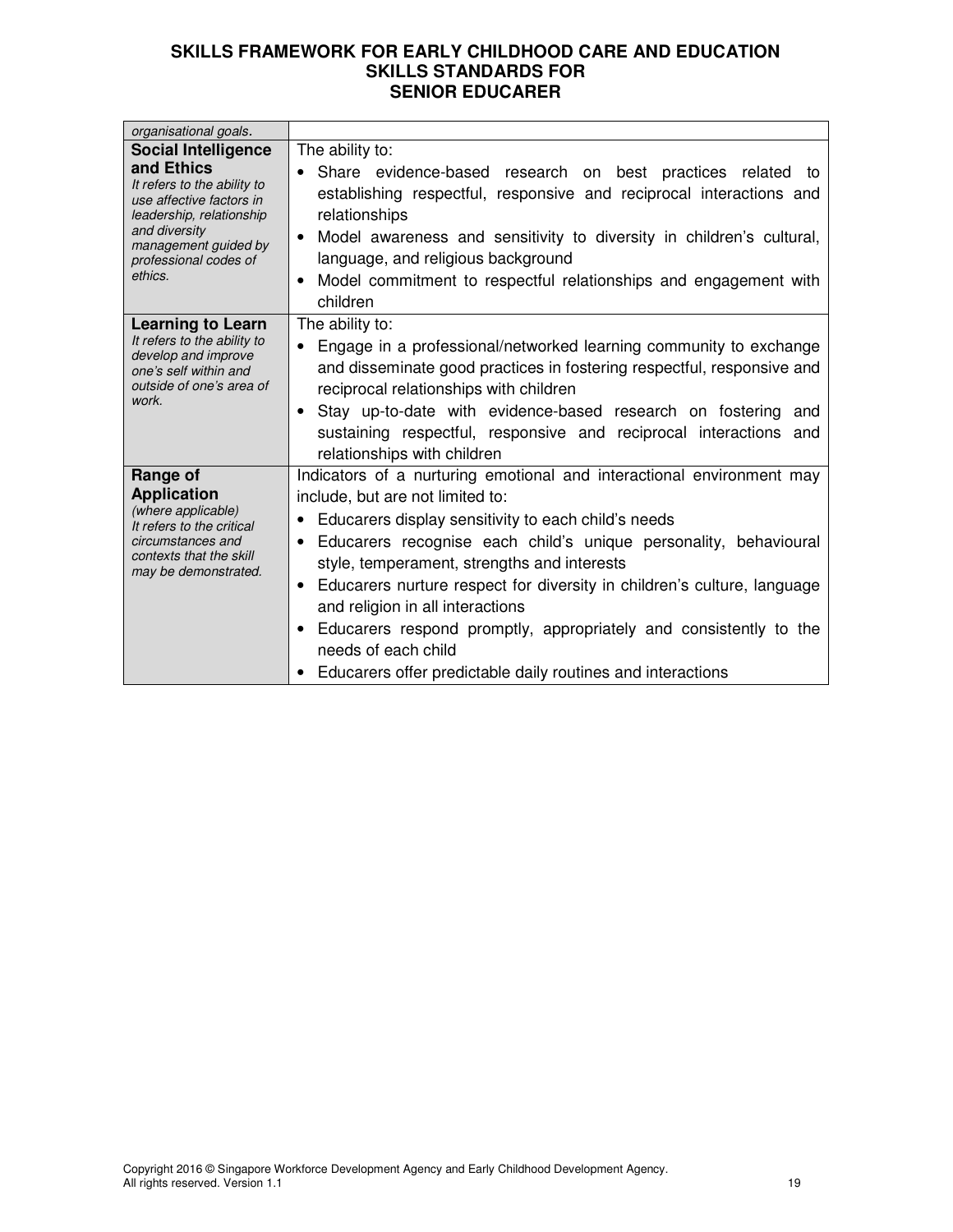| organisational goals.                                                                                                                                                                                        |                                                                                                                                                                                                                                                                                                                                                                                                                                                                                                                                                                                                      |
|--------------------------------------------------------------------------------------------------------------------------------------------------------------------------------------------------------------|------------------------------------------------------------------------------------------------------------------------------------------------------------------------------------------------------------------------------------------------------------------------------------------------------------------------------------------------------------------------------------------------------------------------------------------------------------------------------------------------------------------------------------------------------------------------------------------------------|
| <b>Social Intelligence</b><br>and Ethics<br>It refers to the ability to<br>use affective factors in<br>leadership, relationship<br>and diversity<br>management guided by<br>professional codes of<br>ethics. | The ability to:<br>Share evidence-based research on best practices related to<br>establishing respectful, responsive and reciprocal interactions and<br>relationships<br>Model awareness and sensitivity to diversity in children's cultural,<br>$\bullet$<br>language, and religious background<br>Model commitment to respectful relationships and engagement with<br>$\bullet$<br>children                                                                                                                                                                                                        |
| <b>Learning to Learn</b><br>It refers to the ability to<br>develop and improve<br>one's self within and<br>outside of one's area of<br>work.                                                                 | The ability to:<br>Engage in a professional/networked learning community to exchange<br>$\bullet$<br>and disseminate good practices in fostering respectful, responsive and<br>reciprocal relationships with children<br>Stay up-to-date with evidence-based research on fostering and<br>$\bullet$<br>sustaining respectful, responsive and reciprocal interactions and<br>relationships with children                                                                                                                                                                                              |
| Range of<br><b>Application</b><br>(where applicable)<br>It refers to the critical<br>circumstances and<br>contexts that the skill<br>may be demonstrated.                                                    | Indicators of a nurturing emotional and interactional environment may<br>include, but are not limited to:<br>Educarers display sensitivity to each child's needs<br>Educarers recognise each child's unique personality, behavioural<br>$\bullet$<br>style, temperament, strengths and interests<br>Educarers nurture respect for diversity in children's culture, language<br>$\bullet$<br>and religion in all interactions<br>Educarers respond promptly, appropriately and consistently to the<br>$\bullet$<br>needs of each child<br>Educarers offer predictable daily routines and interactions |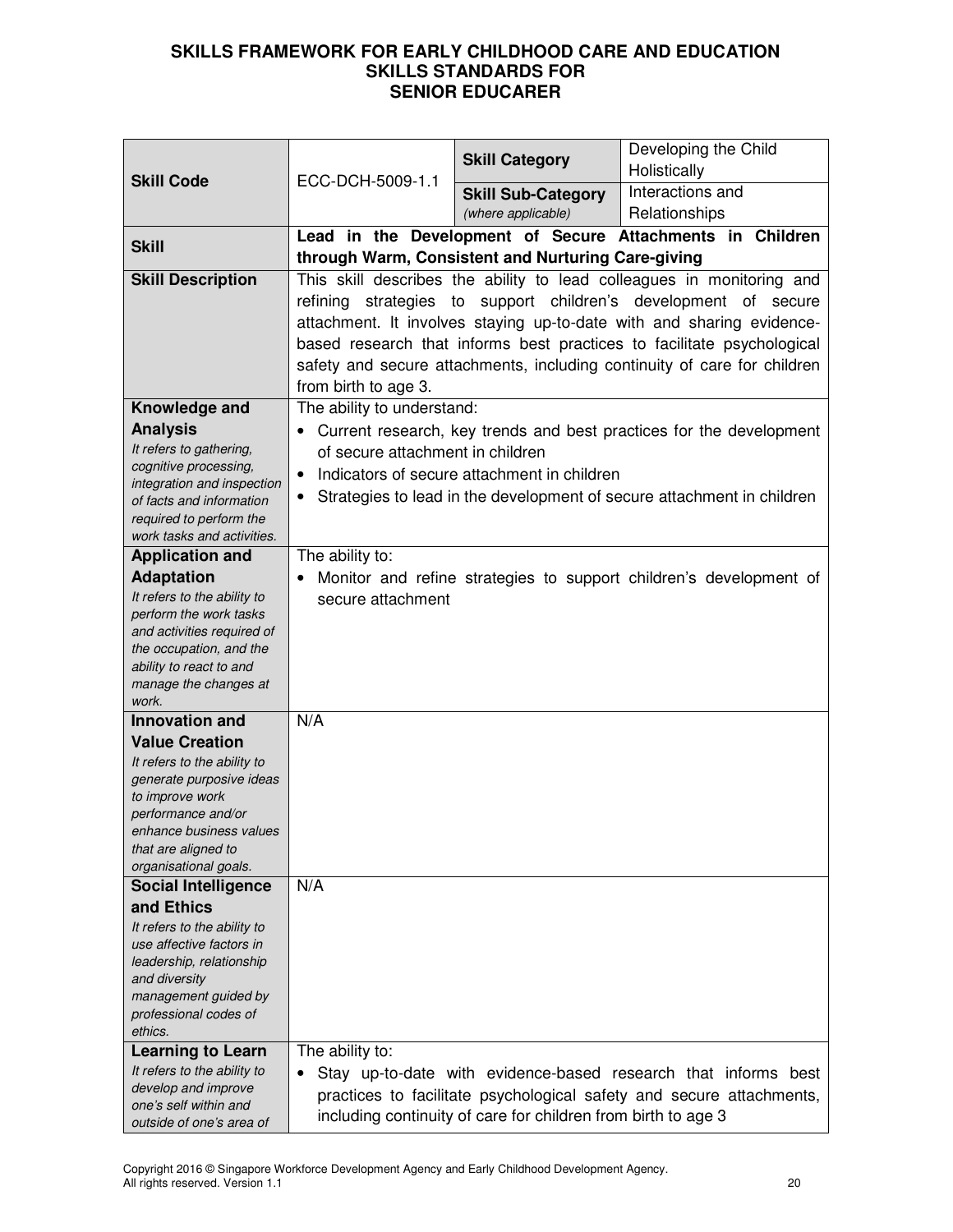| <b>Skill Code</b>                                       |                                                                          | <b>Skill Category</b>                                         | Developing the Child<br>Holistically                                   |
|---------------------------------------------------------|--------------------------------------------------------------------------|---------------------------------------------------------------|------------------------------------------------------------------------|
|                                                         | ECC-DCH-5009-1.1                                                         | <b>Skill Sub-Category</b>                                     | Interactions and                                                       |
|                                                         |                                                                          | (where applicable)                                            | Relationships                                                          |
|                                                         |                                                                          |                                                               | Lead in the Development of Secure Attachments in Children              |
| <b>Skill</b>                                            |                                                                          | through Warm, Consistent and Nurturing Care-giving            |                                                                        |
| <b>Skill Description</b>                                |                                                                          |                                                               | This skill describes the ability to lead colleagues in monitoring and  |
|                                                         |                                                                          |                                                               | refining strategies to support children's development of secure        |
|                                                         |                                                                          |                                                               | attachment. It involves staying up-to-date with and sharing evidence-  |
|                                                         |                                                                          |                                                               | based research that informs best practices to facilitate psychological |
|                                                         | safety and secure attachments, including continuity of care for children |                                                               |                                                                        |
|                                                         | from birth to age 3.                                                     |                                                               |                                                                        |
| Knowledge and                                           | The ability to understand:                                               |                                                               |                                                                        |
| <b>Analysis</b>                                         |                                                                          |                                                               | Current research, key trends and best practices for the development    |
| It refers to gathering,                                 | of secure attachment in children                                         |                                                               |                                                                        |
| cognitive processing,                                   | $\bullet$                                                                | Indicators of secure attachment in children                   |                                                                        |
| integration and inspection<br>of facts and information  | ٠                                                                        |                                                               | Strategies to lead in the development of secure attachment in children |
| required to perform the                                 |                                                                          |                                                               |                                                                        |
| work tasks and activities.                              |                                                                          |                                                               |                                                                        |
| <b>Application and</b>                                  | The ability to:                                                          |                                                               |                                                                        |
| <b>Adaptation</b>                                       |                                                                          |                                                               | Monitor and refine strategies to support children's development of     |
| It refers to the ability to                             | secure attachment                                                        |                                                               |                                                                        |
| perform the work tasks                                  |                                                                          |                                                               |                                                                        |
| and activities required of<br>the occupation, and the   |                                                                          |                                                               |                                                                        |
| ability to react to and                                 |                                                                          |                                                               |                                                                        |
| manage the changes at                                   |                                                                          |                                                               |                                                                        |
| work.                                                   |                                                                          |                                                               |                                                                        |
| <b>Innovation and</b>                                   | N/A                                                                      |                                                               |                                                                        |
| <b>Value Creation</b>                                   |                                                                          |                                                               |                                                                        |
| It refers to the ability to<br>generate purposive ideas |                                                                          |                                                               |                                                                        |
| to improve work                                         |                                                                          |                                                               |                                                                        |
| performance and/or                                      |                                                                          |                                                               |                                                                        |
| enhance business values                                 |                                                                          |                                                               |                                                                        |
| that are aligned to<br>organisational goals.            |                                                                          |                                                               |                                                                        |
| <b>Social Intelligence</b>                              | N/A                                                                      |                                                               |                                                                        |
| and Ethics                                              |                                                                          |                                                               |                                                                        |
| It refers to the ability to                             |                                                                          |                                                               |                                                                        |
| use affective factors in                                |                                                                          |                                                               |                                                                        |
| leadership, relationship                                |                                                                          |                                                               |                                                                        |
| and diversity                                           |                                                                          |                                                               |                                                                        |
| management guided by<br>professional codes of           |                                                                          |                                                               |                                                                        |
| ethics.                                                 |                                                                          |                                                               |                                                                        |
| <b>Learning to Learn</b>                                | The ability to:                                                          |                                                               |                                                                        |
| It refers to the ability to                             | ٠                                                                        |                                                               | Stay up-to-date with evidence-based research that informs best         |
| develop and improve                                     |                                                                          |                                                               | practices to facilitate psychological safety and secure attachments,   |
| one's self within and<br>outside of one's area of       |                                                                          | including continuity of care for children from birth to age 3 |                                                                        |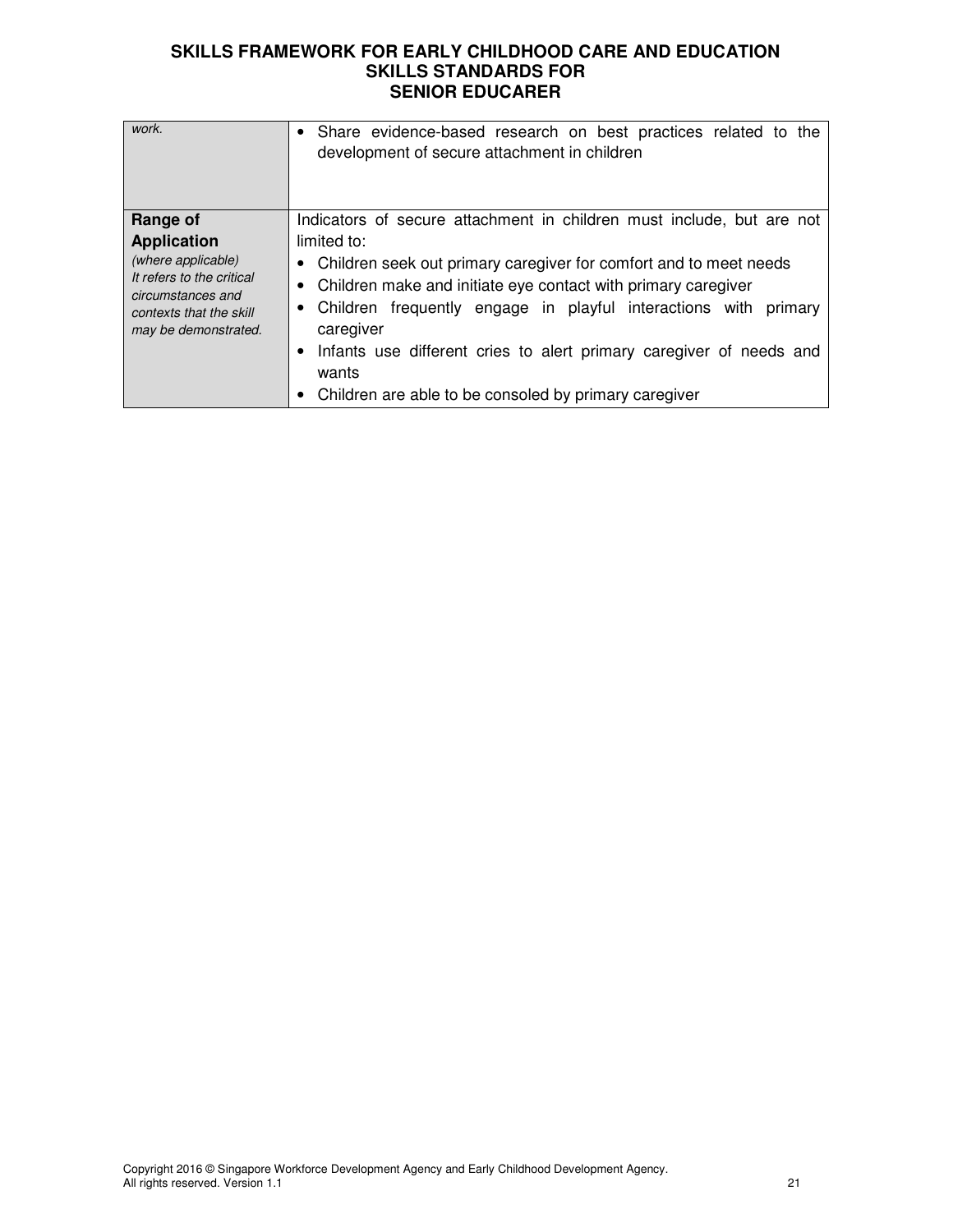| work.                                                                                                                                                     | Share evidence-based research on best practices related to the<br>development of secure attachment in children                                                                                                                                                                                                                                                                                                                                                 |
|-----------------------------------------------------------------------------------------------------------------------------------------------------------|----------------------------------------------------------------------------------------------------------------------------------------------------------------------------------------------------------------------------------------------------------------------------------------------------------------------------------------------------------------------------------------------------------------------------------------------------------------|
| Range of<br><b>Application</b><br>(where applicable)<br>It refers to the critical<br>circumstances and<br>contexts that the skill<br>may be demonstrated. | Indicators of secure attachment in children must include, but are not<br>limited to:<br>• Children seek out primary caregiver for comfort and to meet needs<br>• Children make and initiate eye contact with primary caregiver<br>• Children frequently engage in playful interactions with primary<br>caregiver<br>Infants use different cries to alert primary caregiver of needs and<br>٠<br>wants<br>Children are able to be consoled by primary caregiver |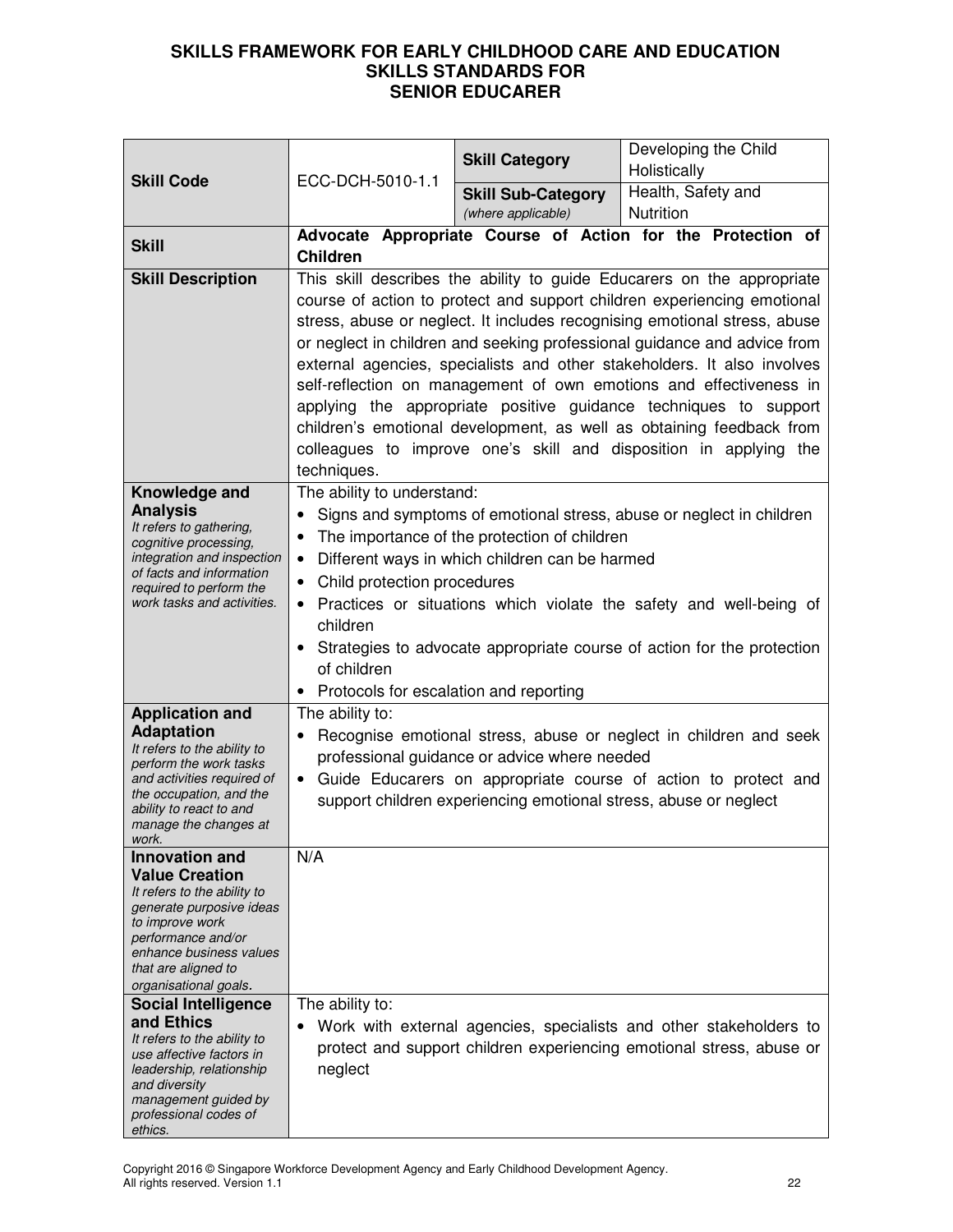|                                                        |                                                                                                                  | <b>Skill Category</b>                                                    | Developing the Child<br>Holistically                                                                                                          |  |
|--------------------------------------------------------|------------------------------------------------------------------------------------------------------------------|--------------------------------------------------------------------------|-----------------------------------------------------------------------------------------------------------------------------------------------|--|
| <b>Skill Code</b>                                      | ECC-DCH-5010-1.1                                                                                                 | <b>Skill Sub-Category</b>                                                | Health, Safety and                                                                                                                            |  |
|                                                        |                                                                                                                  | (where applicable)                                                       | Nutrition                                                                                                                                     |  |
|                                                        |                                                                                                                  |                                                                          | Advocate Appropriate Course of Action for the Protection of                                                                                   |  |
| <b>Skill</b>                                           | <b>Children</b>                                                                                                  |                                                                          |                                                                                                                                               |  |
| <b>Skill Description</b>                               |                                                                                                                  |                                                                          | This skill describes the ability to guide Educarers on the appropriate                                                                        |  |
|                                                        |                                                                                                                  |                                                                          | course of action to protect and support children experiencing emotional                                                                       |  |
|                                                        |                                                                                                                  |                                                                          | stress, abuse or neglect. It includes recognising emotional stress, abuse                                                                     |  |
|                                                        |                                                                                                                  |                                                                          | or neglect in children and seeking professional guidance and advice from                                                                      |  |
|                                                        |                                                                                                                  |                                                                          | external agencies, specialists and other stakeholders. It also involves<br>self-reflection on management of own emotions and effectiveness in |  |
|                                                        |                                                                                                                  |                                                                          | applying the appropriate positive guidance techniques to support                                                                              |  |
|                                                        |                                                                                                                  |                                                                          | children's emotional development, as well as obtaining feedback from                                                                          |  |
|                                                        |                                                                                                                  |                                                                          | colleagues to improve one's skill and disposition in applying the                                                                             |  |
|                                                        | techniques.                                                                                                      |                                                                          |                                                                                                                                               |  |
| Knowledge and                                          | The ability to understand:                                                                                       |                                                                          |                                                                                                                                               |  |
| <b>Analysis</b><br>It refers to gathering,             | $\bullet$                                                                                                        |                                                                          | Signs and symptoms of emotional stress, abuse or neglect in children                                                                          |  |
| cognitive processing,                                  | ٠                                                                                                                | The importance of the protection of children                             |                                                                                                                                               |  |
| integration and inspection<br>of facts and information | $\bullet$                                                                                                        | Different ways in which children can be harmed                           |                                                                                                                                               |  |
| required to perform the<br>work tasks and activities.  | Child protection procedures<br>$\bullet$<br>• Practices or situations which violate the safety and well-being of |                                                                          |                                                                                                                                               |  |
|                                                        | children                                                                                                         |                                                                          |                                                                                                                                               |  |
|                                                        |                                                                                                                  | • Strategies to advocate appropriate course of action for the protection |                                                                                                                                               |  |
|                                                        | of children                                                                                                      |                                                                          |                                                                                                                                               |  |
|                                                        | • Protocols for escalation and reporting                                                                         |                                                                          |                                                                                                                                               |  |
| <b>Application and</b>                                 | The ability to:                                                                                                  |                                                                          |                                                                                                                                               |  |
| <b>Adaptation</b><br>It refers to the ability to       |                                                                                                                  |                                                                          | Recognise emotional stress, abuse or neglect in children and seek                                                                             |  |
| perform the work tasks                                 |                                                                                                                  | professional guidance or advice where needed                             |                                                                                                                                               |  |
| and activities required of<br>the occupation, and the  |                                                                                                                  | support children experiencing emotional stress, abuse or neglect         | • Guide Educarers on appropriate course of action to protect and                                                                              |  |
| ability to react to and<br>manage the changes at       |                                                                                                                  |                                                                          |                                                                                                                                               |  |
| work.                                                  |                                                                                                                  |                                                                          |                                                                                                                                               |  |
| <b>Innovation and</b><br><b>Value Creation</b>         | N/A                                                                                                              |                                                                          |                                                                                                                                               |  |
| It refers to the ability to                            |                                                                                                                  |                                                                          |                                                                                                                                               |  |
| generate purposive ideas<br>to improve work            |                                                                                                                  |                                                                          |                                                                                                                                               |  |
| performance and/or                                     |                                                                                                                  |                                                                          |                                                                                                                                               |  |
| enhance business values<br>that are aligned to         |                                                                                                                  |                                                                          |                                                                                                                                               |  |
| organisational goals.                                  |                                                                                                                  |                                                                          |                                                                                                                                               |  |
| <b>Social Intelligence</b><br>and Ethics               | The ability to:                                                                                                  |                                                                          |                                                                                                                                               |  |
| It refers to the ability to                            |                                                                                                                  |                                                                          | Work with external agencies, specialists and other stakeholders to<br>protect and support children experiencing emotional stress, abuse or    |  |
| use affective factors in<br>leadership, relationship   | neglect                                                                                                          |                                                                          |                                                                                                                                               |  |
| and diversity                                          |                                                                                                                  |                                                                          |                                                                                                                                               |  |
| management guided by<br>professional codes of          |                                                                                                                  |                                                                          |                                                                                                                                               |  |
| ethics.                                                |                                                                                                                  |                                                                          |                                                                                                                                               |  |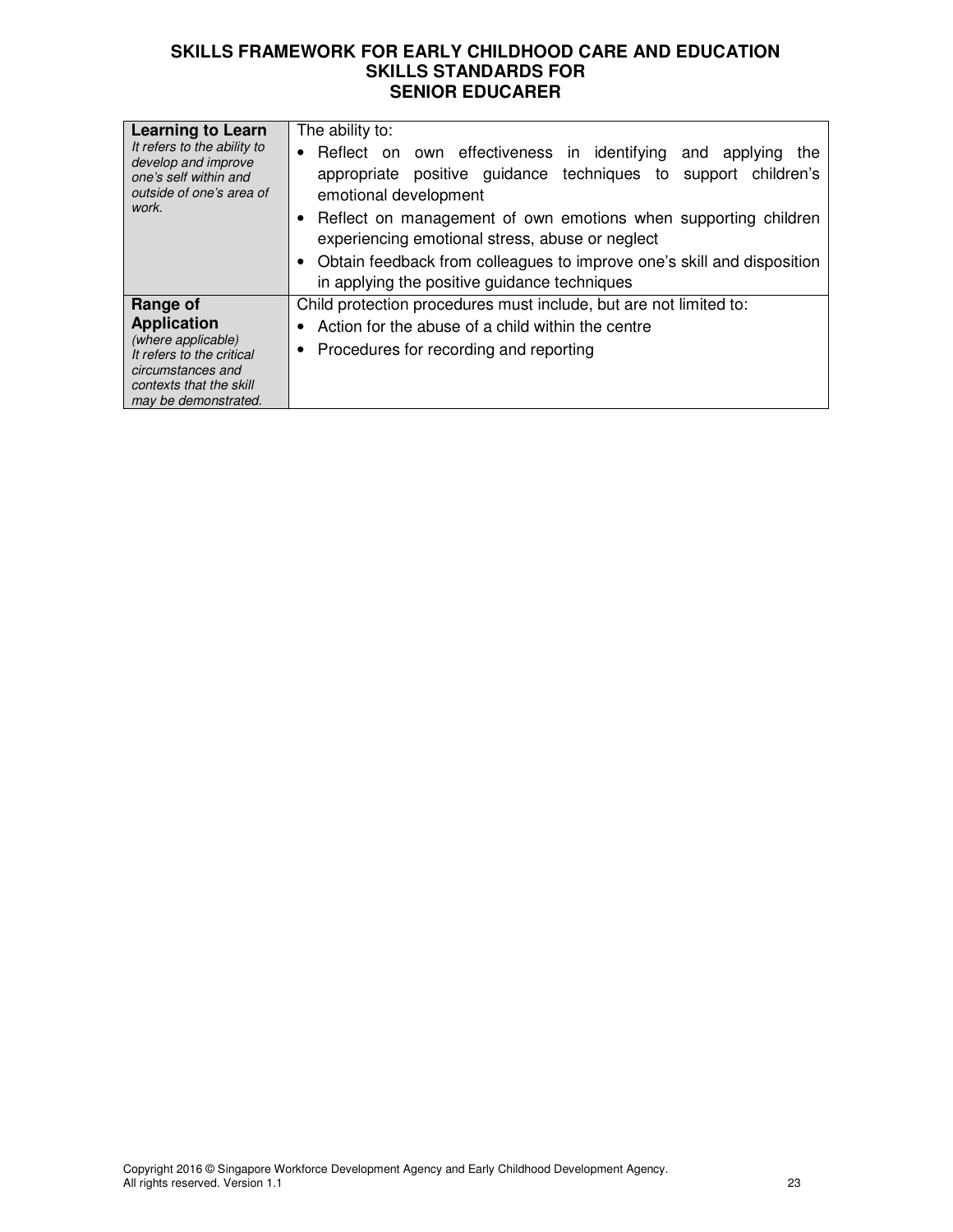| <b>Learning to Learn</b><br>It refers to the ability to<br>develop and improve<br>one's self within and<br>outside of one's area of<br>work.              | The ability to:<br>Reflect on own effectiveness in identifying and applying<br>the<br>$\bullet$<br>positive guidance techniques to support children's<br>appropriate<br>emotional development<br>Reflect on management of own emotions when supporting children<br>experiencing emotional stress, abuse or neglect<br>Obtain feedback from colleagues to improve one's skill and disposition<br>in applying the positive guidance techniques |
|-----------------------------------------------------------------------------------------------------------------------------------------------------------|----------------------------------------------------------------------------------------------------------------------------------------------------------------------------------------------------------------------------------------------------------------------------------------------------------------------------------------------------------------------------------------------------------------------------------------------|
| Range of<br><b>Application</b><br>(where applicable)<br>It refers to the critical<br>circumstances and<br>contexts that the skill<br>may be demonstrated. | Child protection procedures must include, but are not limited to:<br>Action for the abuse of a child within the centre<br>Procedures for recording and reporting<br>٠                                                                                                                                                                                                                                                                        |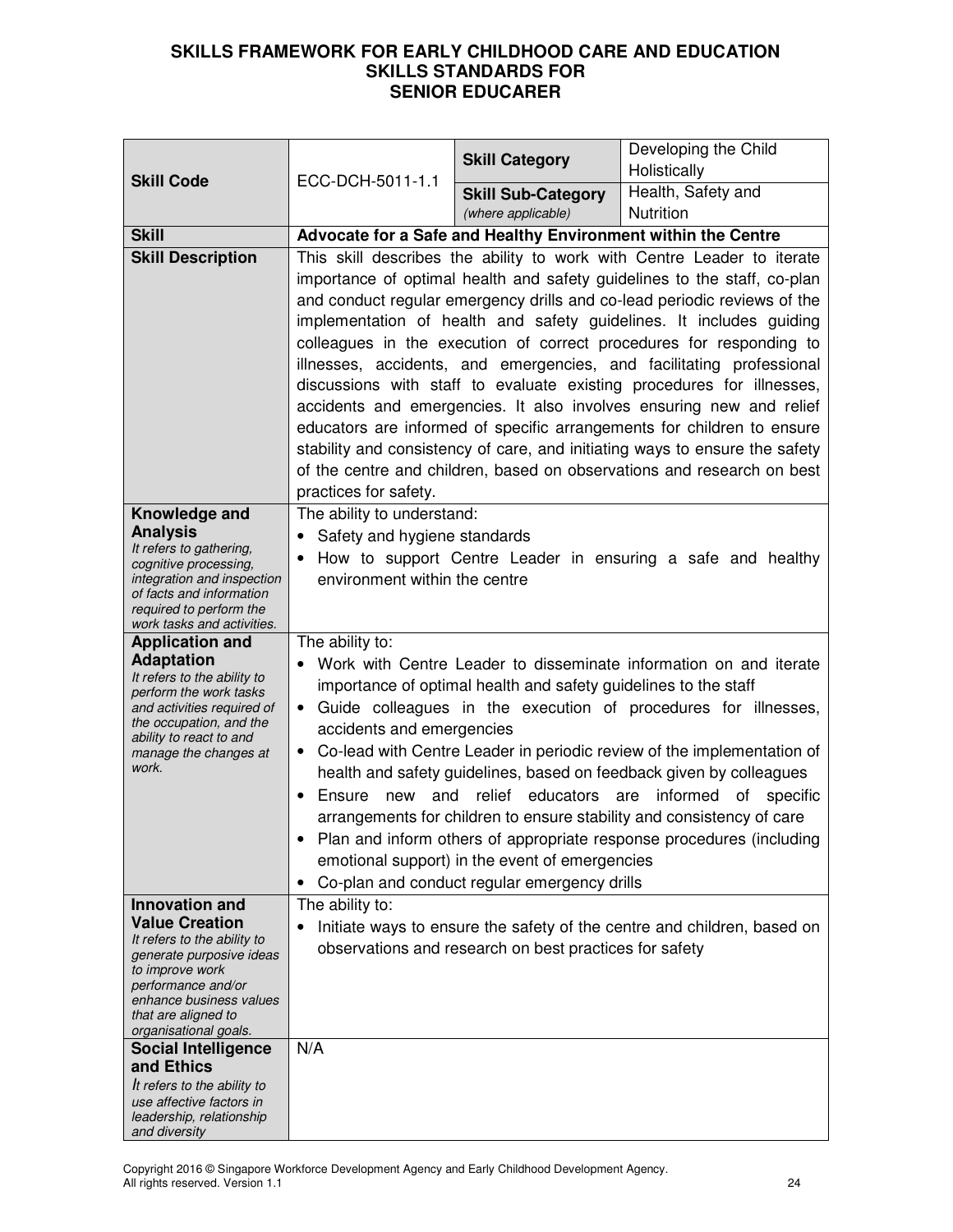| <b>Skill Code</b>                                                                                                                                                                                                             | ECC-DCH-5011-1.1                                                                                                                                                                                                                                                                                                                                                                                                                                                                                                                                                                                                                                                                                                                                                                                                                                                 | <b>Skill Category</b>                                  | Developing the Child<br>Holistically                                    |
|-------------------------------------------------------------------------------------------------------------------------------------------------------------------------------------------------------------------------------|------------------------------------------------------------------------------------------------------------------------------------------------------------------------------------------------------------------------------------------------------------------------------------------------------------------------------------------------------------------------------------------------------------------------------------------------------------------------------------------------------------------------------------------------------------------------------------------------------------------------------------------------------------------------------------------------------------------------------------------------------------------------------------------------------------------------------------------------------------------|--------------------------------------------------------|-------------------------------------------------------------------------|
|                                                                                                                                                                                                                               |                                                                                                                                                                                                                                                                                                                                                                                                                                                                                                                                                                                                                                                                                                                                                                                                                                                                  | <b>Skill Sub-Category</b><br>(where applicable)        | Health, Safety and<br>Nutrition                                         |
| <b>Skill</b>                                                                                                                                                                                                                  | Advocate for a Safe and Healthy Environment within the Centre                                                                                                                                                                                                                                                                                                                                                                                                                                                                                                                                                                                                                                                                                                                                                                                                    |                                                        |                                                                         |
| <b>Skill Description</b>                                                                                                                                                                                                      | This skill describes the ability to work with Centre Leader to iterate<br>importance of optimal health and safety guidelines to the staff, co-plan<br>and conduct regular emergency drills and co-lead periodic reviews of the<br>implementation of health and safety guidelines. It includes guiding<br>colleagues in the execution of correct procedures for responding to<br>illnesses, accidents, and emergencies, and facilitating professional<br>discussions with staff to evaluate existing procedures for illnesses,<br>accidents and emergencies. It also involves ensuring new and relief<br>educators are informed of specific arrangements for children to ensure<br>stability and consistency of care, and initiating ways to ensure the safety<br>of the centre and children, based on observations and research on best<br>practices for safety. |                                                        |                                                                         |
| Knowledge and<br><b>Analysis</b><br>It refers to gathering,<br>cognitive processing,<br>integration and inspection<br>of facts and information<br>required to perform the<br>work tasks and activities.                       | The ability to understand:<br>• Safety and hygiene standards<br>environment within the centre                                                                                                                                                                                                                                                                                                                                                                                                                                                                                                                                                                                                                                                                                                                                                                    |                                                        | How to support Centre Leader in ensuring a safe and healthy             |
| <b>Application and</b><br><b>Adaptation</b><br>It refers to the ability to<br>perform the work tasks<br>and activities required of<br>the occupation, and the<br>ability to react to and<br>manage the changes at<br>work.    | The ability to:<br>Work with Centre Leader to disseminate information on and iterate<br>importance of optimal health and safety guidelines to the staff<br>Guide colleagues in the execution of procedures for illnesses,<br>$\bullet$<br>accidents and emergencies<br>Co-lead with Centre Leader in periodic review of the implementation of<br>health and safety guidelines, based on feedback given by colleagues<br>new and relief educators are<br>informed of specific<br>Ensure<br>$\bullet$<br>arrangements for children to ensure stability and consistency of care<br>Plan and inform others of appropriate response procedures (including<br>emotional support) in the event of emergencies<br>Co-plan and conduct regular emergency drills<br>$\bullet$                                                                                              |                                                        |                                                                         |
| <b>Innovation and</b><br><b>Value Creation</b><br>It refers to the ability to<br>generate purposive ideas<br>to improve work<br>performance and/or<br>enhance business values<br>that are aligned to<br>organisational goals. | The ability to:                                                                                                                                                                                                                                                                                                                                                                                                                                                                                                                                                                                                                                                                                                                                                                                                                                                  | observations and research on best practices for safety | Initiate ways to ensure the safety of the centre and children, based on |
| <b>Social Intelligence</b><br>and Ethics<br>It refers to the ability to<br>use affective factors in<br>leadership, relationship<br>and diversity                                                                              | N/A                                                                                                                                                                                                                                                                                                                                                                                                                                                                                                                                                                                                                                                                                                                                                                                                                                                              |                                                        |                                                                         |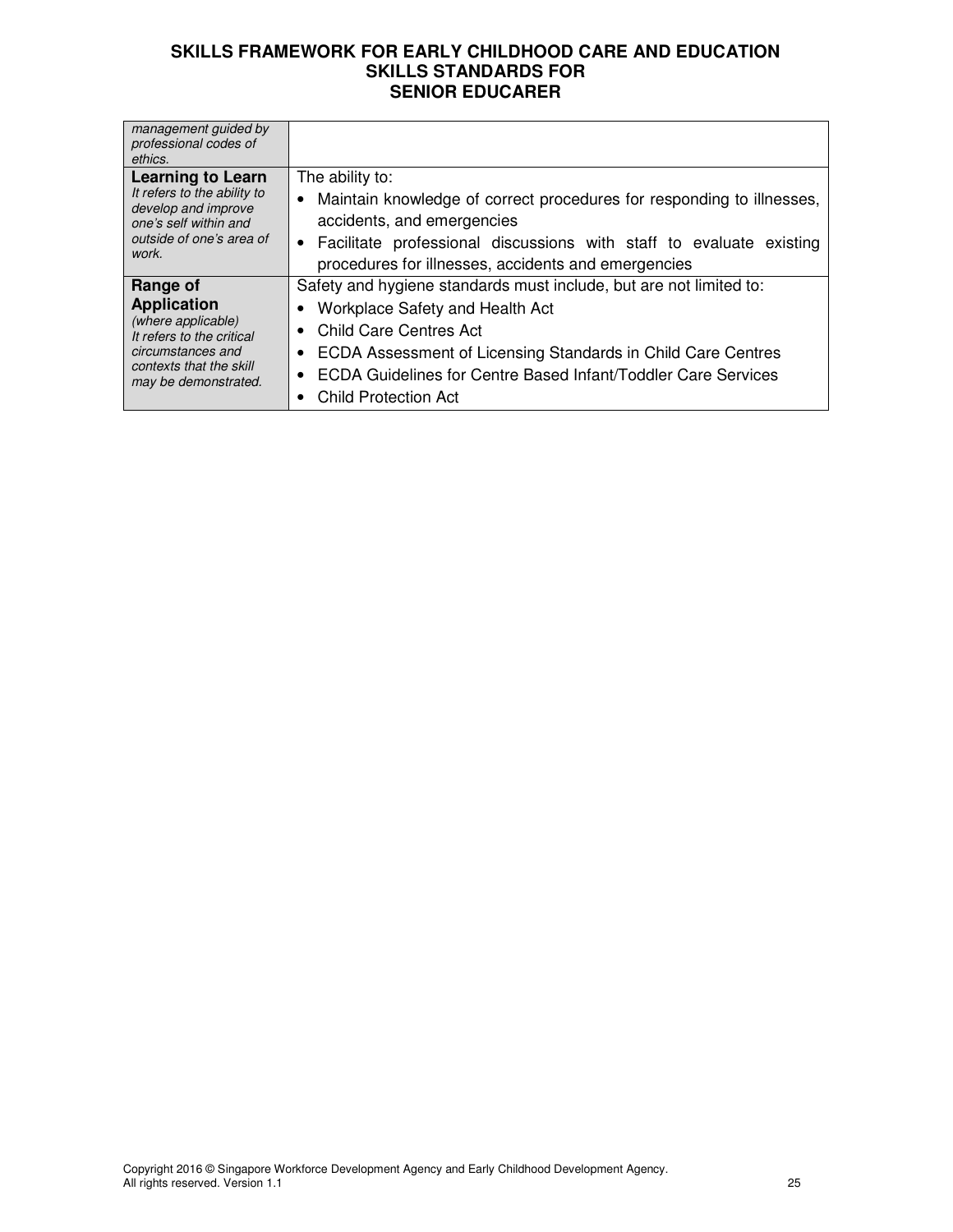| management guided by<br>professional codes of<br>ethics. |                                                                       |
|----------------------------------------------------------|-----------------------------------------------------------------------|
| Learning to Learn                                        | The ability to:                                                       |
| It refers to the ability to                              | Maintain knowledge of correct procedures for responding to illnesses, |
| develop and improve                                      | $\bullet$                                                             |
| one's self within and                                    | accidents, and emergencies                                            |
| outside of one's area of                                 | • Facilitate professional discussions with staff to evaluate existing |
| work.                                                    | procedures for illnesses, accidents and emergencies                   |
| Range of                                                 | Safety and hygiene standards must include, but are not limited to:    |
| <b>Application</b>                                       | • Workplace Safety and Health Act                                     |
| (where applicable)                                       | • Child Care Centres Act                                              |
| It refers to the critical                                | ECDA Assessment of Licensing Standards in Child Care Centres          |
| circumstances and                                        | ECDA Guidelines for Centre Based Infant/Toddler Care Services         |
| contexts that the skill                                  | $\bullet$                                                             |
| may be demonstrated.                                     | <b>Child Protection Act</b>                                           |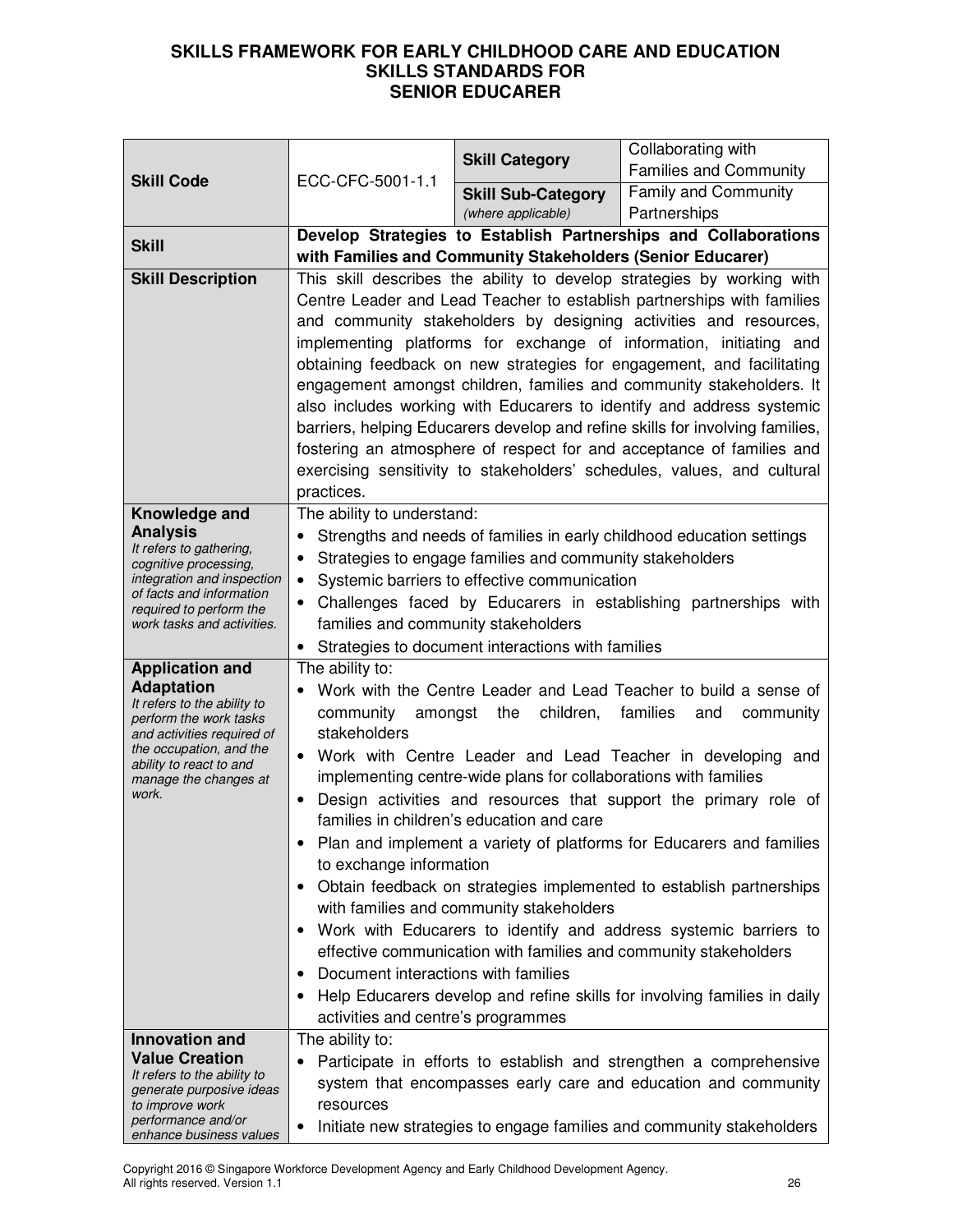| <b>Skill Code</b>                                                                   |                                                                                                                                                                                          | <b>Skill Category</b>                               | Collaborating with<br><b>Families and Community</b>                                                                                              |  |  |  |
|-------------------------------------------------------------------------------------|------------------------------------------------------------------------------------------------------------------------------------------------------------------------------------------|-----------------------------------------------------|--------------------------------------------------------------------------------------------------------------------------------------------------|--|--|--|
|                                                                                     | ECC-CFC-5001-1.1                                                                                                                                                                         | <b>Skill Sub-Category</b>                           | <b>Family and Community</b>                                                                                                                      |  |  |  |
|                                                                                     |                                                                                                                                                                                          | (where applicable)                                  | Partnerships                                                                                                                                     |  |  |  |
| <b>Skill</b>                                                                        | Develop Strategies to Establish Partnerships and Collaborations                                                                                                                          |                                                     |                                                                                                                                                  |  |  |  |
| <b>Skill Description</b>                                                            | with Families and Community Stakeholders (Senior Educarer)<br>This skill describes the ability to develop strategies by working with                                                     |                                                     |                                                                                                                                                  |  |  |  |
|                                                                                     | Centre Leader and Lead Teacher to establish partnerships with families<br>and community stakeholders by designing activities and resources,                                              |                                                     |                                                                                                                                                  |  |  |  |
|                                                                                     | implementing platforms for exchange of information, initiating and<br>obtaining feedback on new strategies for engagement, and facilitating                                              |                                                     |                                                                                                                                                  |  |  |  |
|                                                                                     |                                                                                                                                                                                          |                                                     | engagement amongst children, families and community stakeholders. It                                                                             |  |  |  |
|                                                                                     |                                                                                                                                                                                          |                                                     | also includes working with Educarers to identify and address systemic                                                                            |  |  |  |
|                                                                                     |                                                                                                                                                                                          |                                                     | barriers, helping Educarers develop and refine skills for involving families,                                                                    |  |  |  |
|                                                                                     |                                                                                                                                                                                          |                                                     | fostering an atmosphere of respect for and acceptance of families and<br>exercising sensitivity to stakeholders' schedules, values, and cultural |  |  |  |
|                                                                                     | practices.                                                                                                                                                                               |                                                     |                                                                                                                                                  |  |  |  |
| Knowledge and                                                                       | The ability to understand:                                                                                                                                                               |                                                     |                                                                                                                                                  |  |  |  |
| <b>Analysis</b><br>It refers to gathering,                                          | Strengths and needs of families in early childhood education settings                                                                                                                    |                                                     |                                                                                                                                                  |  |  |  |
| cognitive processing,<br>integration and inspection                                 | Strategies to engage families and community stakeholders<br>Systemic barriers to effective communication<br>$\bullet$<br>Challenges faced by Educarers in establishing partnerships with |                                                     |                                                                                                                                                  |  |  |  |
| of facts and information                                                            |                                                                                                                                                                                          |                                                     |                                                                                                                                                  |  |  |  |
| required to perform the<br>work tasks and activities.                               | families and community stakeholders                                                                                                                                                      |                                                     |                                                                                                                                                  |  |  |  |
|                                                                                     |                                                                                                                                                                                          | • Strategies to document interactions with families |                                                                                                                                                  |  |  |  |
| <b>Application and</b><br><b>Adaptation</b>                                         | The ability to:<br>$\bullet$                                                                                                                                                             |                                                     |                                                                                                                                                  |  |  |  |
| It refers to the ability to<br>perform the work tasks<br>and activities required of | Work with the Centre Leader and Lead Teacher to build a sense of<br>children, families<br>community<br>amongst the<br>and<br>community<br>stakeholders                                   |                                                     |                                                                                                                                                  |  |  |  |
| the occupation, and the<br>ability to react to and                                  | Work with Centre Leader and Lead Teacher in developing and                                                                                                                               |                                                     |                                                                                                                                                  |  |  |  |
| manage the changes at<br>work.                                                      | implementing centre-wide plans for collaborations with families                                                                                                                          |                                                     |                                                                                                                                                  |  |  |  |
|                                                                                     | Design activities and resources that support the primary role of<br>families in children's education and care                                                                            |                                                     |                                                                                                                                                  |  |  |  |
|                                                                                     | Plan and implement a variety of platforms for Educarers and families                                                                                                                     |                                                     |                                                                                                                                                  |  |  |  |
|                                                                                     | to exchange information                                                                                                                                                                  |                                                     |                                                                                                                                                  |  |  |  |
|                                                                                     | Obtain feedback on strategies implemented to establish partnerships<br>$\bullet$<br>with families and community stakeholders                                                             |                                                     |                                                                                                                                                  |  |  |  |
|                                                                                     |                                                                                                                                                                                          |                                                     | Work with Educarers to identify and address systemic barriers to                                                                                 |  |  |  |
|                                                                                     |                                                                                                                                                                                          |                                                     | effective communication with families and community stakeholders                                                                                 |  |  |  |
|                                                                                     | Document interactions with families                                                                                                                                                      |                                                     |                                                                                                                                                  |  |  |  |
|                                                                                     |                                                                                                                                                                                          |                                                     | Help Educarers develop and refine skills for involving families in daily                                                                         |  |  |  |
| <b>Innovation and</b>                                                               | activities and centre's programmes<br>The ability to:                                                                                                                                    |                                                     |                                                                                                                                                  |  |  |  |
| <b>Value Creation</b>                                                               | ٠                                                                                                                                                                                        |                                                     | Participate in efforts to establish and strengthen a comprehensive                                                                               |  |  |  |
| It refers to the ability to<br>generate purposive ideas                             |                                                                                                                                                                                          |                                                     | system that encompasses early care and education and community                                                                                   |  |  |  |
| to improve work                                                                     | resources                                                                                                                                                                                |                                                     |                                                                                                                                                  |  |  |  |
| performance and/or<br>enhance business values                                       | Initiate new strategies to engage families and community stakeholders                                                                                                                    |                                                     |                                                                                                                                                  |  |  |  |

Copyright 2016 © Singapore Workforce Development Agency and Early Childhood Development Agency. All rights reserved. Version 1.1 26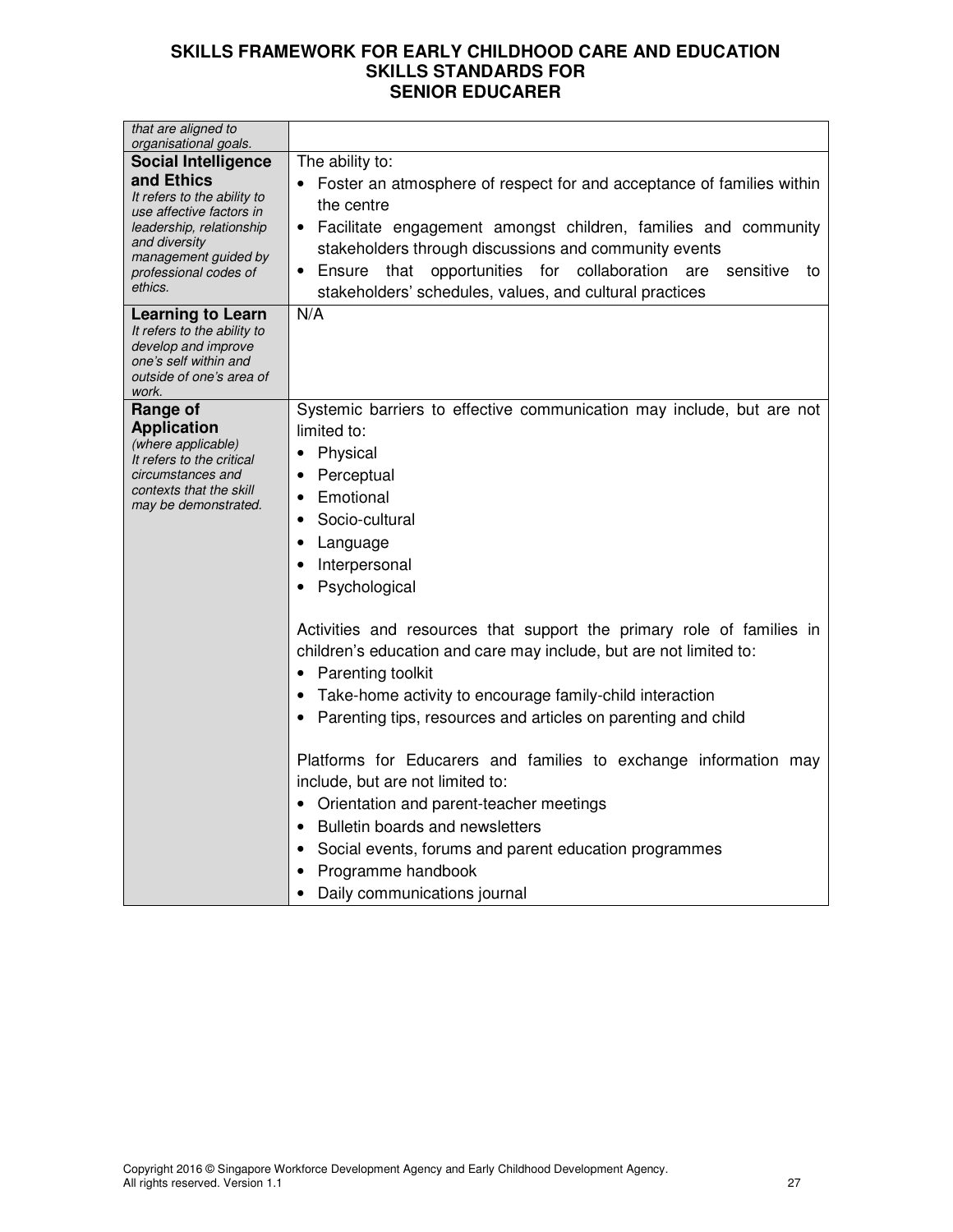| that are aligned to<br>organisational goals.                                                                                                                                   |                                                                                                                                                                                                                                                                                                                                                      |
|--------------------------------------------------------------------------------------------------------------------------------------------------------------------------------|------------------------------------------------------------------------------------------------------------------------------------------------------------------------------------------------------------------------------------------------------------------------------------------------------------------------------------------------------|
| <b>Social Intelligence</b>                                                                                                                                                     | The ability to:                                                                                                                                                                                                                                                                                                                                      |
| and Ethics<br>It refers to the ability to<br>use affective factors in<br>leadership, relationship<br>and diversity<br>management guided by<br>professional codes of<br>ethics. | Foster an atmosphere of respect for and acceptance of families within<br>the centre<br>Facilitate engagement amongst children, families and community<br>stakeholders through discussions and community events<br>that opportunities for collaboration are<br>sensitive<br>• Ensure<br>to<br>stakeholders' schedules, values, and cultural practices |
| Learning to Learn<br>It refers to the ability to<br>develop and improve<br>one's self within and<br>outside of one's area of<br>work.                                          | N/A                                                                                                                                                                                                                                                                                                                                                  |
| Range of                                                                                                                                                                       | Systemic barriers to effective communication may include, but are not                                                                                                                                                                                                                                                                                |
| <b>Application</b><br>(where applicable)                                                                                                                                       | limited to:                                                                                                                                                                                                                                                                                                                                          |
| It refers to the critical                                                                                                                                                      | Physical<br>$\bullet$                                                                                                                                                                                                                                                                                                                                |
| circumstances and<br>contexts that the skill                                                                                                                                   | Perceptual<br>$\bullet$                                                                                                                                                                                                                                                                                                                              |
| may be demonstrated.                                                                                                                                                           | Emotional<br>٠                                                                                                                                                                                                                                                                                                                                       |
|                                                                                                                                                                                | Socio-cultural<br>$\bullet$                                                                                                                                                                                                                                                                                                                          |
|                                                                                                                                                                                | Language<br>٠                                                                                                                                                                                                                                                                                                                                        |
|                                                                                                                                                                                | Interpersonal<br>$\bullet$                                                                                                                                                                                                                                                                                                                           |
|                                                                                                                                                                                | Psychological                                                                                                                                                                                                                                                                                                                                        |
|                                                                                                                                                                                | Activities and resources that support the primary role of families in<br>children's education and care may include, but are not limited to:<br>Parenting toolkit<br>Take-home activity to encourage family-child interaction<br>٠<br>Parenting tips, resources and articles on parenting and child                                                   |
|                                                                                                                                                                                | Platforms for Educarers and families to exchange information may<br>include, but are not limited to:<br>Orientation and parent-teacher meetings                                                                                                                                                                                                      |
|                                                                                                                                                                                | Bulletin boards and newsletters                                                                                                                                                                                                                                                                                                                      |
|                                                                                                                                                                                | Social events, forums and parent education programmes<br>$\bullet$                                                                                                                                                                                                                                                                                   |
|                                                                                                                                                                                | Programme handbook                                                                                                                                                                                                                                                                                                                                   |
|                                                                                                                                                                                | Daily communications journal                                                                                                                                                                                                                                                                                                                         |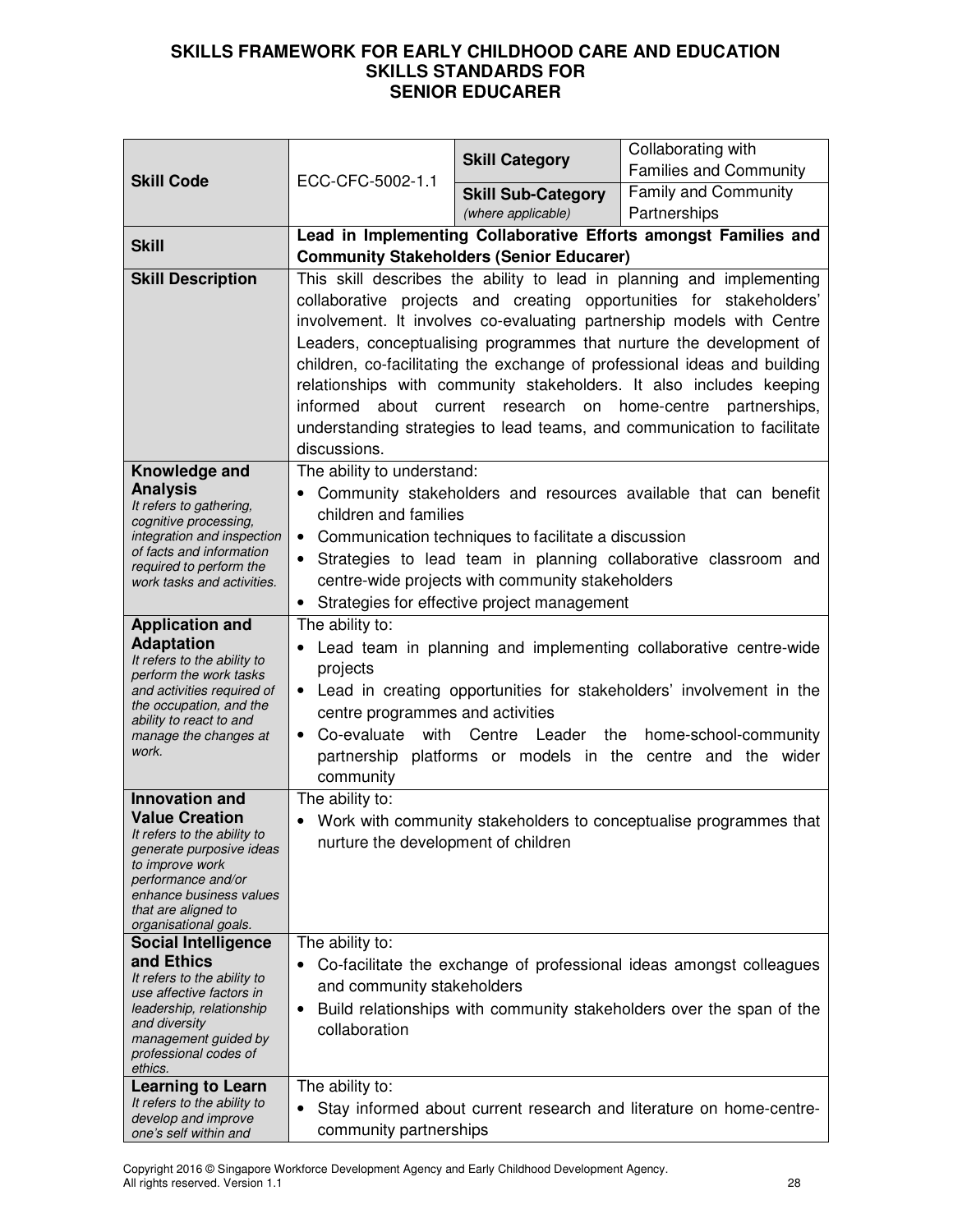|                                                         | ECC-CFC-5002-1.1                                                                                                                                                                          | <b>Skill Category</b>     | Collaborating with                                                        |  |  |
|---------------------------------------------------------|-------------------------------------------------------------------------------------------------------------------------------------------------------------------------------------------|---------------------------|---------------------------------------------------------------------------|--|--|
| <b>Skill Code</b>                                       |                                                                                                                                                                                           | <b>Skill Sub-Category</b> | <b>Families and Community</b><br><b>Family and Community</b>              |  |  |
|                                                         |                                                                                                                                                                                           | (where applicable)        | Partnerships                                                              |  |  |
| <b>Skill</b>                                            |                                                                                                                                                                                           |                           | Lead in Implementing Collaborative Efforts amongst Families and           |  |  |
|                                                         | <b>Community Stakeholders (Senior Educarer)</b>                                                                                                                                           |                           |                                                                           |  |  |
| <b>Skill Description</b>                                | This skill describes the ability to lead in planning and implementing                                                                                                                     |                           |                                                                           |  |  |
|                                                         | collaborative projects and creating opportunities for stakeholders'                                                                                                                       |                           |                                                                           |  |  |
|                                                         | involvement. It involves co-evaluating partnership models with Centre<br>Leaders, conceptualising programmes that nurture the development of                                              |                           |                                                                           |  |  |
|                                                         |                                                                                                                                                                                           |                           | children, co-facilitating the exchange of professional ideas and building |  |  |
|                                                         |                                                                                                                                                                                           |                           | relationships with community stakeholders. It also includes keeping       |  |  |
|                                                         | informed                                                                                                                                                                                  |                           | about current research on home-centre partnerships,                       |  |  |
|                                                         |                                                                                                                                                                                           |                           | understanding strategies to lead teams, and communication to facilitate   |  |  |
|                                                         | discussions.                                                                                                                                                                              |                           |                                                                           |  |  |
| Knowledge and<br><b>Analysis</b>                        | The ability to understand:                                                                                                                                                                |                           |                                                                           |  |  |
| It refers to gathering,                                 | children and families                                                                                                                                                                     |                           | Community stakeholders and resources available that can benefit           |  |  |
| cognitive processing,<br>integration and inspection     | $\bullet$                                                                                                                                                                                 |                           |                                                                           |  |  |
| of facts and information                                | Communication techniques to facilitate a discussion<br>Strategies to lead team in planning collaborative classroom and                                                                    |                           |                                                                           |  |  |
| required to perform the<br>work tasks and activities.   | centre-wide projects with community stakeholders                                                                                                                                          |                           |                                                                           |  |  |
|                                                         | Strategies for effective project management                                                                                                                                               |                           |                                                                           |  |  |
| <b>Application and</b>                                  | The ability to:                                                                                                                                                                           |                           |                                                                           |  |  |
| <b>Adaptation</b><br>It refers to the ability to        | Lead team in planning and implementing collaborative centre-wide<br>projects<br>• Lead in creating opportunities for stakeholders' involvement in the<br>centre programmes and activities |                           |                                                                           |  |  |
| perform the work tasks                                  |                                                                                                                                                                                           |                           |                                                                           |  |  |
| and activities required of<br>the occupation, and the   |                                                                                                                                                                                           |                           |                                                                           |  |  |
| ability to react to and<br>manage the changes at        | Co-evaluate<br>with<br>Centre<br>Leader<br>the<br>home-school-community                                                                                                                   |                           |                                                                           |  |  |
| work.                                                   | partnership platforms or models in the centre and the wider                                                                                                                               |                           |                                                                           |  |  |
|                                                         | community                                                                                                                                                                                 |                           |                                                                           |  |  |
| Innovation and                                          | The ability to:                                                                                                                                                                           |                           |                                                                           |  |  |
| <b>Value Creation</b><br>It refers to the ability to    |                                                                                                                                                                                           |                           | • Work with community stakeholders to conceptualise programmes that       |  |  |
| generate purposive ideas<br>to improve work             | nurture the development of children                                                                                                                                                       |                           |                                                                           |  |  |
| performance and/or                                      |                                                                                                                                                                                           |                           |                                                                           |  |  |
| enhance business values<br>that are aligned to          |                                                                                                                                                                                           |                           |                                                                           |  |  |
| organisational goals.                                   |                                                                                                                                                                                           |                           |                                                                           |  |  |
| <b>Social Intelligence</b><br>and Ethics                | The ability to:                                                                                                                                                                           |                           |                                                                           |  |  |
| It refers to the ability to                             |                                                                                                                                                                                           |                           | Co-facilitate the exchange of professional ideas amongst colleagues       |  |  |
| use affective factors in<br>leadership, relationship    | and community stakeholders                                                                                                                                                                |                           |                                                                           |  |  |
| and diversity                                           | Build relationships with community stakeholders over the span of the<br>$\bullet$<br>collaboration                                                                                        |                           |                                                                           |  |  |
| management guided by<br>professional codes of           |                                                                                                                                                                                           |                           |                                                                           |  |  |
| ethics.                                                 |                                                                                                                                                                                           |                           |                                                                           |  |  |
| <b>Learning to Learn</b><br>It refers to the ability to | The ability to:                                                                                                                                                                           |                           |                                                                           |  |  |
| develop and improve<br>one's self within and            | Stay informed about current research and literature on home-centre-<br>community partnerships                                                                                             |                           |                                                                           |  |  |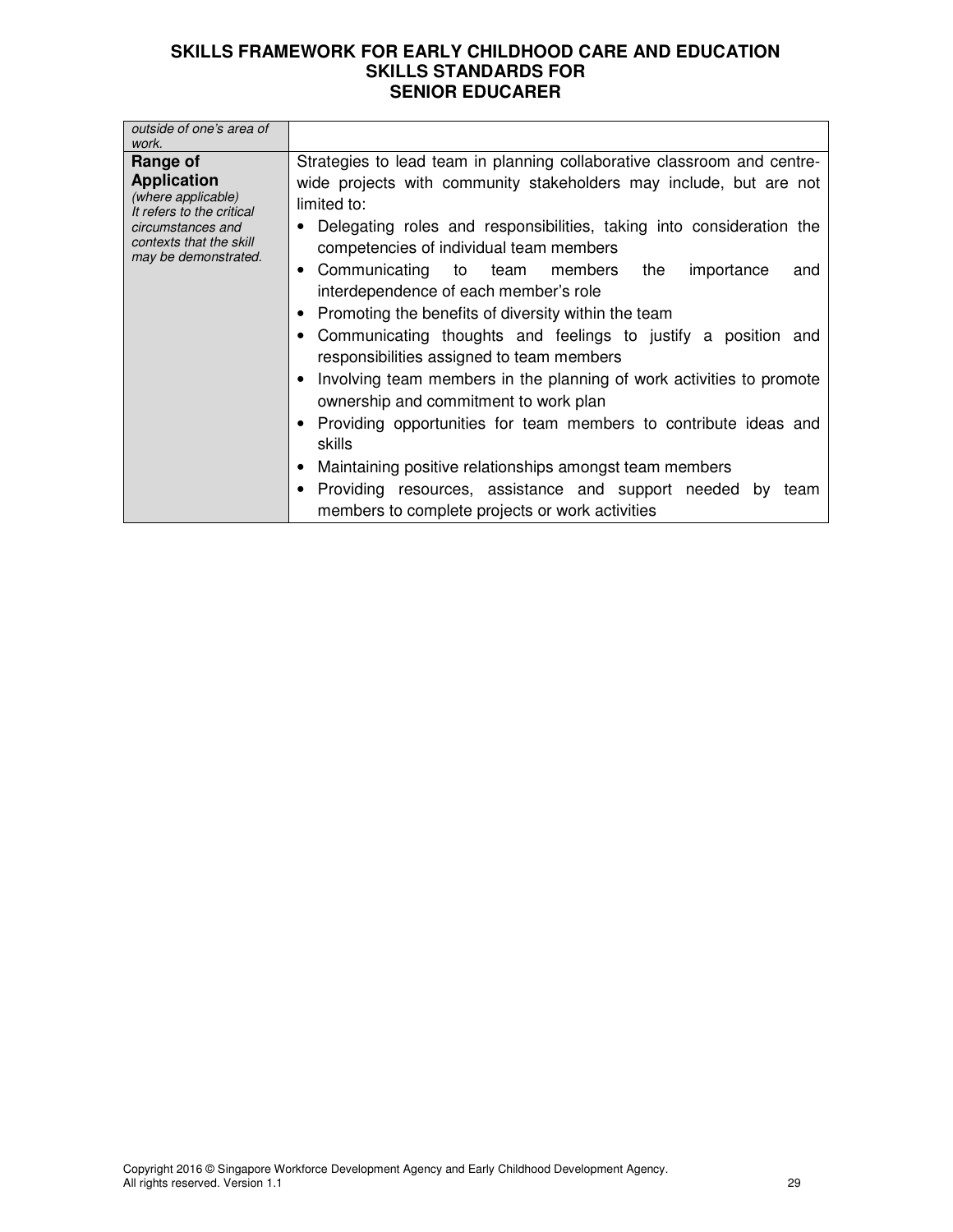| outside of one's area of<br>work.                                                                                                                         |                                                                                                                                                                                                                                                                                                                                                                                                                                                                                                                                                                                                                                                                                                                                                                                                                                                                                                                                                  |
|-----------------------------------------------------------------------------------------------------------------------------------------------------------|--------------------------------------------------------------------------------------------------------------------------------------------------------------------------------------------------------------------------------------------------------------------------------------------------------------------------------------------------------------------------------------------------------------------------------------------------------------------------------------------------------------------------------------------------------------------------------------------------------------------------------------------------------------------------------------------------------------------------------------------------------------------------------------------------------------------------------------------------------------------------------------------------------------------------------------------------|
| Range of<br><b>Application</b><br>(where applicable)<br>It refers to the critical<br>circumstances and<br>contexts that the skill<br>may be demonstrated. | Strategies to lead team in planning collaborative classroom and centre-<br>wide projects with community stakeholders may include, but are not<br>limited to:<br>Delegating roles and responsibilities, taking into consideration the<br>competencies of individual team members<br>• Communicating to team members<br>the<br>importance<br>and<br>interdependence of each member's role<br>• Promoting the benefits of diversity within the team<br>Communicating thoughts and feelings to justify a position and<br>responsibilities assigned to team members<br>Involving team members in the planning of work activities to promote<br>ownership and commitment to work plan<br>• Providing opportunities for team members to contribute ideas and<br>skills<br>• Maintaining positive relationships amongst team members<br>Providing resources, assistance and support needed by<br>team<br>members to complete projects or work activities |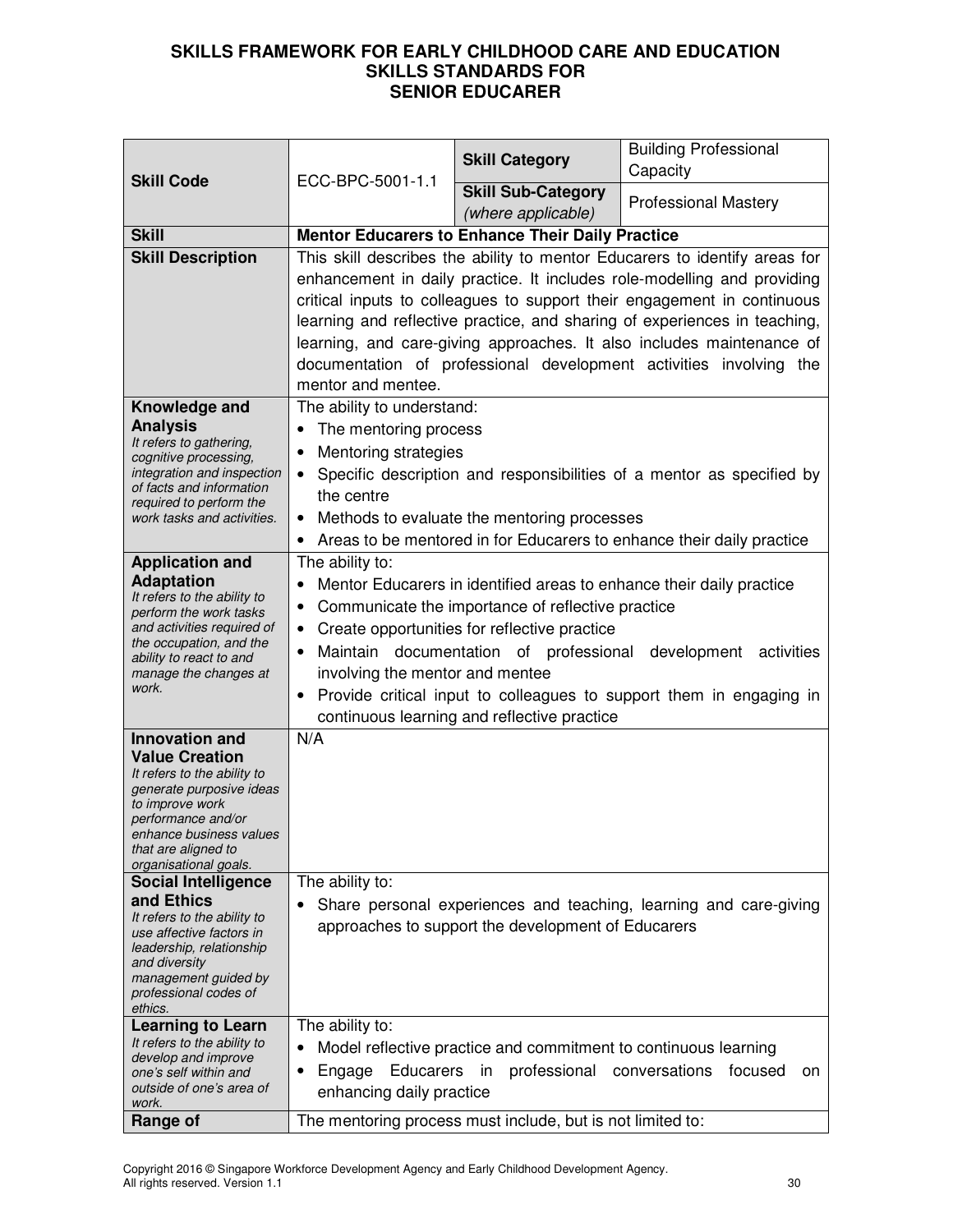|                                                       | ECC-BPC-5001-1.1                                                                         | <b>Skill Category</b>                                           | <b>Building Professional</b>                                          |  |  |
|-------------------------------------------------------|------------------------------------------------------------------------------------------|-----------------------------------------------------------------|-----------------------------------------------------------------------|--|--|
| <b>Skill Code</b>                                     |                                                                                          | <b>Skill Sub-Category</b>                                       | Capacity                                                              |  |  |
|                                                       |                                                                                          | (where applicable)                                              | <b>Professional Mastery</b>                                           |  |  |
| <b>Skill</b>                                          |                                                                                          | <b>Mentor Educarers to Enhance Their Daily Practice</b>         |                                                                       |  |  |
| <b>Skill Description</b>                              | This skill describes the ability to mentor Educarers to identify areas for               |                                                                 |                                                                       |  |  |
|                                                       | enhancement in daily practice. It includes role-modelling and providing                  |                                                                 |                                                                       |  |  |
|                                                       | critical inputs to colleagues to support their engagement in continuous                  |                                                                 |                                                                       |  |  |
|                                                       | learning and reflective practice, and sharing of experiences in teaching,                |                                                                 |                                                                       |  |  |
|                                                       | learning, and care-giving approaches. It also includes maintenance of                    |                                                                 |                                                                       |  |  |
|                                                       | documentation of professional development activities involving the<br>mentor and mentee. |                                                                 |                                                                       |  |  |
| Knowledge and                                         | The ability to understand:                                                               |                                                                 |                                                                       |  |  |
| <b>Analysis</b>                                       | The mentoring process<br>$\bullet$                                                       |                                                                 |                                                                       |  |  |
| It refers to gathering,<br>cognitive processing,      | Mentoring strategies<br>$\bullet$                                                        |                                                                 |                                                                       |  |  |
| integration and inspection                            | $\bullet$                                                                                |                                                                 | Specific description and responsibilities of a mentor as specified by |  |  |
| of facts and information<br>required to perform the   | the centre                                                                               |                                                                 |                                                                       |  |  |
| work tasks and activities.                            | $\bullet$                                                                                | Methods to evaluate the mentoring processes                     |                                                                       |  |  |
|                                                       | $\bullet$                                                                                |                                                                 | Areas to be mentored in for Educarers to enhance their daily practice |  |  |
| <b>Application and</b>                                | The ability to:                                                                          |                                                                 |                                                                       |  |  |
| <b>Adaptation</b><br>It refers to the ability to      | ٠                                                                                        |                                                                 | Mentor Educarers in identified areas to enhance their daily practice  |  |  |
| perform the work tasks                                | $\bullet$                                                                                | Communicate the importance of reflective practice               |                                                                       |  |  |
| and activities required of<br>the occupation, and the | Create opportunities for reflective practice<br>$\bullet$                                |                                                                 |                                                                       |  |  |
| ability to react to and                               | $\bullet$                                                                                | Maintain documentation of professional                          | development activities                                                |  |  |
| manage the changes at<br>work.                        | involving the mentor and mentee                                                          |                                                                 |                                                                       |  |  |
|                                                       | ٠                                                                                        |                                                                 | Provide critical input to colleagues to support them in engaging in   |  |  |
|                                                       |                                                                                          | continuous learning and reflective practice                     |                                                                       |  |  |
| <b>Innovation and</b><br><b>Value Creation</b>        | N/A                                                                                      |                                                                 |                                                                       |  |  |
| It refers to the ability to                           |                                                                                          |                                                                 |                                                                       |  |  |
| generate purposive ideas<br>to improve work           |                                                                                          |                                                                 |                                                                       |  |  |
| performance and/or                                    |                                                                                          |                                                                 |                                                                       |  |  |
| enhance business values<br>that are aligned to        |                                                                                          |                                                                 |                                                                       |  |  |
| organisational goals.                                 |                                                                                          |                                                                 |                                                                       |  |  |
| <b>Social Intelligence</b>                            | The ability to:                                                                          |                                                                 |                                                                       |  |  |
| and Ethics<br>It refers to the ability to             |                                                                                          |                                                                 | Share personal experiences and teaching, learning and care-giving     |  |  |
| use affective factors in                              |                                                                                          | approaches to support the development of Educarers              |                                                                       |  |  |
| leadership, relationship<br>and diversity             |                                                                                          |                                                                 |                                                                       |  |  |
| management guided by                                  |                                                                                          |                                                                 |                                                                       |  |  |
| professional codes of<br>ethics.                      |                                                                                          |                                                                 |                                                                       |  |  |
| <b>Learning to Learn</b>                              | The ability to:                                                                          |                                                                 |                                                                       |  |  |
| It refers to the ability to<br>develop and improve    | $\bullet$                                                                                | Model reflective practice and commitment to continuous learning |                                                                       |  |  |
| one's self within and                                 | Educarers<br>Engage<br>٠                                                                 | professional conversations<br>in                                | focused<br>on                                                         |  |  |
| outside of one's area of<br>work.                     | enhancing daily practice                                                                 |                                                                 |                                                                       |  |  |
| Range of                                              | The mentoring process must include, but is not limited to:                               |                                                                 |                                                                       |  |  |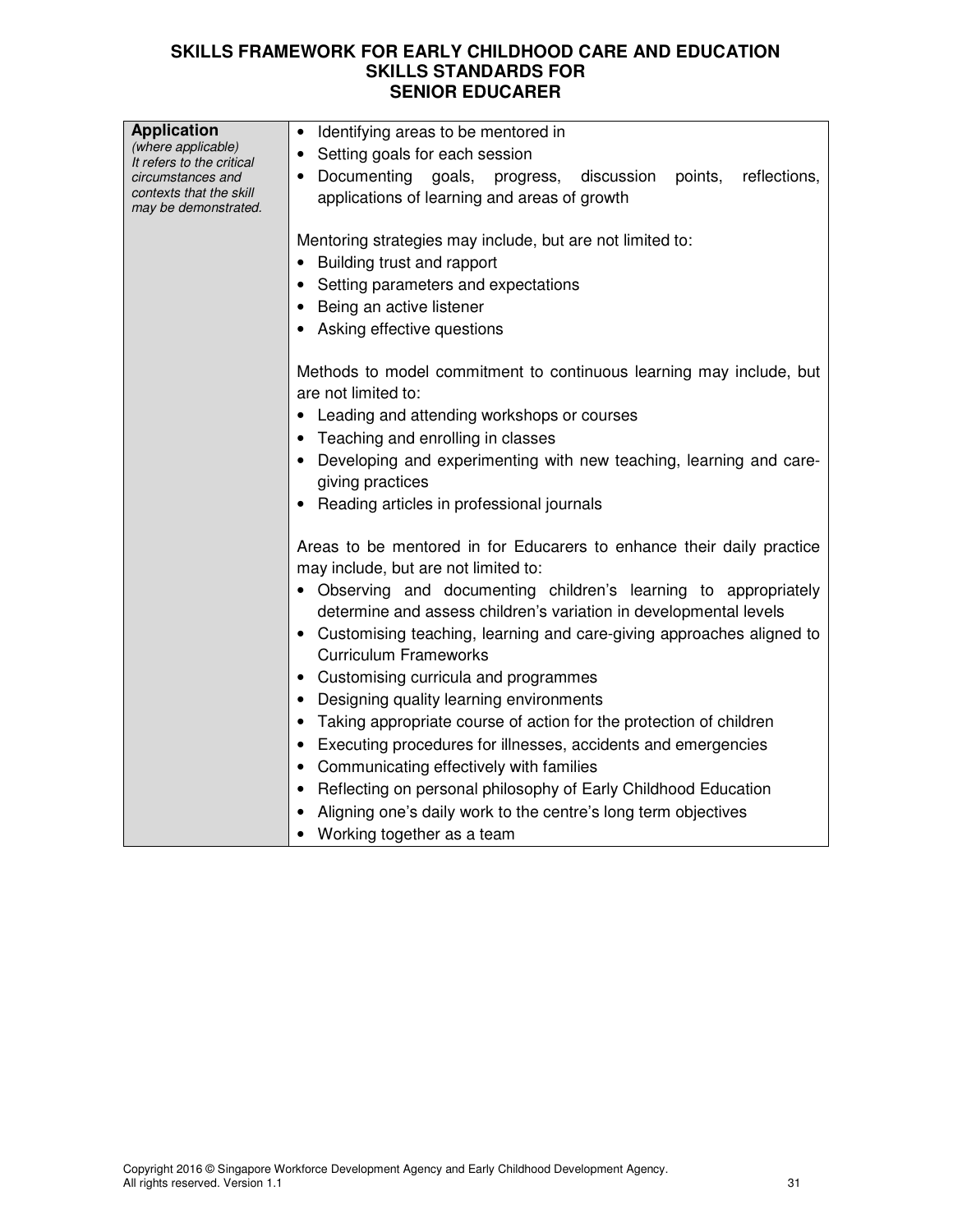| <b>Application</b><br>(where applicable)     | • Identifying areas to be mentored in                                                                         |  |  |  |
|----------------------------------------------|---------------------------------------------------------------------------------------------------------------|--|--|--|
| It refers to the critical                    | Setting goals for each session<br>$\bullet$                                                                   |  |  |  |
| circumstances and<br>contexts that the skill | • Documenting goals,<br>progress, discussion<br>reflections,<br>points,                                       |  |  |  |
| may be demonstrated.                         | applications of learning and areas of growth                                                                  |  |  |  |
|                                              |                                                                                                               |  |  |  |
|                                              | Mentoring strategies may include, but are not limited to:                                                     |  |  |  |
|                                              | Building trust and rapport                                                                                    |  |  |  |
|                                              | Setting parameters and expectations                                                                           |  |  |  |
|                                              | • Being an active listener                                                                                    |  |  |  |
|                                              | Asking effective questions                                                                                    |  |  |  |
|                                              | Methods to model commitment to continuous learning may include, but                                           |  |  |  |
|                                              | are not limited to:                                                                                           |  |  |  |
|                                              | • Leading and attending workshops or courses                                                                  |  |  |  |
|                                              | • Teaching and enrolling in classes                                                                           |  |  |  |
|                                              | Developing and experimenting with new teaching, learning and care-                                            |  |  |  |
|                                              | giving practices                                                                                              |  |  |  |
|                                              | • Reading articles in professional journals                                                                   |  |  |  |
|                                              |                                                                                                               |  |  |  |
|                                              | Areas to be mentored in for Educarers to enhance their daily practice<br>may include, but are not limited to: |  |  |  |
|                                              | • Observing and documenting children's learning to appropriately                                              |  |  |  |
|                                              | determine and assess children's variation in developmental levels                                             |  |  |  |
|                                              | • Customising teaching, learning and care-giving approaches aligned to                                        |  |  |  |
|                                              | <b>Curriculum Frameworks</b>                                                                                  |  |  |  |
|                                              | Customising curricula and programmes                                                                          |  |  |  |
|                                              | Designing quality learning environments                                                                       |  |  |  |
|                                              | • Taking appropriate course of action for the protection of children                                          |  |  |  |
|                                              | • Executing procedures for illnesses, accidents and emergencies                                               |  |  |  |
|                                              | Communicating effectively with families                                                                       |  |  |  |
|                                              | Reflecting on personal philosophy of Early Childhood Education                                                |  |  |  |
|                                              | Aligning one's daily work to the centre's long term objectives                                                |  |  |  |
|                                              | Working together as a team                                                                                    |  |  |  |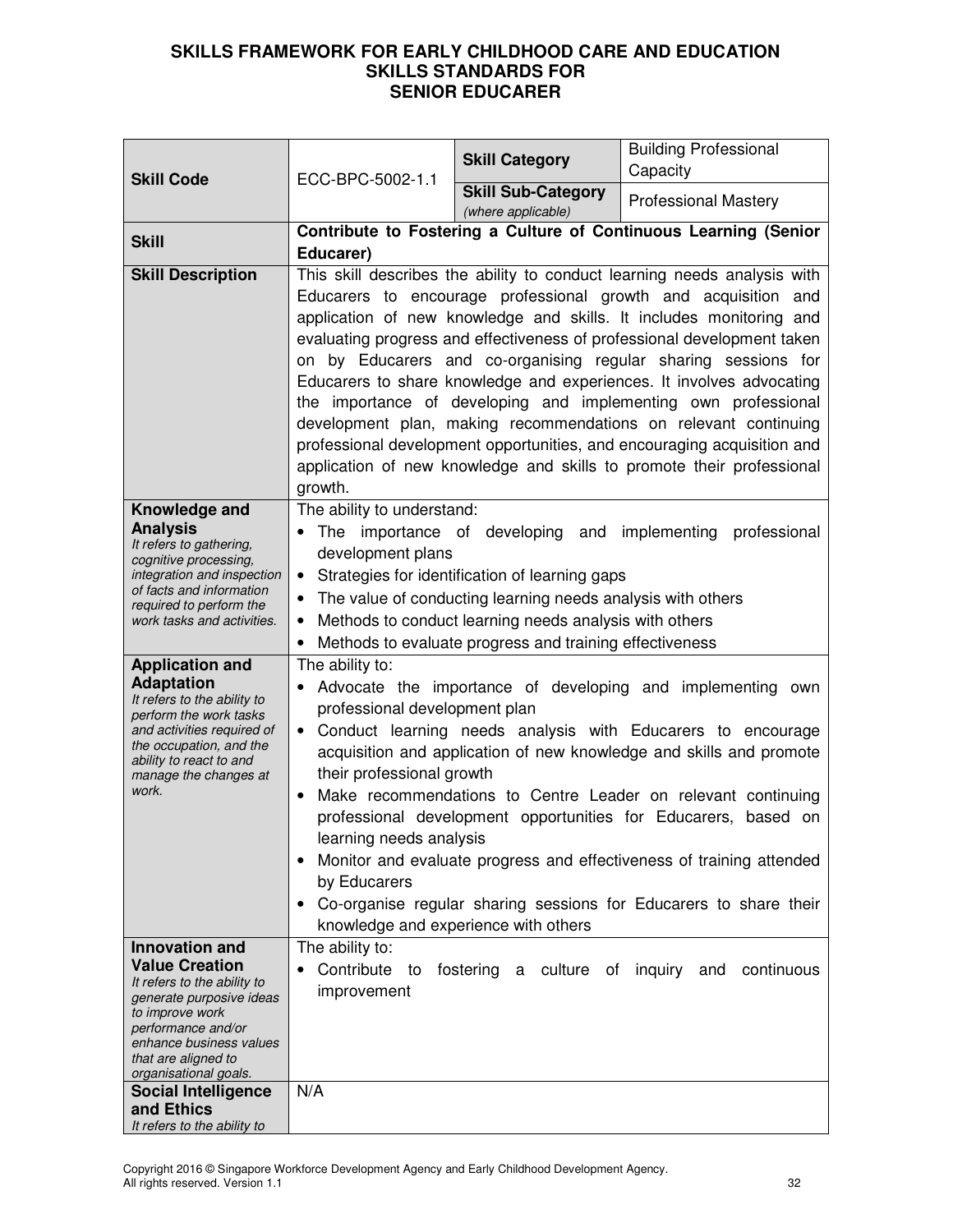| <b>Skill Code</b>                                                                                                                                                                                                             | ECC-BPC-5002-1.1                                                                                                                                                                                                                                                                                                                                                                                                                                                                                                                                                                                                                                                                                                                           | <b>Skill Category</b>                | <b>Building Professional</b><br>Capacity                                                                                                                                                                                                                                                                                                                                                                                                                                        |  |
|-------------------------------------------------------------------------------------------------------------------------------------------------------------------------------------------------------------------------------|--------------------------------------------------------------------------------------------------------------------------------------------------------------------------------------------------------------------------------------------------------------------------------------------------------------------------------------------------------------------------------------------------------------------------------------------------------------------------------------------------------------------------------------------------------------------------------------------------------------------------------------------------------------------------------------------------------------------------------------------|--------------------------------------|---------------------------------------------------------------------------------------------------------------------------------------------------------------------------------------------------------------------------------------------------------------------------------------------------------------------------------------------------------------------------------------------------------------------------------------------------------------------------------|--|
|                                                                                                                                                                                                                               | <b>Skill Sub-Category</b>                                                                                                                                                                                                                                                                                                                                                                                                                                                                                                                                                                                                                                                                                                                  |                                      | <b>Professional Mastery</b>                                                                                                                                                                                                                                                                                                                                                                                                                                                     |  |
| <b>Skill</b>                                                                                                                                                                                                                  |                                                                                                                                                                                                                                                                                                                                                                                                                                                                                                                                                                                                                                                                                                                                            | (where applicable)                   | Contribute to Fostering a Culture of Continuous Learning (Senior                                                                                                                                                                                                                                                                                                                                                                                                                |  |
|                                                                                                                                                                                                                               | Educarer)                                                                                                                                                                                                                                                                                                                                                                                                                                                                                                                                                                                                                                                                                                                                  |                                      |                                                                                                                                                                                                                                                                                                                                                                                                                                                                                 |  |
| <b>Skill Description</b>                                                                                                                                                                                                      | This skill describes the ability to conduct learning needs analysis with<br>Educarers to encourage professional growth and acquisition and<br>application of new knowledge and skills. It includes monitoring and<br>evaluating progress and effectiveness of professional development taken<br>on by Educarers and co-organising regular sharing sessions for<br>Educarers to share knowledge and experiences. It involves advocating<br>the importance of developing and implementing own professional<br>development plan, making recommendations on relevant continuing<br>professional development opportunities, and encouraging acquisition and<br>application of new knowledge and skills to promote their professional<br>growth. |                                      |                                                                                                                                                                                                                                                                                                                                                                                                                                                                                 |  |
| Knowledge and<br><b>Analysis</b><br>It refers to gathering,<br>cognitive processing,<br>integration and inspection<br>of facts and information<br>required to perform the<br>work tasks and activities.                       | The ability to understand:<br>importance of developing and implementing<br>The<br>professional<br>development plans<br>Strategies for identification of learning gaps<br>$\bullet$<br>The value of conducting learning needs analysis with others<br>Methods to conduct learning needs analysis with others<br>Methods to evaluate progress and training effectiveness                                                                                                                                                                                                                                                                                                                                                                     |                                      |                                                                                                                                                                                                                                                                                                                                                                                                                                                                                 |  |
| <b>Application and</b><br><b>Adaptation</b><br>It refers to the ability to<br>perform the work tasks<br>and activities required of<br>the occupation, and the<br>ability to react to and<br>manage the changes at<br>work.    | The ability to:<br>professional development plan<br>$\bullet$<br>their professional growth<br>$\bullet$<br>learning needs analysis<br>٠<br>by Educarers                                                                                                                                                                                                                                                                                                                                                                                                                                                                                                                                                                                    | knowledge and experience with others | Advocate the importance of developing and implementing own<br>Conduct learning needs analysis with Educarers to encourage<br>acquisition and application of new knowledge and skills and promote<br>Make recommendations to Centre Leader on relevant continuing<br>professional development opportunities for Educarers, based on<br>Monitor and evaluate progress and effectiveness of training attended<br>Co-organise regular sharing sessions for Educarers to share their |  |
| <b>Innovation and</b><br><b>Value Creation</b><br>It refers to the ability to<br>generate purposive ideas<br>to improve work<br>performance and/or<br>enhance business values<br>that are aligned to<br>organisational goals. | The ability to:<br>Contribute<br>to<br>improvement                                                                                                                                                                                                                                                                                                                                                                                                                                                                                                                                                                                                                                                                                         | fostering a culture of inquiry and   | continuous                                                                                                                                                                                                                                                                                                                                                                                                                                                                      |  |
| <b>Social Intelligence</b><br>and Ethics<br>It refers to the ability to                                                                                                                                                       | N/A                                                                                                                                                                                                                                                                                                                                                                                                                                                                                                                                                                                                                                                                                                                                        |                                      |                                                                                                                                                                                                                                                                                                                                                                                                                                                                                 |  |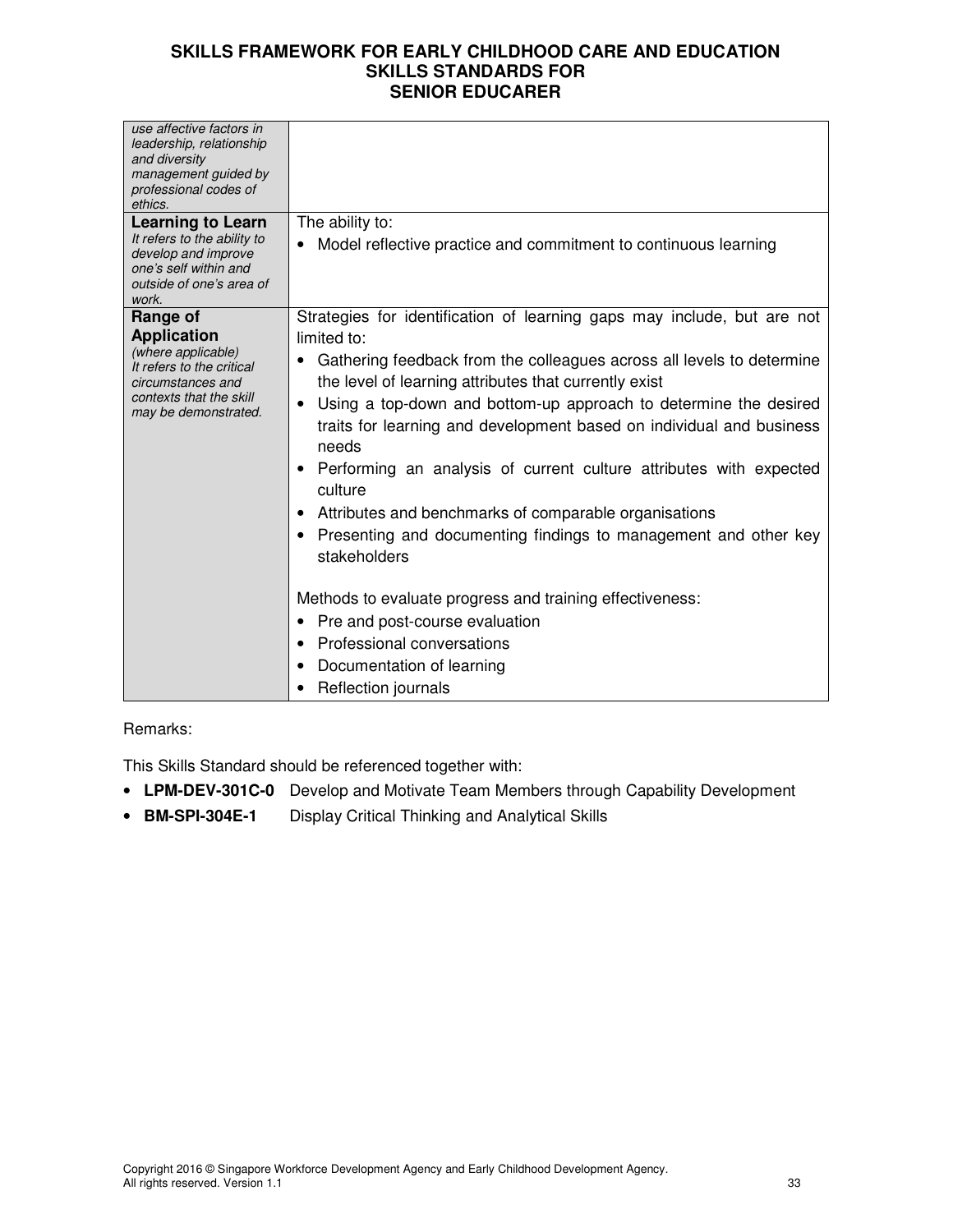| use affective factors in<br>leadership, relationship<br>and diversity<br>management guided by<br>professional codes of<br>ethics.                         |                                                                                                                                                                                                                                                                                                                                                                                                                                                                                                                                                                                                                                                                                                                                                                                                                        |
|-----------------------------------------------------------------------------------------------------------------------------------------------------------|------------------------------------------------------------------------------------------------------------------------------------------------------------------------------------------------------------------------------------------------------------------------------------------------------------------------------------------------------------------------------------------------------------------------------------------------------------------------------------------------------------------------------------------------------------------------------------------------------------------------------------------------------------------------------------------------------------------------------------------------------------------------------------------------------------------------|
| <b>Learning to Learn</b><br>It refers to the ability to<br>develop and improve<br>one's self within and<br>outside of one's area of<br>work.              | The ability to:<br>Model reflective practice and commitment to continuous learning                                                                                                                                                                                                                                                                                                                                                                                                                                                                                                                                                                                                                                                                                                                                     |
| Range of<br><b>Application</b><br>(where applicable)<br>It refers to the critical<br>circumstances and<br>contexts that the skill<br>may be demonstrated. | Strategies for identification of learning gaps may include, but are not<br>limited to:<br>Gathering feedback from the colleagues across all levels to determine<br>the level of learning attributes that currently exist<br>Using a top-down and bottom-up approach to determine the desired<br>$\bullet$<br>traits for learning and development based on individual and business<br>needs<br>Performing an analysis of current culture attributes with expected<br>٠<br>culture<br>Attributes and benchmarks of comparable organisations<br>Presenting and documenting findings to management and other key<br>٠<br>stakeholders<br>Methods to evaluate progress and training effectiveness:<br>Pre and post-course evaluation<br>٠<br>Professional conversations<br>Documentation of learning<br>Reflection journals |

# Remarks:

This Skills Standard should be referenced together with:

- **LPM-DEV-301C-0** Develop and Motivate Team Members through Capability Development
- **BM-SPI-304E-1** Display Critical Thinking and Analytical Skills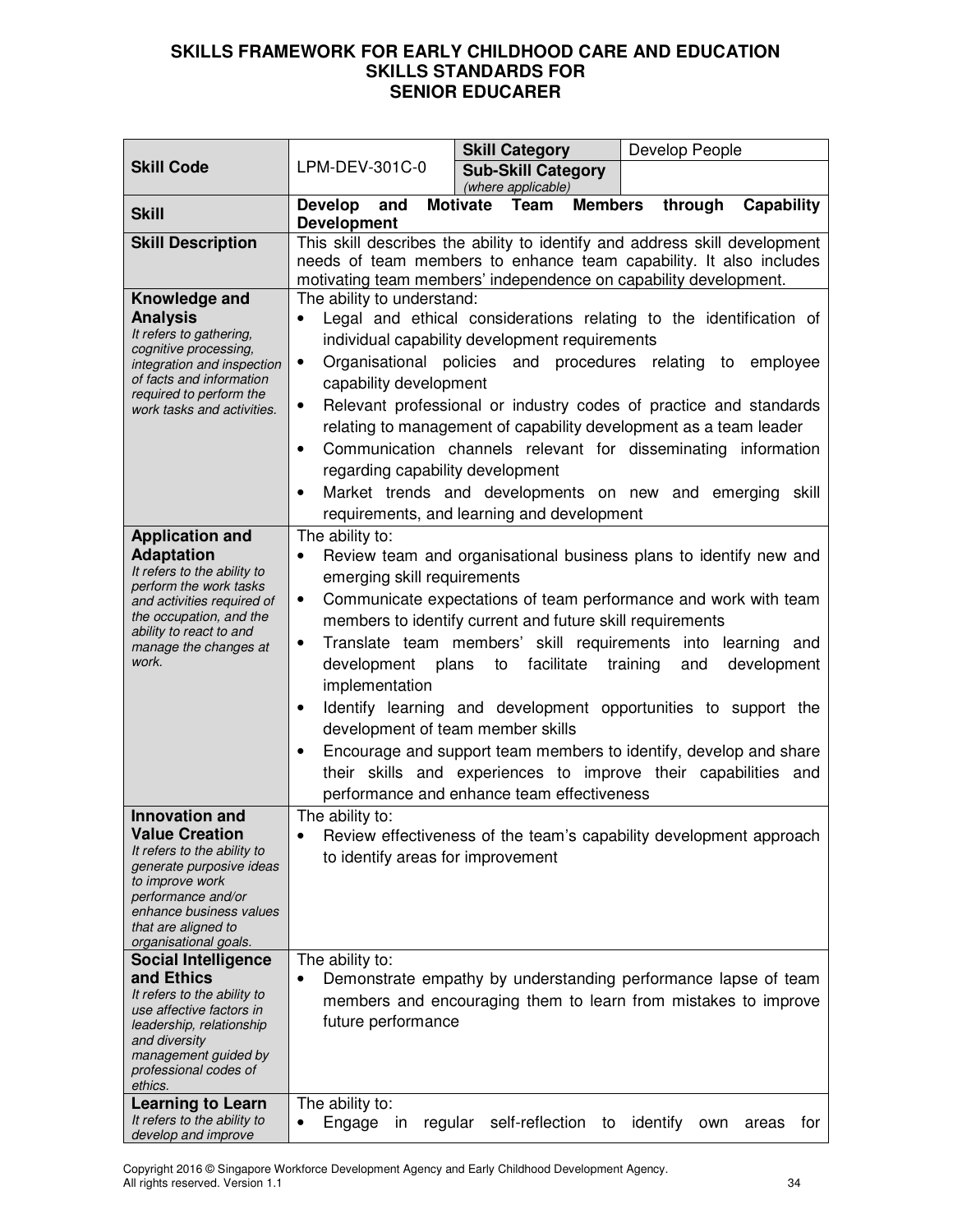|                                                                                                                       |                                                                                                                                        |       |  | <b>Skill Category</b>      |                |          | Develop People |              |
|-----------------------------------------------------------------------------------------------------------------------|----------------------------------------------------------------------------------------------------------------------------------------|-------|--|----------------------------|----------------|----------|----------------|--------------|
| <b>Skill Code</b>                                                                                                     | LPM-DEV-301C-0<br><b>Sub-Skill Category</b><br>(where applicable)                                                                      |       |  |                            |                |          |                |              |
| <b>Skill</b>                                                                                                          | <b>Develop</b><br>and                                                                                                                  |       |  | Motivate Team              | <b>Members</b> |          | through        | Capability   |
|                                                                                                                       | <b>Development</b><br>This skill describes the ability to identify and address skill development                                       |       |  |                            |                |          |                |              |
| <b>Skill Description</b>                                                                                              |                                                                                                                                        |       |  |                            |                |          |                |              |
|                                                                                                                       | needs of team members to enhance team capability. It also includes<br>motivating team members' independence on capability development. |       |  |                            |                |          |                |              |
| Knowledge and                                                                                                         | The ability to understand:                                                                                                             |       |  |                            |                |          |                |              |
| <b>Analysis</b>                                                                                                       | Legal and ethical considerations relating to the identification of                                                                     |       |  |                            |                |          |                |              |
| It refers to gathering,                                                                                               | individual capability development requirements                                                                                         |       |  |                            |                |          |                |              |
| cognitive processing,<br>integration and inspection                                                                   | Organisational policies and procedures relating to<br>$\bullet$                                                                        |       |  |                            |                |          |                | employee     |
| of facts and information                                                                                              | capability development                                                                                                                 |       |  |                            |                |          |                |              |
| required to perform the<br>work tasks and activities.                                                                 | Relevant professional or industry codes of practice and standards<br>$\bullet$                                                         |       |  |                            |                |          |                |              |
|                                                                                                                       | relating to management of capability development as a team leader                                                                      |       |  |                            |                |          |                |              |
|                                                                                                                       | Communication channels relevant for disseminating information<br>$\bullet$                                                             |       |  |                            |                |          |                |              |
|                                                                                                                       | regarding capability development                                                                                                       |       |  |                            |                |          |                |              |
|                                                                                                                       | Market trends and developments on new and emerging skill                                                                               |       |  |                            |                |          |                |              |
|                                                                                                                       | requirements, and learning and development                                                                                             |       |  |                            |                |          |                |              |
| <b>Application and</b>                                                                                                | The ability to:                                                                                                                        |       |  |                            |                |          |                |              |
| <b>Adaptation</b>                                                                                                     | Review team and organisational business plans to identify new and                                                                      |       |  |                            |                |          |                |              |
| It refers to the ability to<br>perform the work tasks                                                                 | emerging skill requirements                                                                                                            |       |  |                            |                |          |                |              |
| and activities required of                                                                                            | Communicate expectations of team performance and work with team<br>$\bullet$                                                           |       |  |                            |                |          |                |              |
| the occupation, and the                                                                                               | members to identify current and future skill requirements                                                                              |       |  |                            |                |          |                |              |
| ability to react to and<br>Translate team members' skill requirements into learning and<br>٠<br>manage the changes at |                                                                                                                                        |       |  |                            |                |          |                |              |
| work.                                                                                                                 | development                                                                                                                            | plans |  | facilitate<br>to           |                | training | and            | development  |
|                                                                                                                       | implementation                                                                                                                         |       |  |                            |                |          |                |              |
|                                                                                                                       | Identify learning and development opportunities to support the<br>$\bullet$                                                            |       |  |                            |                |          |                |              |
|                                                                                                                       | development of team member skills                                                                                                      |       |  |                            |                |          |                |              |
|                                                                                                                       | Encourage and support team members to identify, develop and share<br>$\bullet$                                                         |       |  |                            |                |          |                |              |
|                                                                                                                       | their skills and experiences to improve their capabilities and                                                                         |       |  |                            |                |          |                |              |
|                                                                                                                       | performance and enhance team effectiveness                                                                                             |       |  |                            |                |          |                |              |
| <b>Innovation and</b>                                                                                                 | The ability to:                                                                                                                        |       |  |                            |                |          |                |              |
| <b>Value Creation</b>                                                                                                 | Review effectiveness of the team's capability development approach                                                                     |       |  |                            |                |          |                |              |
| It refers to the ability to<br>generate purposive ideas                                                               | to identify areas for improvement                                                                                                      |       |  |                            |                |          |                |              |
| to improve work                                                                                                       |                                                                                                                                        |       |  |                            |                |          |                |              |
| performance and/or<br>enhance business values                                                                         |                                                                                                                                        |       |  |                            |                |          |                |              |
| that are aligned to                                                                                                   |                                                                                                                                        |       |  |                            |                |          |                |              |
| organisational goals.                                                                                                 |                                                                                                                                        |       |  |                            |                |          |                |              |
| <b>Social Intelligence</b><br>and Ethics                                                                              | The ability to:<br>Demonstrate empathy by understanding performance lapse of team                                                      |       |  |                            |                |          |                |              |
| It refers to the ability to                                                                                           |                                                                                                                                        |       |  |                            |                |          |                |              |
| use affective factors in                                                                                              | members and encouraging them to learn from mistakes to improve<br>future performance                                                   |       |  |                            |                |          |                |              |
| leadership, relationship<br>and diversity                                                                             |                                                                                                                                        |       |  |                            |                |          |                |              |
| management guided by                                                                                                  |                                                                                                                                        |       |  |                            |                |          |                |              |
| professional codes of<br>ethics.                                                                                      |                                                                                                                                        |       |  |                            |                |          |                |              |
| <b>Learning to Learn</b>                                                                                              | The ability to:                                                                                                                        |       |  |                            |                |          |                |              |
| It refers to the ability to                                                                                           | Engage<br>in<br>٠                                                                                                                      |       |  | regular self-reflection to |                | identify | own            | areas<br>tor |
| develop and improve                                                                                                   |                                                                                                                                        |       |  |                            |                |          |                |              |

Copyright 2016 © Singapore Workforce Development Agency and Early Childhood Development Agency. All rights reserved. Version 1.1 34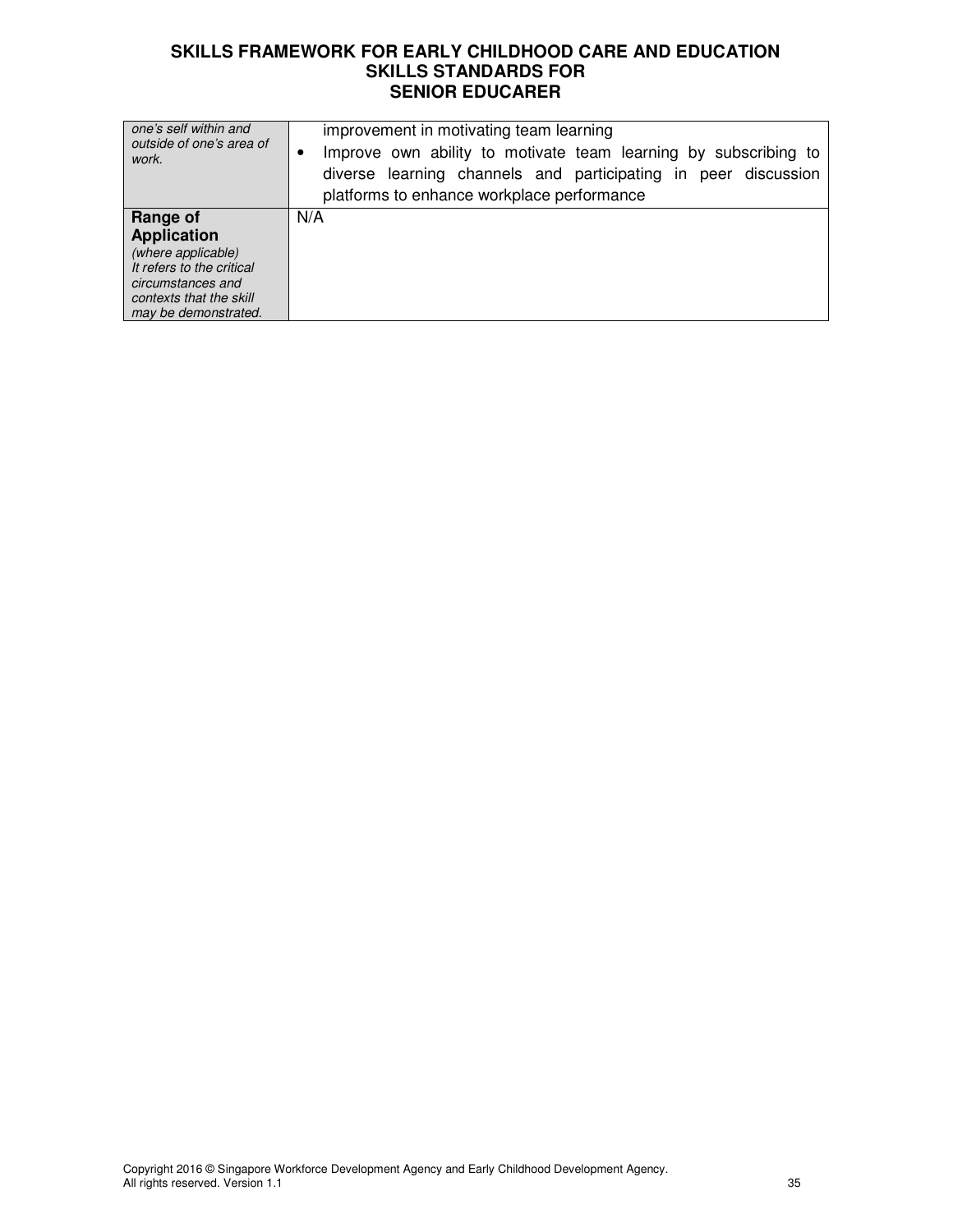| one's self within and<br>outside of one's area of<br>work.                                                                                                | improvement in motivating team learning<br>Improve own ability to motivate team learning by subscribing to<br>diverse learning channels and participating in peer discussion<br>platforms to enhance workplace performance |
|-----------------------------------------------------------------------------------------------------------------------------------------------------------|----------------------------------------------------------------------------------------------------------------------------------------------------------------------------------------------------------------------------|
| Range of<br><b>Application</b><br>(where applicable)<br>It refers to the critical<br>circumstances and<br>contexts that the skill<br>may be demonstrated. | N/A                                                                                                                                                                                                                        |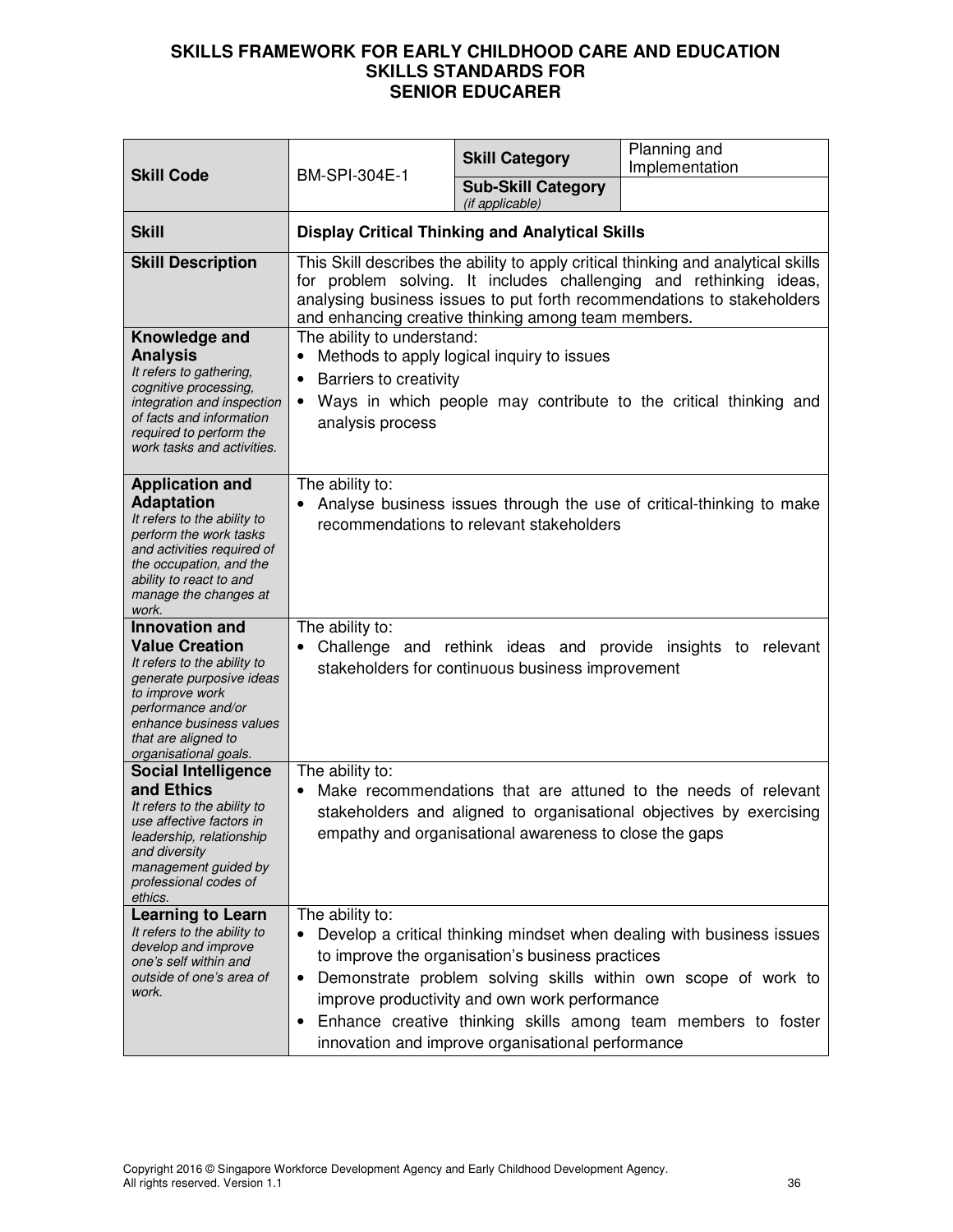| <b>Skill Code</b>                                                                                                                                                                                                             | BM-SPI-304E-1                                                                                                                                                                                                                                                                                                                                                                                                   | <b>Skill Category</b><br><b>Sub-Skill Category</b><br>(if applicable) | Planning and<br>Implementation                                                                                                        |  |
|-------------------------------------------------------------------------------------------------------------------------------------------------------------------------------------------------------------------------------|-----------------------------------------------------------------------------------------------------------------------------------------------------------------------------------------------------------------------------------------------------------------------------------------------------------------------------------------------------------------------------------------------------------------|-----------------------------------------------------------------------|---------------------------------------------------------------------------------------------------------------------------------------|--|
| <b>Skill</b>                                                                                                                                                                                                                  |                                                                                                                                                                                                                                                                                                                                                                                                                 | <b>Display Critical Thinking and Analytical Skills</b>                |                                                                                                                                       |  |
| <b>Skill Description</b>                                                                                                                                                                                                      | This Skill describes the ability to apply critical thinking and analytical skills<br>for problem solving. It includes challenging and rethinking ideas,<br>analysing business issues to put forth recommendations to stakeholders<br>and enhancing creative thinking among team members.                                                                                                                        |                                                                       |                                                                                                                                       |  |
| Knowledge and<br><b>Analysis</b><br>It refers to gathering,<br>cognitive processing,<br>integration and inspection<br>of facts and information<br>required to perform the<br>work tasks and activities.                       | The ability to understand:<br>Methods to apply logical inquiry to issues<br>Barriers to creativity<br>$\bullet$<br>Ways in which people may contribute to the critical thinking and<br>$\bullet$<br>analysis process                                                                                                                                                                                            |                                                                       |                                                                                                                                       |  |
| <b>Application and</b><br><b>Adaptation</b><br>It refers to the ability to<br>perform the work tasks<br>and activities required of<br>the occupation, and the<br>ability to react to and<br>manage the changes at<br>work.    | The ability to:<br>Analyse business issues through the use of critical-thinking to make<br>recommendations to relevant stakeholders                                                                                                                                                                                                                                                                             |                                                                       |                                                                                                                                       |  |
| <b>Innovation and</b><br><b>Value Creation</b><br>It refers to the ability to<br>generate purposive ideas<br>to improve work<br>performance and/or<br>enhance business values<br>that are aligned to<br>organisational goals. | The ability to:                                                                                                                                                                                                                                                                                                                                                                                                 | stakeholders for continuous business improvement                      | Challenge and rethink ideas and provide insights to relevant                                                                          |  |
| <b>Social Intelligence</b><br>and Ethics<br>It refers to the ability to<br>use affective factors in<br>leadership, relationship<br>and diversity<br>management guided by<br>professional codes of<br>ethics.                  | The ability to:                                                                                                                                                                                                                                                                                                                                                                                                 | empathy and organisational awareness to close the gaps                | Make recommendations that are attuned to the needs of relevant<br>stakeholders and aligned to organisational objectives by exercising |  |
| <b>Learning to Learn</b><br>It refers to the ability to<br>develop and improve<br>one's self within and<br>outside of one's area of<br>work.                                                                                  | The ability to:<br>Develop a critical thinking mindset when dealing with business issues<br>to improve the organisation's business practices<br>Demonstrate problem solving skills within own scope of work to<br>$\bullet$<br>improve productivity and own work performance<br>Enhance creative thinking skills among team members to foster<br>$\bullet$<br>innovation and improve organisational performance |                                                                       |                                                                                                                                       |  |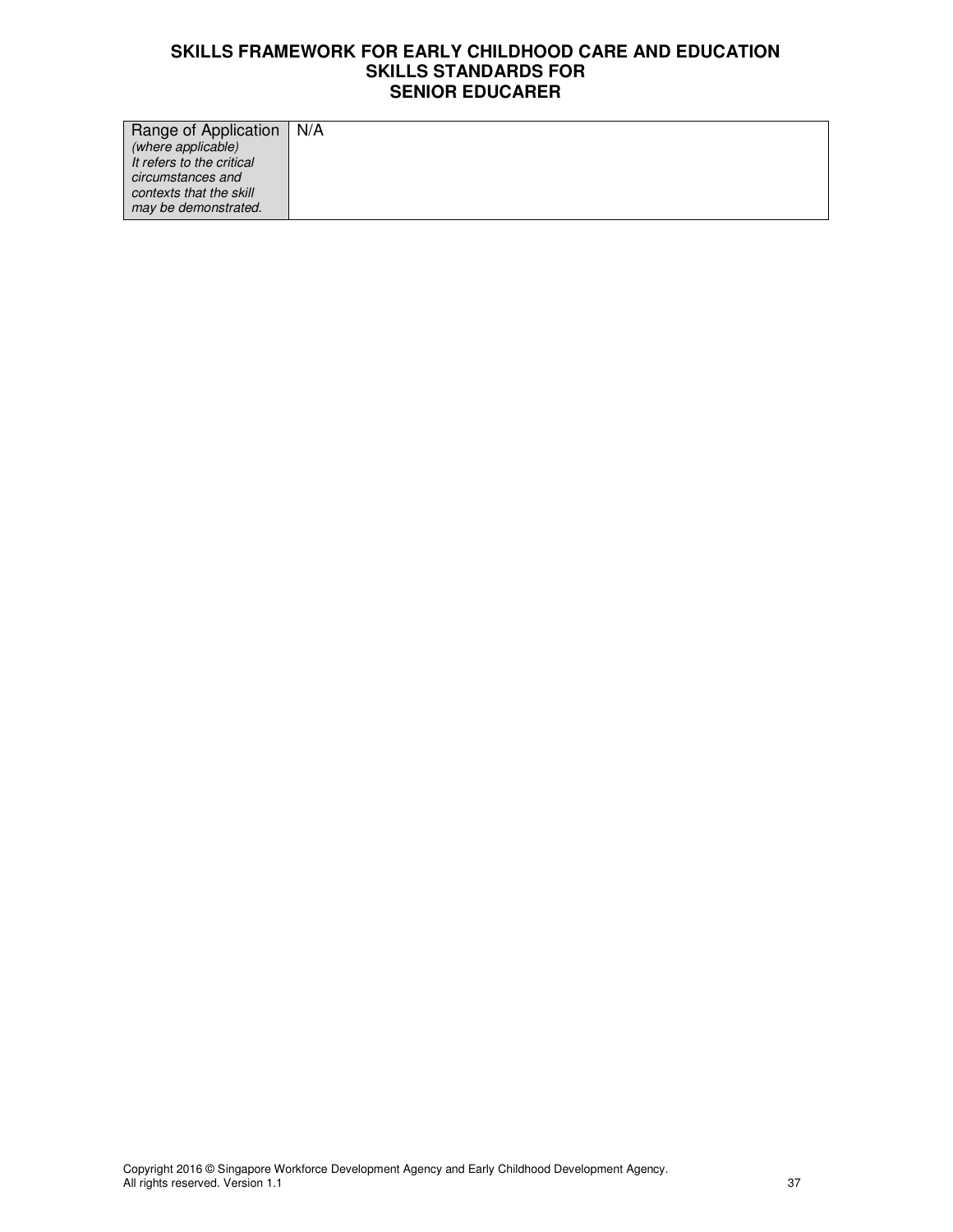| Range of Application      | N/A |
|---------------------------|-----|
| (where applicable)        |     |
| It refers to the critical |     |
| circumstances and         |     |
| contexts that the skill   |     |
| may be demonstrated.      |     |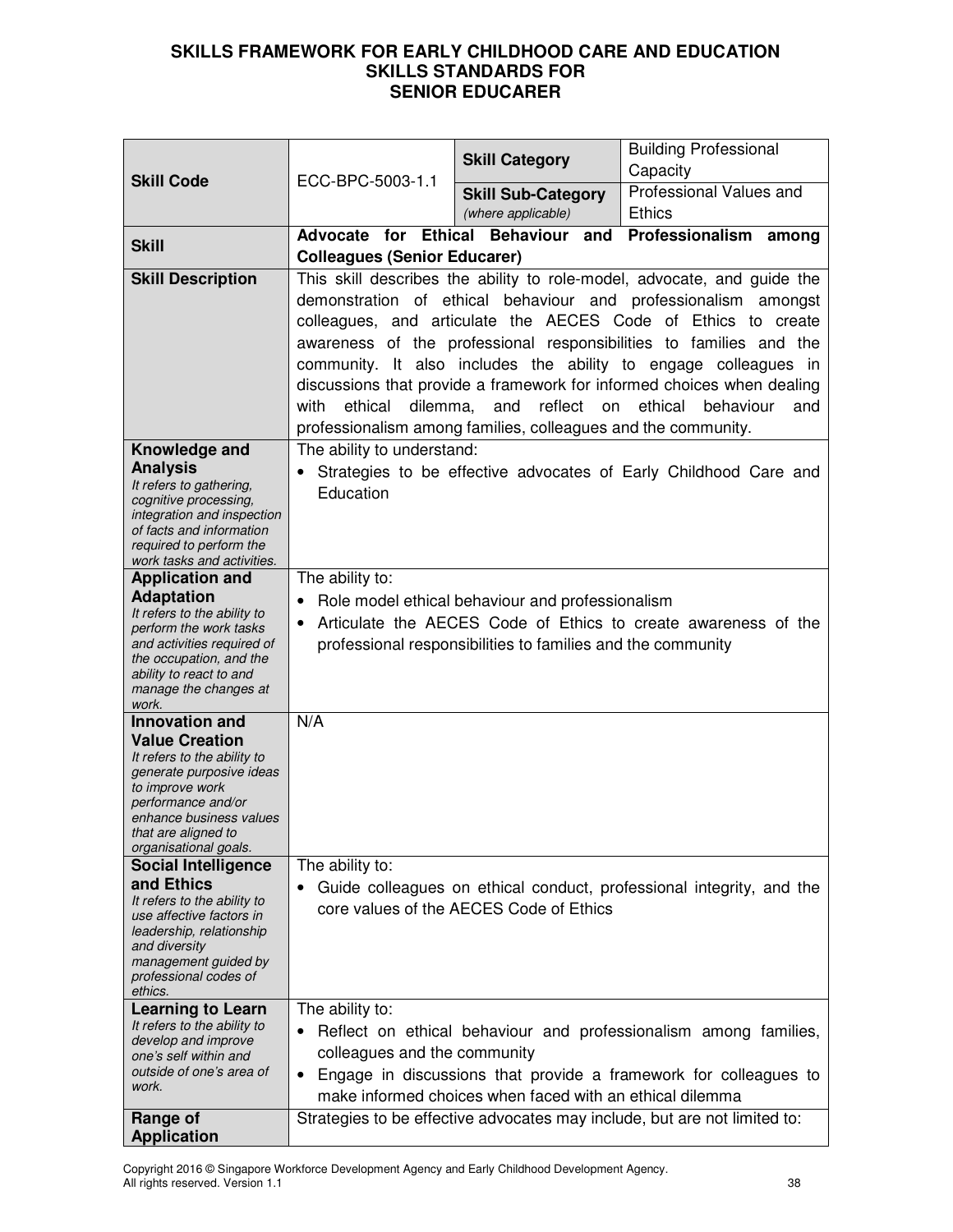| <b>Skill Code</b>                                                                                                                                                                                    | ECC-BPC-5003-1.1                                                                                                                                                                                                                                                                                                                                                                                                                                                                                       | <b>Skill Category</b>                                    | <b>Building Professional</b><br>Capacity                                                                                             |
|------------------------------------------------------------------------------------------------------------------------------------------------------------------------------------------------------|--------------------------------------------------------------------------------------------------------------------------------------------------------------------------------------------------------------------------------------------------------------------------------------------------------------------------------------------------------------------------------------------------------------------------------------------------------------------------------------------------------|----------------------------------------------------------|--------------------------------------------------------------------------------------------------------------------------------------|
|                                                                                                                                                                                                      |                                                                                                                                                                                                                                                                                                                                                                                                                                                                                                        | <b>Skill Sub-Category</b>                                | Professional Values and                                                                                                              |
|                                                                                                                                                                                                      |                                                                                                                                                                                                                                                                                                                                                                                                                                                                                                        | (where applicable)                                       | <b>Ethics</b>                                                                                                                        |
| <b>Skill</b>                                                                                                                                                                                         | <b>Ethical Behaviour</b><br>Professionalism among<br>Advocate for<br>and                                                                                                                                                                                                                                                                                                                                                                                                                               |                                                          |                                                                                                                                      |
|                                                                                                                                                                                                      | <b>Colleagues (Senior Educarer)</b><br>This skill describes the ability to role-model, advocate, and guide the                                                                                                                                                                                                                                                                                                                                                                                         |                                                          |                                                                                                                                      |
| <b>Skill Description</b>                                                                                                                                                                             | demonstration of ethical behaviour and professionalism amongst<br>colleagues, and articulate the AECES Code of Ethics to create<br>awareness of the professional responsibilities to families and the<br>community. It also includes the ability to engage colleagues in<br>discussions that provide a framework for informed choices when dealing<br>ethical<br>dilemma, and<br>reflect<br>ethical<br>with<br>on<br>behaviour<br>and<br>professionalism among families, colleagues and the community. |                                                          |                                                                                                                                      |
| Knowledge and                                                                                                                                                                                        | The ability to understand:                                                                                                                                                                                                                                                                                                                                                                                                                                                                             |                                                          |                                                                                                                                      |
| <b>Analysis</b><br>It refers to gathering,<br>cognitive processing,<br>integration and inspection<br>of facts and information<br>required to perform the<br>work tasks and activities.               | Education                                                                                                                                                                                                                                                                                                                                                                                                                                                                                              |                                                          | Strategies to be effective advocates of Early Childhood Care and                                                                     |
| <b>Application and</b>                                                                                                                                                                               | The ability to:                                                                                                                                                                                                                                                                                                                                                                                                                                                                                        |                                                          |                                                                                                                                      |
| <b>Adaptation</b><br>It refers to the ability to<br>perform the work tasks<br>and activities required of<br>the occupation, and the<br>ability to react to and<br>manage the changes at<br>work.     | Role model ethical behaviour and professionalism<br>Articulate the AECES Code of Ethics to create awareness of the<br>$\bullet$<br>professional responsibilities to families and the community                                                                                                                                                                                                                                                                                                         |                                                          |                                                                                                                                      |
| <b>Innovation and</b>                                                                                                                                                                                | N/A                                                                                                                                                                                                                                                                                                                                                                                                                                                                                                    |                                                          |                                                                                                                                      |
| <b>Value Creation</b><br>It refers to the ability to<br>generate purposive ideas<br>to improve work<br>performance and/or<br>enhance business values<br>that are aligned to<br>organisational goals. |                                                                                                                                                                                                                                                                                                                                                                                                                                                                                                        |                                                          |                                                                                                                                      |
| <b>Social Intelligence</b>                                                                                                                                                                           | The ability to:                                                                                                                                                                                                                                                                                                                                                                                                                                                                                        |                                                          |                                                                                                                                      |
| and Ethics<br>It refers to the ability to<br>use affective factors in<br>leadership, relationship<br>and diversity<br>management guided by<br>professional codes of<br>ethics.                       | $\bullet$                                                                                                                                                                                                                                                                                                                                                                                                                                                                                              | core values of the AECES Code of Ethics                  | Guide colleagues on ethical conduct, professional integrity, and the                                                                 |
| <b>Learning to Learn</b>                                                                                                                                                                             | The ability to:                                                                                                                                                                                                                                                                                                                                                                                                                                                                                        |                                                          |                                                                                                                                      |
| It refers to the ability to<br>develop and improve<br>one's self within and<br>outside of one's area of<br>work.                                                                                     | $\bullet$<br>colleagues and the community<br>$\bullet$                                                                                                                                                                                                                                                                                                                                                                                                                                                 | make informed choices when faced with an ethical dilemma | Reflect on ethical behaviour and professionalism among families,<br>Engage in discussions that provide a framework for colleagues to |
| Range of<br><b>Application</b>                                                                                                                                                                       |                                                                                                                                                                                                                                                                                                                                                                                                                                                                                                        |                                                          | Strategies to be effective advocates may include, but are not limited to:                                                            |

Copyright 2016 © Singapore Workforce Development Agency and Early Childhood Development Agency. All rights reserved. Version 1.1 38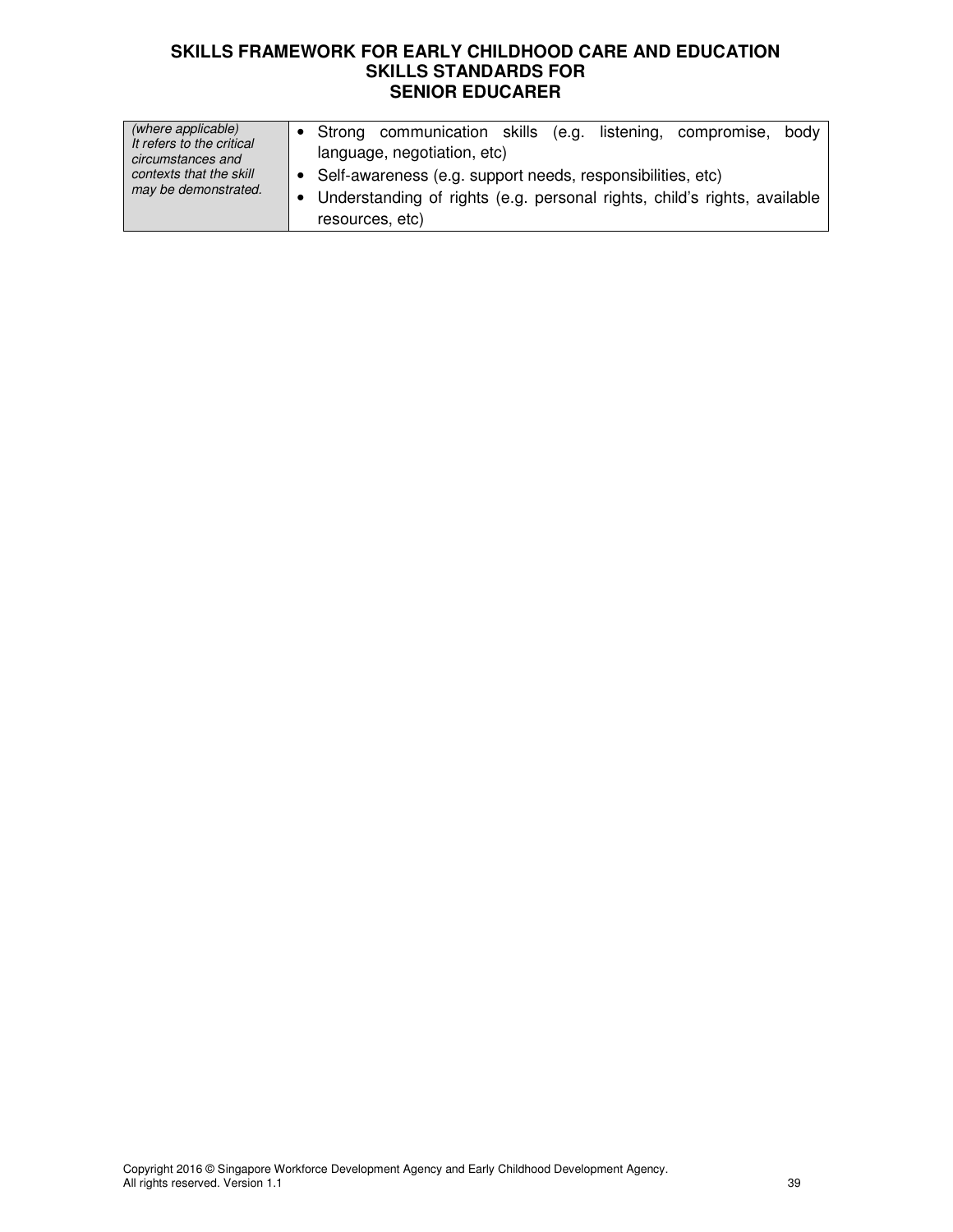| (where applicable)<br>It refers to the critical<br>circumstances and<br>contexts that the skill<br>may be demonstrated. | Strong communication skills (e.g. listening, compromise, body                               |
|-------------------------------------------------------------------------------------------------------------------------|---------------------------------------------------------------------------------------------|
|                                                                                                                         | language, negotiation, etc)<br>Self-awareness (e.g. support needs, responsibilities, etc)   |
|                                                                                                                         | Understanding of rights (e.g. personal rights, child's rights, available<br>resources, etc) |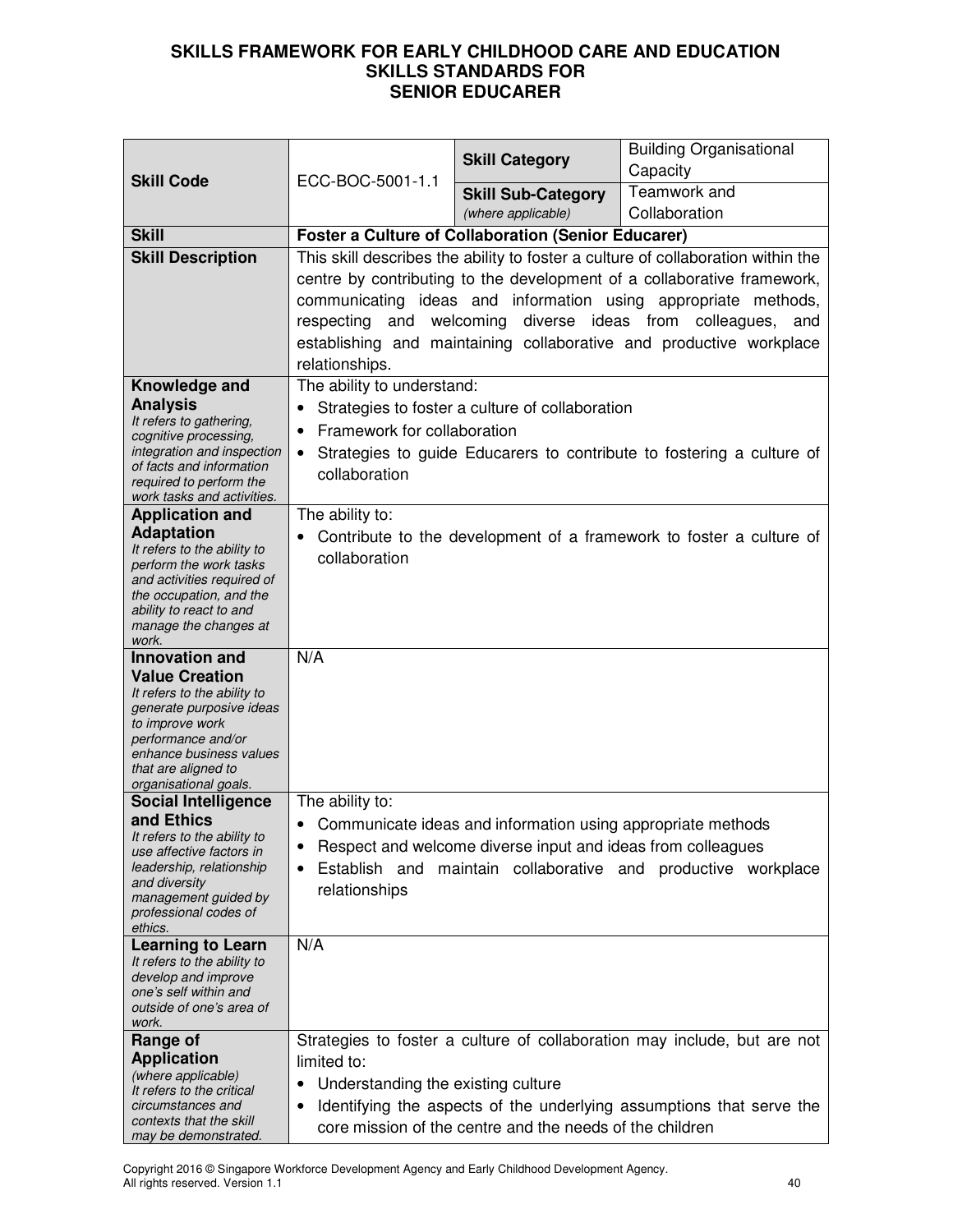| <b>Skill Code</b>                                       |                                                                         | <b>Skill Category</b>                                       | <b>Building Organisational</b><br>Capacity                                       |
|---------------------------------------------------------|-------------------------------------------------------------------------|-------------------------------------------------------------|----------------------------------------------------------------------------------|
|                                                         | ECC-BOC-5001-1.1                                                        | <b>Skill Sub-Category</b>                                   | Teamwork and                                                                     |
|                                                         |                                                                         | (where applicable)                                          | Collaboration                                                                    |
| <b>Skill</b>                                            | <b>Foster a Culture of Collaboration (Senior Educarer)</b>              |                                                             |                                                                                  |
| <b>Skill Description</b>                                |                                                                         |                                                             | This skill describes the ability to foster a culture of collaboration within the |
|                                                         | centre by contributing to the development of a collaborative framework, |                                                             |                                                                                  |
|                                                         |                                                                         |                                                             | communicating ideas and information using appropriate methods,                   |
|                                                         | welcoming diverse ideas from colleagues, and<br>respecting and          |                                                             |                                                                                  |
|                                                         | establishing and maintaining collaborative and productive workplace     |                                                             |                                                                                  |
| Knowledge and                                           | relationships.<br>The ability to understand:                            |                                                             |                                                                                  |
| <b>Analysis</b>                                         |                                                                         | Strategies to foster a culture of collaboration             |                                                                                  |
| It refers to gathering,                                 | Framework for collaboration<br>$\bullet$                                |                                                             |                                                                                  |
| cognitive processing,<br>integration and inspection     | $\bullet$                                                               |                                                             | Strategies to guide Educarers to contribute to fostering a culture of            |
| of facts and information                                | collaboration                                                           |                                                             |                                                                                  |
| required to perform the<br>work tasks and activities.   |                                                                         |                                                             |                                                                                  |
| <b>Application and</b>                                  | The ability to:                                                         |                                                             |                                                                                  |
| <b>Adaptation</b><br>It refers to the ability to        |                                                                         |                                                             | Contribute to the development of a framework to foster a culture of              |
| perform the work tasks                                  | collaboration                                                           |                                                             |                                                                                  |
| and activities required of<br>the occupation, and the   |                                                                         |                                                             |                                                                                  |
| ability to react to and                                 |                                                                         |                                                             |                                                                                  |
| manage the changes at<br>work.                          |                                                                         |                                                             |                                                                                  |
| <b>Innovation and</b>                                   | N/A                                                                     |                                                             |                                                                                  |
| <b>Value Creation</b>                                   |                                                                         |                                                             |                                                                                  |
| It refers to the ability to<br>generate purposive ideas |                                                                         |                                                             |                                                                                  |
| to improve work                                         |                                                                         |                                                             |                                                                                  |
| performance and/or<br>enhance business values           |                                                                         |                                                             |                                                                                  |
| that are aligned to<br>organisational goals.            |                                                                         |                                                             |                                                                                  |
| <b>Social Intelligence</b>                              | The ability to:                                                         |                                                             |                                                                                  |
| and Ethics                                              | $\bullet$                                                               | Communicate ideas and information using appropriate methods |                                                                                  |
| It refers to the ability to<br>use affective factors in | ٠                                                                       | Respect and welcome diverse input and ideas from colleagues |                                                                                  |
| leadership, relationship                                | $\bullet$                                                               |                                                             | Establish and maintain collaborative and productive workplace                    |
| and diversity<br>management guided by                   | relationships                                                           |                                                             |                                                                                  |
| professional codes of                                   |                                                                         |                                                             |                                                                                  |
| ethics.<br><b>Learning to Learn</b>                     | N/A                                                                     |                                                             |                                                                                  |
| It refers to the ability to                             |                                                                         |                                                             |                                                                                  |
| develop and improve<br>one's self within and            |                                                                         |                                                             |                                                                                  |
| outside of one's area of                                |                                                                         |                                                             |                                                                                  |
| work.<br>Range of                                       |                                                                         |                                                             | Strategies to foster a culture of collaboration may include, but are not         |
| <b>Application</b>                                      | limited to:                                                             |                                                             |                                                                                  |
| (where applicable)<br>It refers to the critical         | Understanding the existing culture<br>٠                                 |                                                             |                                                                                  |
| circumstances and                                       | ٠                                                                       |                                                             | Identifying the aspects of the underlying assumptions that serve the             |
| contexts that the skill<br>may be demonstrated.         |                                                                         | core mission of the centre and the needs of the children    |                                                                                  |

Copyright 2016 © Singapore Workforce Development Agency and Early Childhood Development Agency. All rights reserved. Version 1.1 40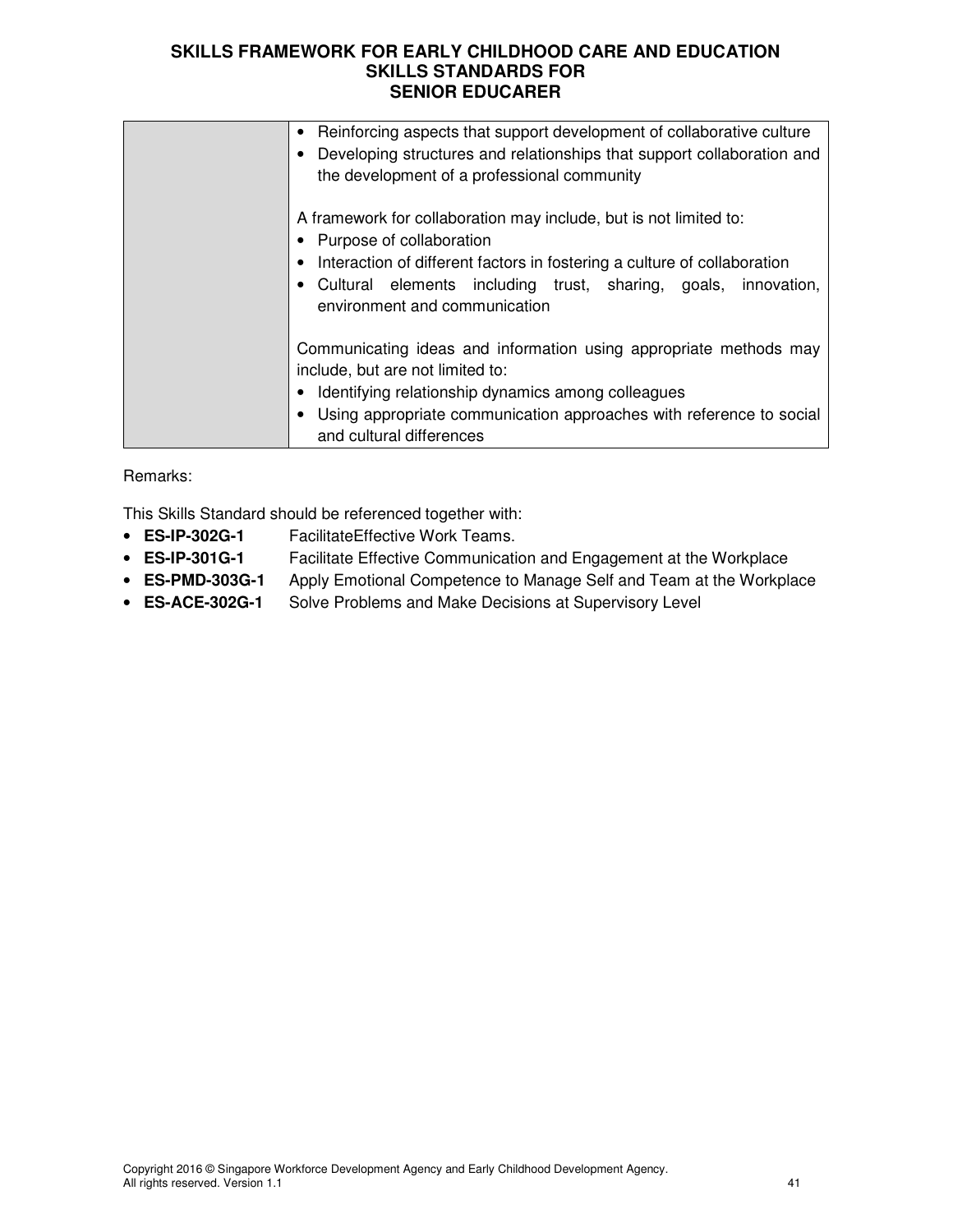| Reinforcing aspects that support development of collaborative culture<br>$\bullet$<br>Developing structures and relationships that support collaboration and<br>the development of a professional community                                                                    |
|--------------------------------------------------------------------------------------------------------------------------------------------------------------------------------------------------------------------------------------------------------------------------------|
| A framework for collaboration may include, but is not limited to:<br>Purpose of collaboration<br>Interaction of different factors in fostering a culture of collaboration<br>• Cultural elements including trust, sharing, goals, innovation,<br>environment and communication |
| Communicating ideas and information using appropriate methods may<br>include, but are not limited to:<br>Identifying relationship dynamics among colleagues<br>Using appropriate communication approaches with reference to social<br>and cultural differences                 |

Remarks:

This Skills Standard should be referenced together with:

- **ES-IP-302G-1** FacilitateEffective Work Teams.
- **ES-IP-301G-1** Facilitate Effective Communication and Engagement at the Workplace
- **ES-PMD-303G-1** Apply Emotional Competence to Manage Self and Team at the Workplace
- **ES-ACE-302G-1** Solve Problems and Make Decisions at Supervisory Level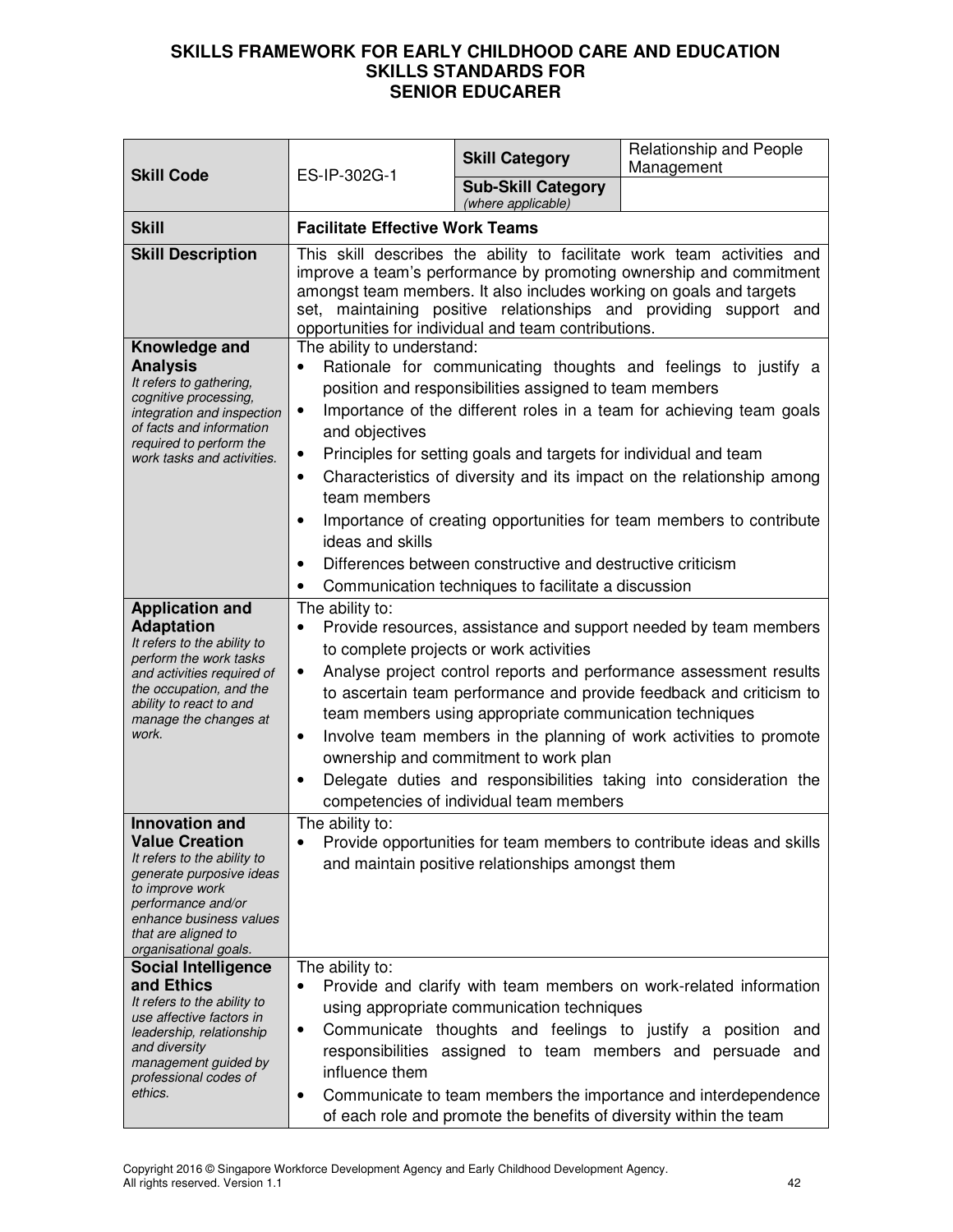| <b>Skill Code</b>                                                                                                                                                                                                             | ES-IP-302G-1                                                                                                                                                                                                                                                                                                                                                                                                                                                                                                                                                                                                                                                           | <b>Skill Category</b>                           | Relationship and People<br>Management |
|-------------------------------------------------------------------------------------------------------------------------------------------------------------------------------------------------------------------------------|------------------------------------------------------------------------------------------------------------------------------------------------------------------------------------------------------------------------------------------------------------------------------------------------------------------------------------------------------------------------------------------------------------------------------------------------------------------------------------------------------------------------------------------------------------------------------------------------------------------------------------------------------------------------|-------------------------------------------------|---------------------------------------|
|                                                                                                                                                                                                                               |                                                                                                                                                                                                                                                                                                                                                                                                                                                                                                                                                                                                                                                                        | <b>Sub-Skill Category</b><br>(where applicable) |                                       |
| <b>Skill</b>                                                                                                                                                                                                                  | <b>Facilitate Effective Work Teams</b>                                                                                                                                                                                                                                                                                                                                                                                                                                                                                                                                                                                                                                 |                                                 |                                       |
| <b>Skill Description</b>                                                                                                                                                                                                      | This skill describes the ability to facilitate work team activities and<br>improve a team's performance by promoting ownership and commitment<br>amongst team members. It also includes working on goals and targets<br>set, maintaining positive relationships and providing support and<br>opportunities for individual and team contributions.                                                                                                                                                                                                                                                                                                                      |                                                 |                                       |
| Knowledge and<br><b>Analysis</b><br>It refers to gathering,<br>cognitive processing,<br>integration and inspection<br>of facts and information<br>required to perform the<br>work tasks and activities.                       | The ability to understand:<br>Rationale for communicating thoughts and feelings to justify a<br>$\bullet$<br>position and responsibilities assigned to team members<br>Importance of the different roles in a team for achieving team goals<br>٠<br>and objectives<br>Principles for setting goals and targets for individual and team<br>٠<br>Characteristics of diversity and its impact on the relationship among<br>$\bullet$<br>team members<br>Importance of creating opportunities for team members to contribute<br>ideas and skills<br>Differences between constructive and destructive criticism<br>Communication techniques to facilitate a discussion<br>٠ |                                                 |                                       |
| <b>Application and</b><br><b>Adaptation</b><br>It refers to the ability to<br>perform the work tasks<br>and activities required of<br>the occupation, and the<br>ability to react to and<br>manage the changes at<br>work.    | The ability to:<br>Provide resources, assistance and support needed by team members<br>$\bullet$<br>to complete projects or work activities<br>Analyse project control reports and performance assessment results<br>$\bullet$<br>to ascertain team performance and provide feedback and criticism to<br>team members using appropriate communication techniques<br>Involve team members in the planning of work activities to promote<br>٠<br>ownership and commitment to work plan<br>Delegate duties and responsibilities taking into consideration the<br>competencies of individual team members                                                                  |                                                 |                                       |
| <b>Innovation and</b><br><b>Value Creation</b><br>It refers to the ability to<br>generate purposive ideas<br>to improve work<br>performance and/or<br>enhance business values<br>that are aligned to<br>organisational goals. | The ability to:<br>Provide opportunities for team members to contribute ideas and skills<br>$\bullet$<br>and maintain positive relationships amongst them                                                                                                                                                                                                                                                                                                                                                                                                                                                                                                              |                                                 |                                       |
| <b>Social Intelligence</b><br>and Ethics<br>It refers to the ability to<br>use affective factors in<br>leadership, relationship<br>and diversity<br>management guided by<br>professional codes of<br>ethics.                  | The ability to:<br>Provide and clarify with team members on work-related information<br>using appropriate communication techniques<br>Communicate thoughts and feelings to justify a position<br>and<br>٠<br>assigned to team members and persuade and<br>responsibilities<br>influence them<br>Communicate to team members the importance and interdependence<br>٠<br>of each role and promote the benefits of diversity within the team                                                                                                                                                                                                                              |                                                 |                                       |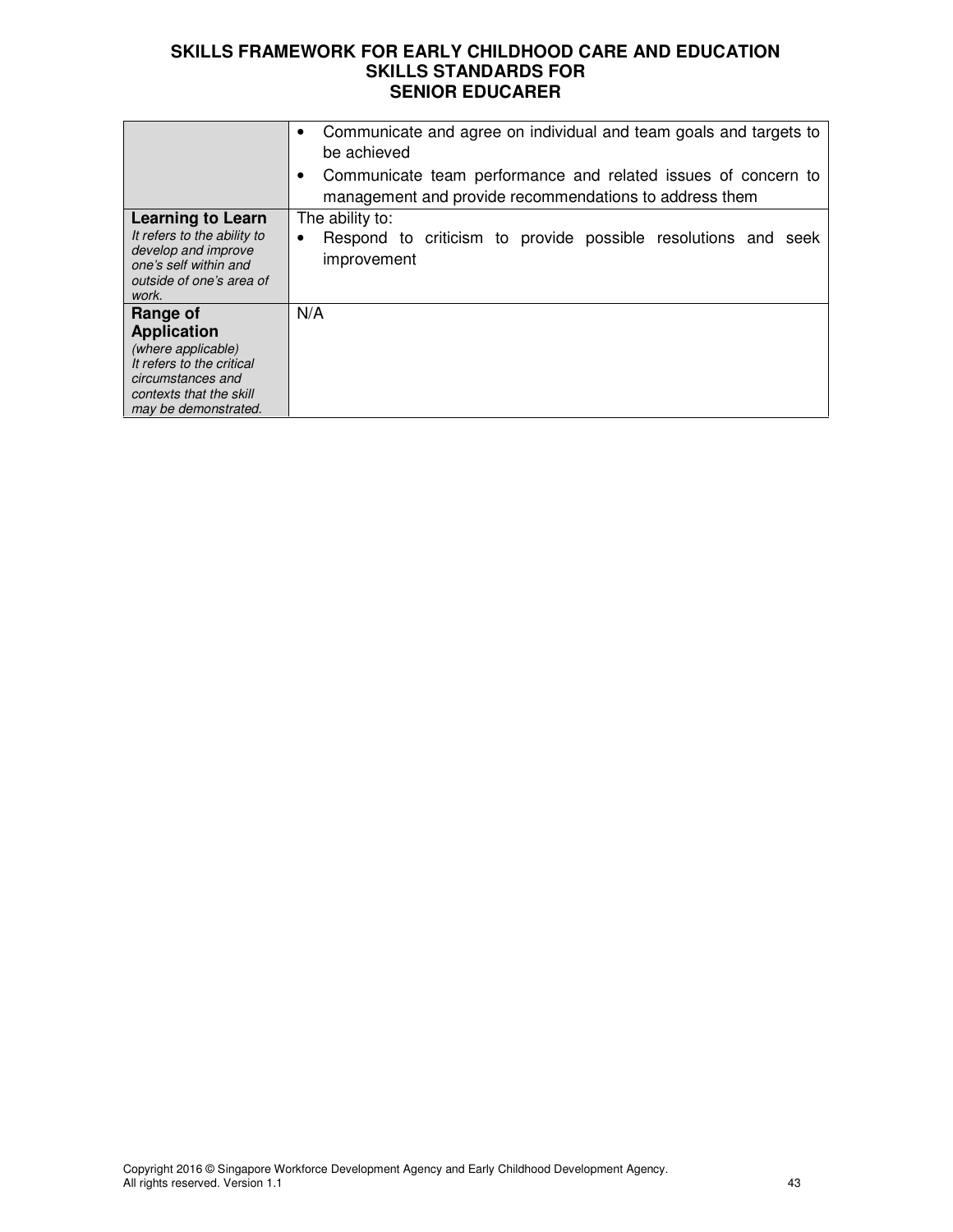|                                                                                                                                                           | Communicate and agree on individual and team goals and targets to<br>be achieved<br>Communicate team performance and related issues of concern to<br>management and provide recommendations to address them |
|-----------------------------------------------------------------------------------------------------------------------------------------------------------|-------------------------------------------------------------------------------------------------------------------------------------------------------------------------------------------------------------|
| <b>Learning to Learn</b><br>It refers to the ability to<br>develop and improve<br>one's self within and<br>outside of one's area of<br>work.              | The ability to:<br>Respond to criticism to provide possible resolutions and seek<br>improvement                                                                                                             |
| Range of<br><b>Application</b><br>(where applicable)<br>It refers to the critical<br>circumstances and<br>contexts that the skill<br>may be demonstrated. | N/A                                                                                                                                                                                                         |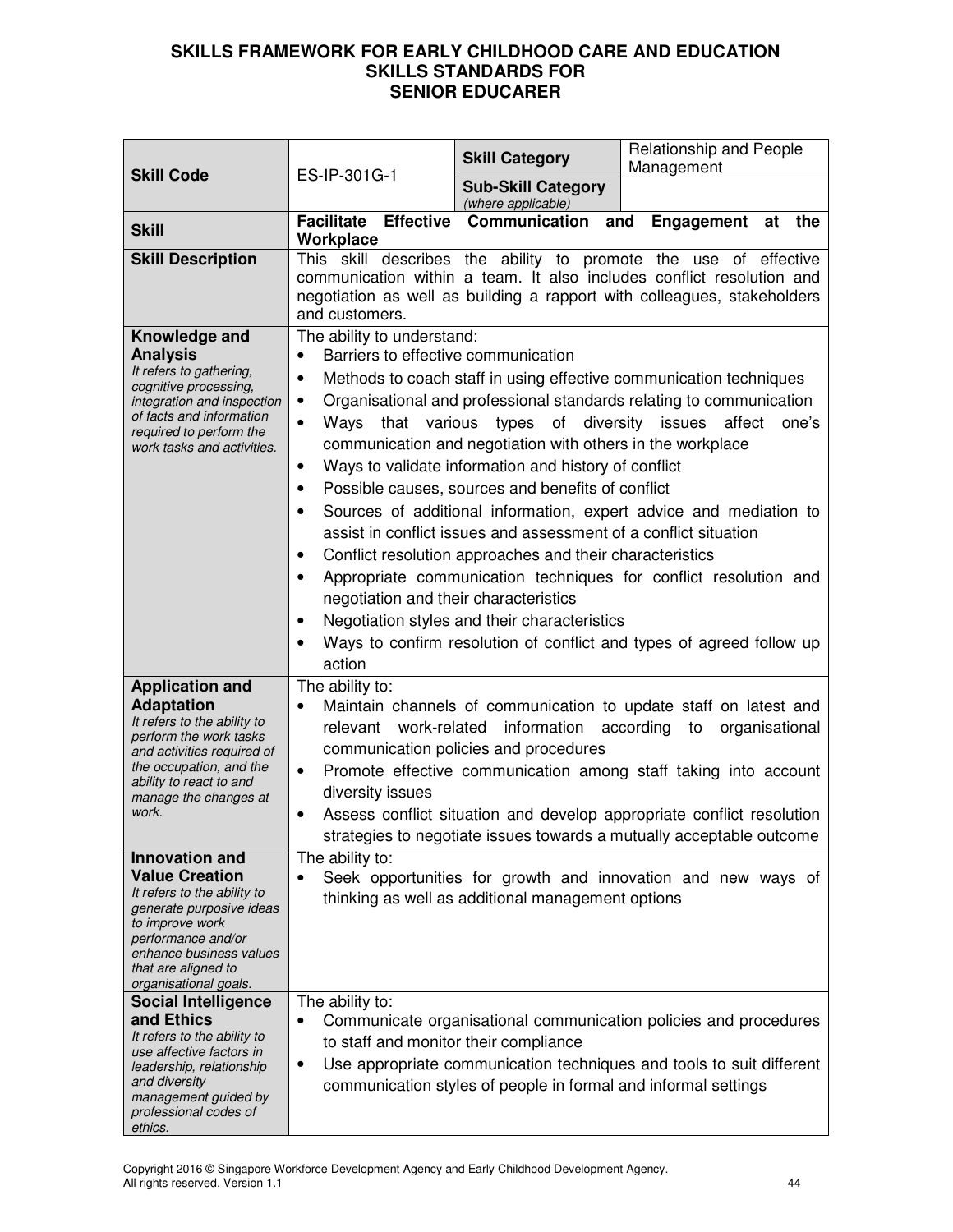| <b>Skill Code</b>                                                                                                                                                                                                          | ES-IP-301G-1                                                                                                                                                                                                                 | <b>Skill Category</b>                                                                                                                                                                                                                                                                                                                                                                             | Relationship and People<br>Management                                                                                                                                                                                                                                                                                                                                         |
|----------------------------------------------------------------------------------------------------------------------------------------------------------------------------------------------------------------------------|------------------------------------------------------------------------------------------------------------------------------------------------------------------------------------------------------------------------------|---------------------------------------------------------------------------------------------------------------------------------------------------------------------------------------------------------------------------------------------------------------------------------------------------------------------------------------------------------------------------------------------------|-------------------------------------------------------------------------------------------------------------------------------------------------------------------------------------------------------------------------------------------------------------------------------------------------------------------------------------------------------------------------------|
|                                                                                                                                                                                                                            |                                                                                                                                                                                                                              | <b>Sub-Skill Category</b><br>(where applicable)                                                                                                                                                                                                                                                                                                                                                   |                                                                                                                                                                                                                                                                                                                                                                               |
| <b>Skill</b>                                                                                                                                                                                                               | <b>Facilitate Effective</b><br>Workplace                                                                                                                                                                                     | Communication                                                                                                                                                                                                                                                                                                                                                                                     | and<br>Engagement<br>at<br>the                                                                                                                                                                                                                                                                                                                                                |
| <b>Skill Description</b>                                                                                                                                                                                                   | and customers.                                                                                                                                                                                                               |                                                                                                                                                                                                                                                                                                                                                                                                   | This skill describes the ability to promote the use of effective<br>communication within a team. It also includes conflict resolution and<br>negotiation as well as building a rapport with colleagues, stakeholders                                                                                                                                                          |
| Knowledge and<br><b>Analysis</b><br>It refers to gathering,<br>cognitive processing,<br>integration and inspection<br>of facts and information<br>required to perform the<br>work tasks and activities.                    | The ability to understand:<br>Barriers to effective communication<br>$\bullet$<br>$\bullet$<br>٠<br>Ways<br>$\bullet$<br>$\bullet$<br>$\bullet$<br>$\bullet$<br>$\bullet$<br>negotiation and their characteristics<br>action | that various types of diversity issues<br>communication and negotiation with others in the workplace<br>Ways to validate information and history of conflict<br>Possible causes, sources and benefits of conflict<br>assist in conflict issues and assessment of a conflict situation<br>Conflict resolution approaches and their characteristics<br>Negotiation styles and their characteristics | Methods to coach staff in using effective communication techniques<br>Organisational and professional standards relating to communication<br>affect<br>one's<br>Sources of additional information, expert advice and mediation to<br>Appropriate communication techniques for conflict resolution and<br>Ways to confirm resolution of conflict and types of agreed follow up |
| <b>Application and</b><br><b>Adaptation</b><br>It refers to the ability to<br>perform the work tasks<br>and activities required of<br>the occupation, and the<br>ability to react to and<br>manage the changes at<br>work. | The ability to:<br>$\bullet$<br>diversity issues<br>$\bullet$                                                                                                                                                                | relevant work-related information<br>communication policies and procedures                                                                                                                                                                                                                                                                                                                        | Maintain channels of communication to update staff on latest and<br>according to<br>organisational<br>Promote effective communication among staff taking into account<br>Assess conflict situation and develop appropriate conflict resolution<br>strategies to negotiate issues towards a mutually acceptable outcome                                                        |
| Innovation and<br><b>Value Creation</b><br>It refers to the ability to<br>generate purposive ideas<br>to improve work<br>performance and/or<br>enhance business values<br>that are aligned to<br>organisational goals.     | The ability to:                                                                                                                                                                                                              | thinking as well as additional management options                                                                                                                                                                                                                                                                                                                                                 | Seek opportunities for growth and innovation and new ways of                                                                                                                                                                                                                                                                                                                  |
| <b>Social Intelligence</b><br>and Ethics<br>It refers to the ability to<br>use affective factors in<br>leadership, relationship<br>and diversity<br>management guided by<br>professional codes of<br>ethics.               | The ability to:<br>to staff and monitor their compliance<br>٠                                                                                                                                                                | communication styles of people in formal and informal settings                                                                                                                                                                                                                                                                                                                                    | Communicate organisational communication policies and procedures<br>Use appropriate communication techniques and tools to suit different                                                                                                                                                                                                                                      |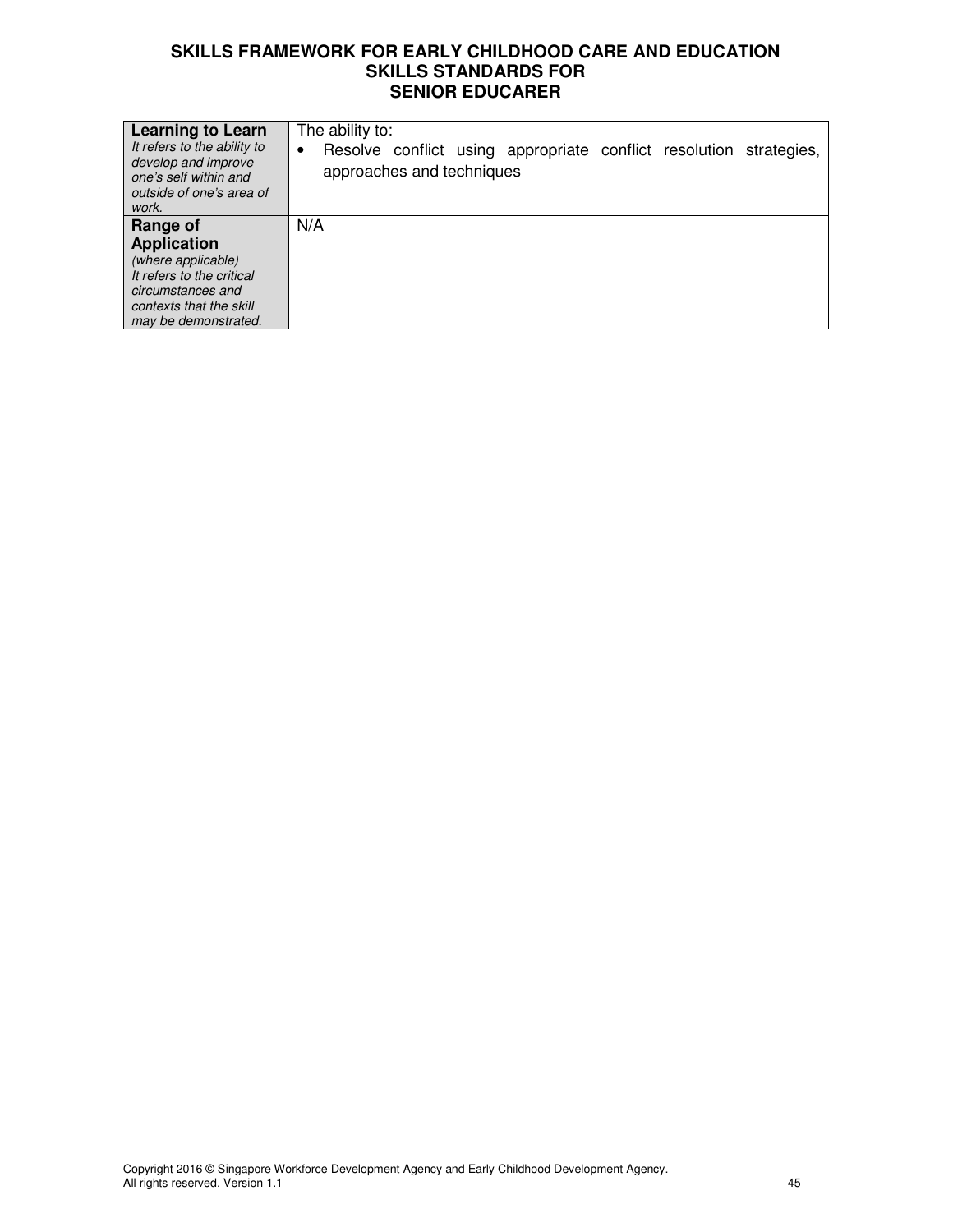| <b>Learning to Learn</b><br>It refers to the ability to<br>develop and improve<br>one's self within and<br>outside of one's area of<br>work.              | The ability to:<br>Resolve conflict using appropriate conflict resolution strategies,<br>$\bullet$<br>approaches and techniques |
|-----------------------------------------------------------------------------------------------------------------------------------------------------------|---------------------------------------------------------------------------------------------------------------------------------|
| Range of<br><b>Application</b><br>(where applicable)<br>It refers to the critical<br>circumstances and<br>contexts that the skill<br>may be demonstrated. | N/A                                                                                                                             |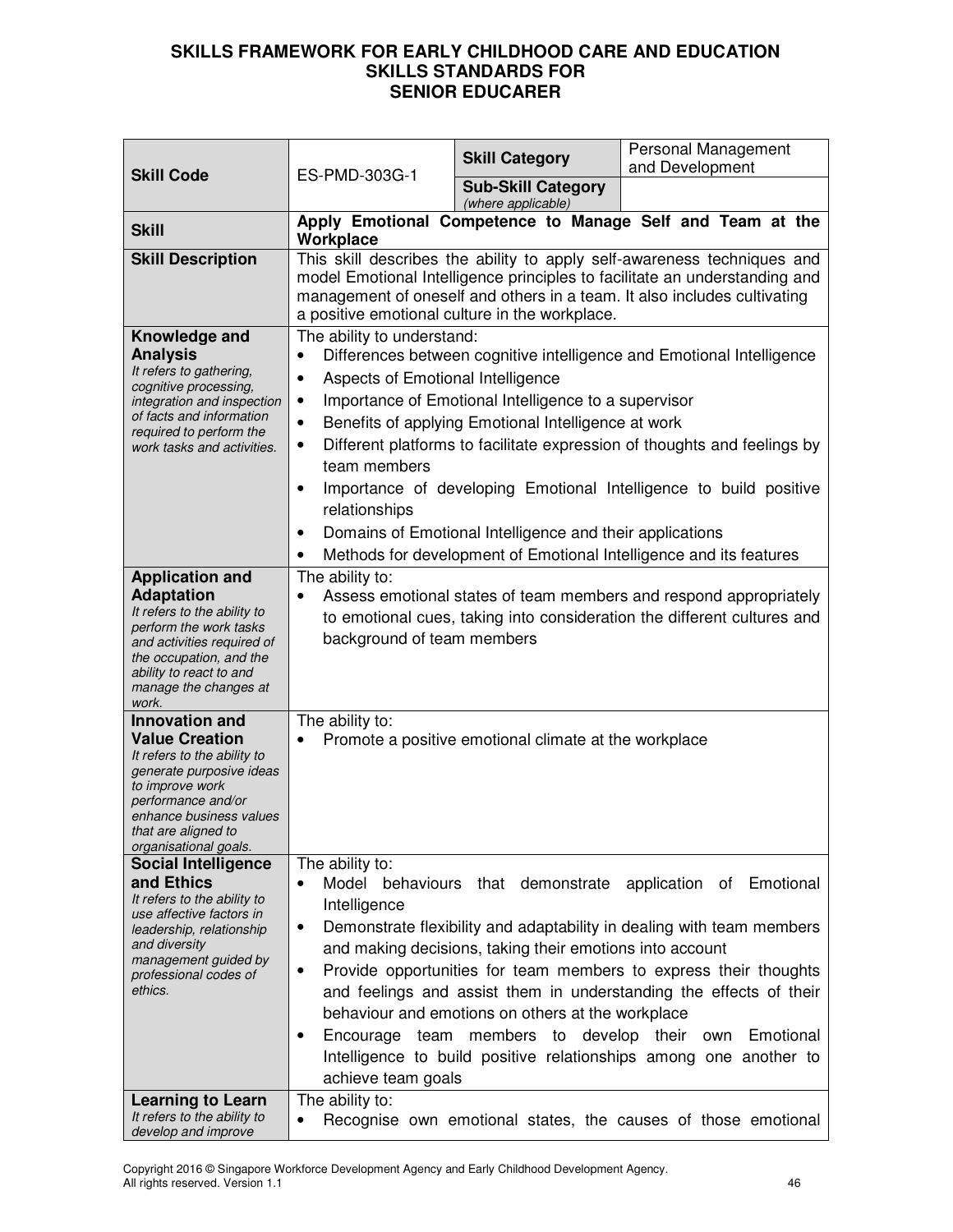|                                                                                                                                                                                                                                          | ES-PMD-303G-1                                                                                                                                                                                                                                                                                                                                                                                                                                                                                                                                                                                                                         | <b>Skill Category</b>                                                                                                                                                   | Personal Management<br>and Development                                                                                                                                                                                                                                                       |
|------------------------------------------------------------------------------------------------------------------------------------------------------------------------------------------------------------------------------------------|---------------------------------------------------------------------------------------------------------------------------------------------------------------------------------------------------------------------------------------------------------------------------------------------------------------------------------------------------------------------------------------------------------------------------------------------------------------------------------------------------------------------------------------------------------------------------------------------------------------------------------------|-------------------------------------------------------------------------------------------------------------------------------------------------------------------------|----------------------------------------------------------------------------------------------------------------------------------------------------------------------------------------------------------------------------------------------------------------------------------------------|
| <b>Skill Code</b>                                                                                                                                                                                                                        |                                                                                                                                                                                                                                                                                                                                                                                                                                                                                                                                                                                                                                       | <b>Sub-Skill Category</b><br>(where applicable)                                                                                                                         |                                                                                                                                                                                                                                                                                              |
| <b>Skill</b>                                                                                                                                                                                                                             | Apply Emotional Competence to Manage Self and Team at the<br>Workplace                                                                                                                                                                                                                                                                                                                                                                                                                                                                                                                                                                |                                                                                                                                                                         |                                                                                                                                                                                                                                                                                              |
| <b>Skill Description</b>                                                                                                                                                                                                                 | This skill describes the ability to apply self-awareness techniques and<br>model Emotional Intelligence principles to facilitate an understanding and<br>management of oneself and others in a team. It also includes cultivating<br>a positive emotional culture in the workplace.                                                                                                                                                                                                                                                                                                                                                   |                                                                                                                                                                         |                                                                                                                                                                                                                                                                                              |
| Knowledge and<br><b>Analysis</b><br>It refers to gathering,<br>cognitive processing,<br>integration and inspection<br>of facts and information<br>required to perform the<br>work tasks and activities.                                  | The ability to understand:<br>Aspects of Emotional Intelligence<br>٠<br>$\bullet$<br>٠<br>team members<br>$\bullet$<br>relationships<br>$\bullet$                                                                                                                                                                                                                                                                                                                                                                                                                                                                                     | Importance of Emotional Intelligence to a supervisor<br>Benefits of applying Emotional Intelligence at work<br>Domains of Emotional Intelligence and their applications | Differences between cognitive intelligence and Emotional Intelligence<br>Different platforms to facilitate expression of thoughts and feelings by<br>Importance of developing Emotional Intelligence to build positive<br>Methods for development of Emotional Intelligence and its features |
| <b>Application and</b><br><b>Adaptation</b><br>It refers to the ability to<br>perform the work tasks<br>and activities required of<br>the occupation, and the<br>ability to react to and<br>manage the changes at<br>work.               | The ability to:<br>Assess emotional states of team members and respond appropriately<br>to emotional cues, taking into consideration the different cultures and<br>background of team members                                                                                                                                                                                                                                                                                                                                                                                                                                         |                                                                                                                                                                         |                                                                                                                                                                                                                                                                                              |
| <b>Innovation and</b><br><b>Value Creation</b><br>It refers to the ability to<br>generate purposive ideas<br>to improve work<br>performance and/or<br>enhance business values<br>that are aligned to<br>organisational goals.            | The ability to:<br>Promote a positive emotional climate at the workplace<br>$\bullet$                                                                                                                                                                                                                                                                                                                                                                                                                                                                                                                                                 |                                                                                                                                                                         |                                                                                                                                                                                                                                                                                              |
| <b>Social Intelligence</b><br>and Ethics<br>It refers to the ability to<br>use affective factors in<br>leadership, relationship<br>and diversity<br>management guided by<br>professional codes of<br>ethics.<br><b>Learning to Learn</b> | The ability to:<br>Model behaviours that demonstrate application of Emotional<br>Intelligence<br>Demonstrate flexibility and adaptability in dealing with team members<br>$\bullet$<br>and making decisions, taking their emotions into account<br>Provide opportunities for team members to express their thoughts<br>٠<br>and feelings and assist them in understanding the effects of their<br>behaviour and emotions on others at the workplace<br>Emotional<br>Encourage team members to develop their<br>own<br>٠<br>Intelligence to build positive relationships among one another to<br>achieve team goals<br>The ability to: |                                                                                                                                                                         |                                                                                                                                                                                                                                                                                              |
| It refers to the ability to<br>develop and improve                                                                                                                                                                                       | $\bullet$                                                                                                                                                                                                                                                                                                                                                                                                                                                                                                                                                                                                                             |                                                                                                                                                                         | Recognise own emotional states, the causes of those emotional                                                                                                                                                                                                                                |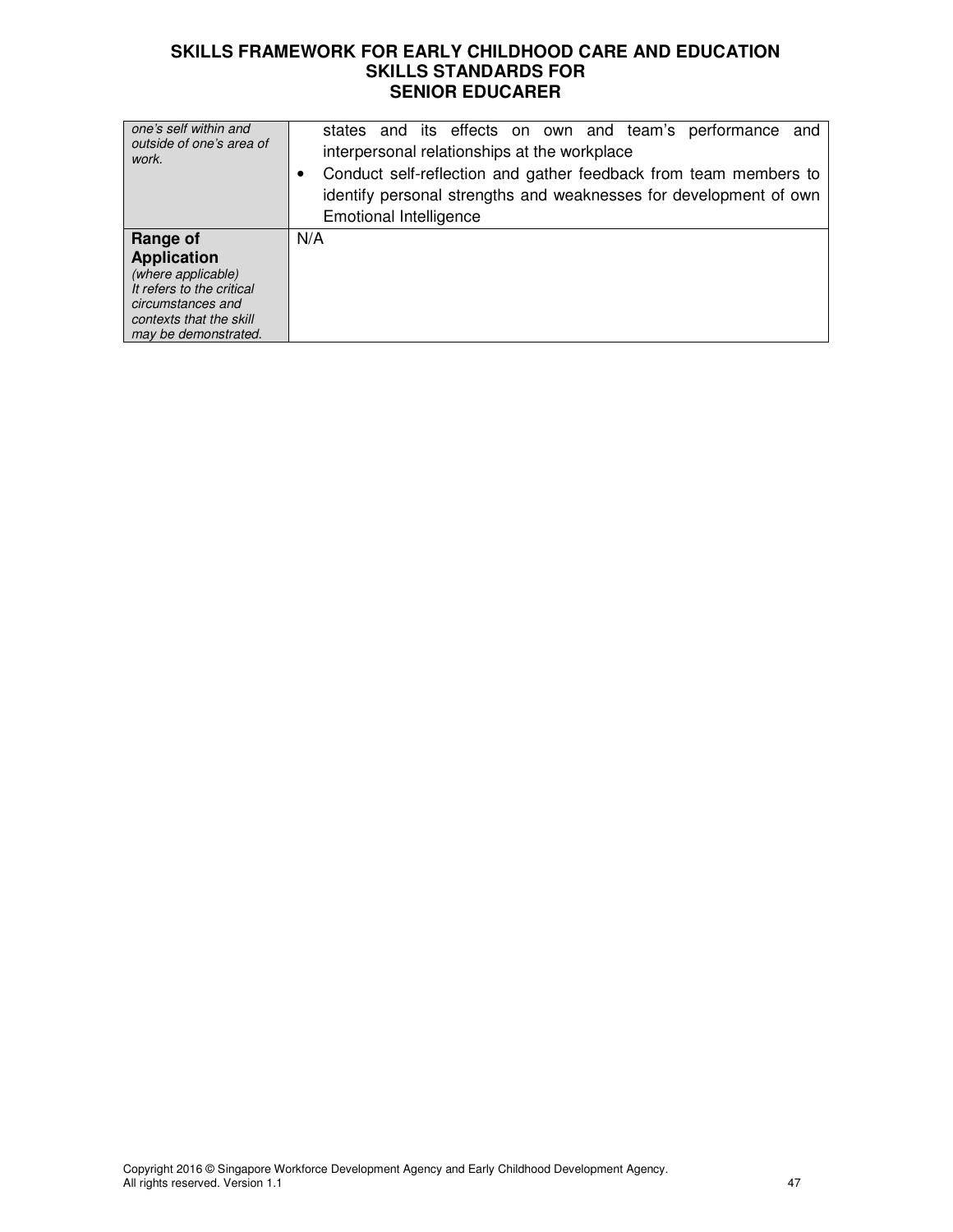| one's self within and<br>outside of one's area of<br>work.                                                                                                | states and its effects on own and team's performance and<br>interpersonal relationships at the workplace<br>Conduct self-reflection and gather feedback from team members to<br>identify personal strengths and weaknesses for development of own<br><b>Emotional Intelligence</b> |
|-----------------------------------------------------------------------------------------------------------------------------------------------------------|------------------------------------------------------------------------------------------------------------------------------------------------------------------------------------------------------------------------------------------------------------------------------------|
| Range of<br><b>Application</b><br>(where applicable)<br>It refers to the critical<br>circumstances and<br>contexts that the skill<br>may be demonstrated. | N/A                                                                                                                                                                                                                                                                                |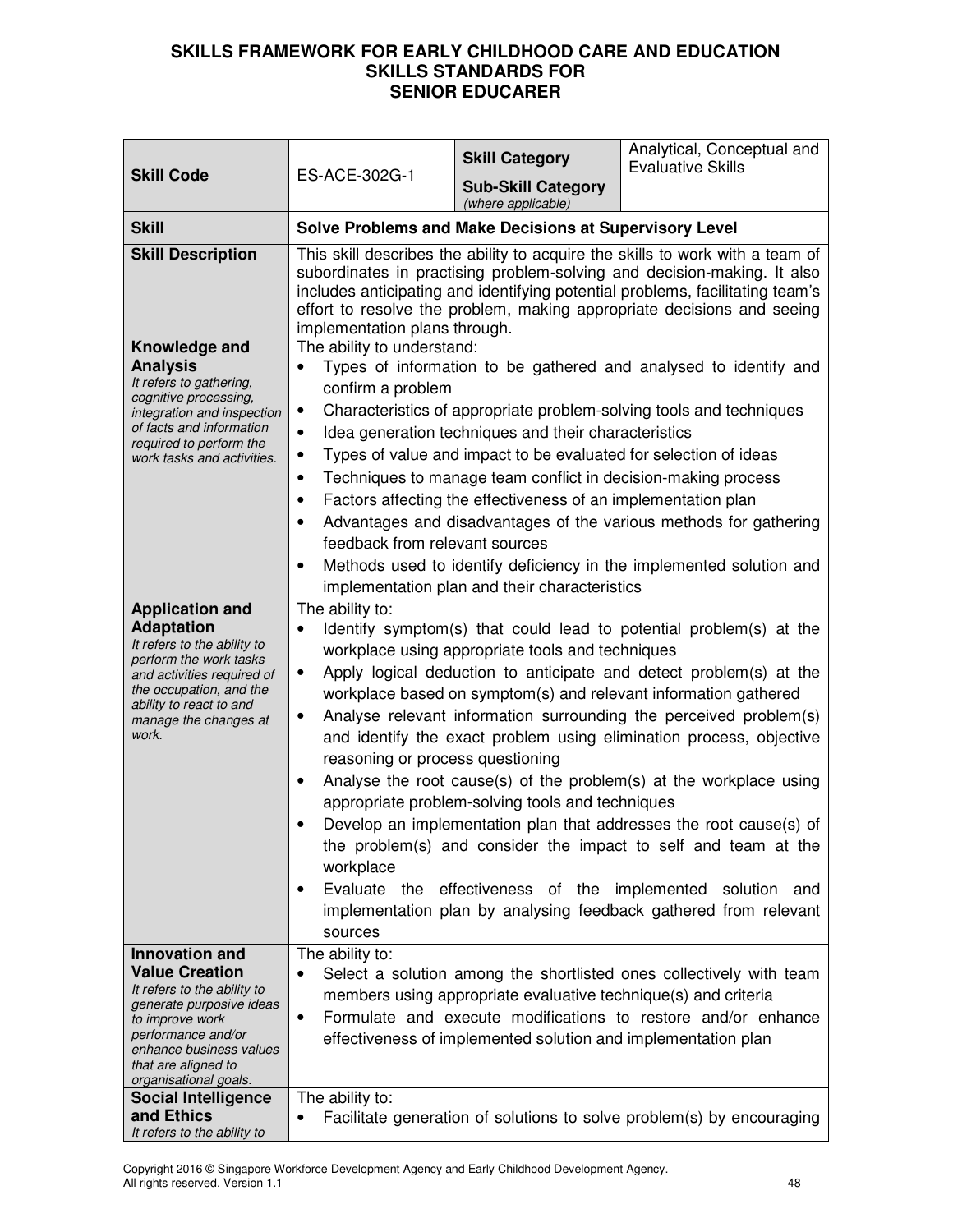| <b>Skill Code</b>                                                                                                                                                                                                             | ES-ACE-302G-1                                                                                                                                                                                                                                                                                                                                                                                                                                                                                                                                                                                                                                                                                                                                                                                                                                                                                                            | <b>Skill Category</b>                           | Analytical, Conceptual and<br><b>Evaluative Skills</b>                |
|-------------------------------------------------------------------------------------------------------------------------------------------------------------------------------------------------------------------------------|--------------------------------------------------------------------------------------------------------------------------------------------------------------------------------------------------------------------------------------------------------------------------------------------------------------------------------------------------------------------------------------------------------------------------------------------------------------------------------------------------------------------------------------------------------------------------------------------------------------------------------------------------------------------------------------------------------------------------------------------------------------------------------------------------------------------------------------------------------------------------------------------------------------------------|-------------------------------------------------|-----------------------------------------------------------------------|
|                                                                                                                                                                                                                               |                                                                                                                                                                                                                                                                                                                                                                                                                                                                                                                                                                                                                                                                                                                                                                                                                                                                                                                          | <b>Sub-Skill Category</b><br>(where applicable) |                                                                       |
| <b>Skill</b>                                                                                                                                                                                                                  | Solve Problems and Make Decisions at Supervisory Level                                                                                                                                                                                                                                                                                                                                                                                                                                                                                                                                                                                                                                                                                                                                                                                                                                                                   |                                                 |                                                                       |
| <b>Skill Description</b>                                                                                                                                                                                                      | This skill describes the ability to acquire the skills to work with a team of<br>subordinates in practising problem-solving and decision-making. It also<br>includes anticipating and identifying potential problems, facilitating team's<br>effort to resolve the problem, making appropriate decisions and seeing<br>implementation plans through.                                                                                                                                                                                                                                                                                                                                                                                                                                                                                                                                                                     |                                                 |                                                                       |
| Knowledge and<br><b>Analysis</b><br>It refers to gathering,<br>cognitive processing,<br>integration and inspection<br>of facts and information<br>required to perform the<br>work tasks and activities.                       | The ability to understand:<br>Types of information to be gathered and analysed to identify and<br>confirm a problem<br>Characteristics of appropriate problem-solving tools and techniques<br>٠<br>Idea generation techniques and their characteristics<br>$\bullet$<br>Types of value and impact to be evaluated for selection of ideas<br>$\bullet$<br>Techniques to manage team conflict in decision-making process<br>$\bullet$<br>Factors affecting the effectiveness of an implementation plan<br>Advantages and disadvantages of the various methods for gathering<br>feedback from relevant sources<br>Methods used to identify deficiency in the implemented solution and<br>٠<br>implementation plan and their characteristics                                                                                                                                                                                 |                                                 |                                                                       |
| <b>Application and</b><br><b>Adaptation</b><br>It refers to the ability to<br>perform the work tasks<br>and activities required of<br>the occupation, and the<br>ability to react to and<br>manage the changes at<br>work.    | The ability to:<br>Identify symptom(s) that could lead to potential problem(s) at the<br>workplace using appropriate tools and techniques<br>Apply logical deduction to anticipate and detect problem(s) at the<br>٠<br>workplace based on symptom(s) and relevant information gathered<br>Analyse relevant information surrounding the perceived problem(s)<br>٠<br>and identify the exact problem using elimination process, objective<br>reasoning or process questioning<br>Analyse the root cause(s) of the problem(s) at the workplace using<br>appropriate problem-solving tools and techniques<br>Develop an implementation plan that addresses the root cause(s) of<br>the problem(s) and consider the impact to self and team at the<br>workplace<br>Evaluate the effectiveness of the implemented<br>solution and<br>$\bullet$<br>implementation plan by analysing feedback gathered from relevant<br>sources |                                                 |                                                                       |
| <b>Innovation and</b><br><b>Value Creation</b><br>It refers to the ability to<br>generate purposive ideas<br>to improve work<br>performance and/or<br>enhance business values<br>that are aligned to<br>organisational goals. | The ability to:<br>Select a solution among the shortlisted ones collectively with team<br>members using appropriate evaluative technique(s) and criteria<br>Formulate and execute modifications to restore and/or enhance<br>$\bullet$<br>effectiveness of implemented solution and implementation plan                                                                                                                                                                                                                                                                                                                                                                                                                                                                                                                                                                                                                  |                                                 |                                                                       |
| <b>Social Intelligence</b><br>and Ethics<br>It refers to the ability to                                                                                                                                                       | The ability to:<br>٠                                                                                                                                                                                                                                                                                                                                                                                                                                                                                                                                                                                                                                                                                                                                                                                                                                                                                                     |                                                 | Facilitate generation of solutions to solve problem(s) by encouraging |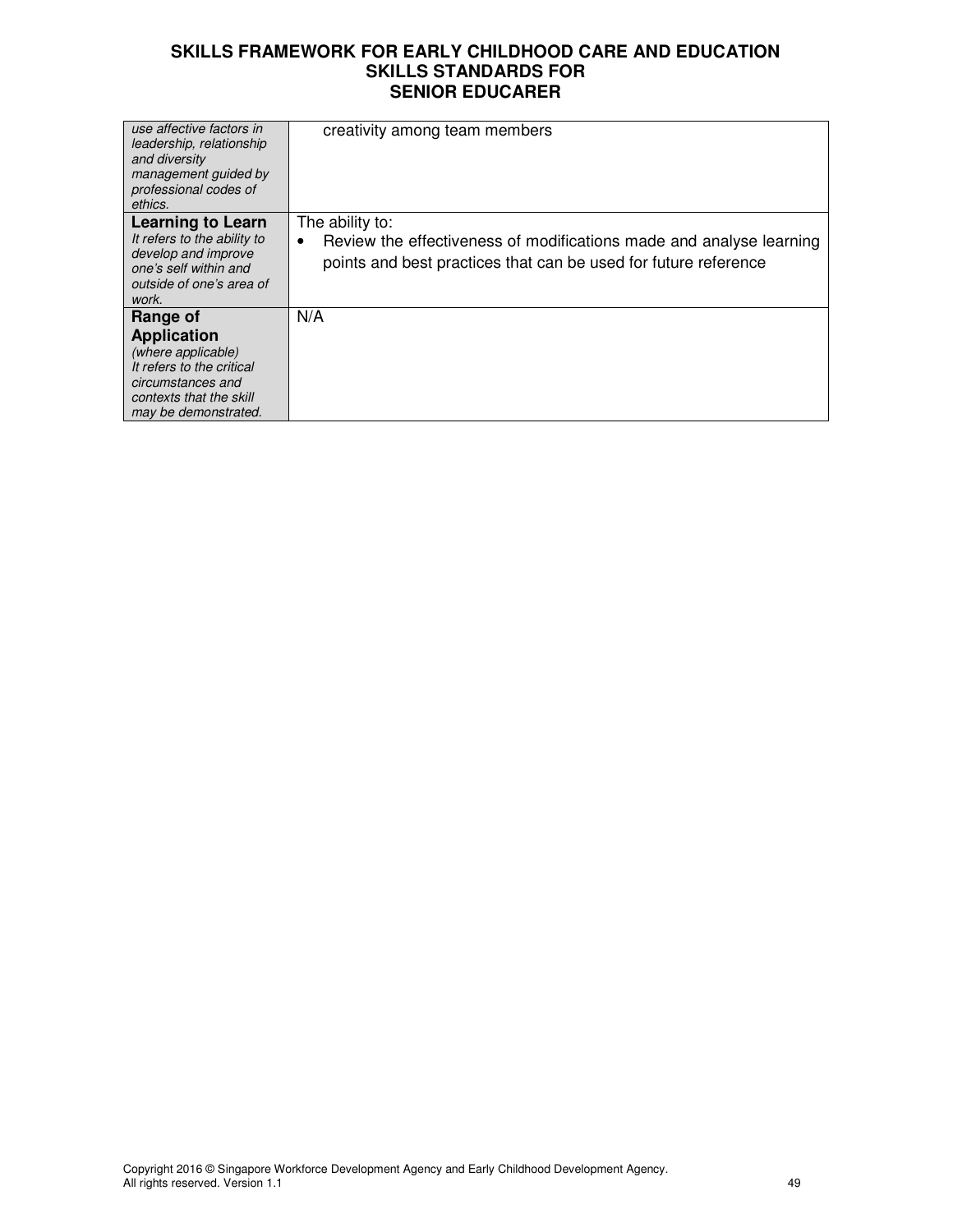| use affective factors in<br>leadership, relationship<br>and diversity<br>management quided by<br>professional codes of<br>ethics.                         | creativity among team members                                                                                                                                  |
|-----------------------------------------------------------------------------------------------------------------------------------------------------------|----------------------------------------------------------------------------------------------------------------------------------------------------------------|
| <b>Learning to Learn</b><br>It refers to the ability to<br>develop and improve<br>one's self within and<br>outside of one's area of<br>work.              | The ability to:<br>Review the effectiveness of modifications made and analyse learning<br>٠<br>points and best practices that can be used for future reference |
| Range of<br><b>Application</b><br>(where applicable)<br>It refers to the critical<br>circumstances and<br>contexts that the skill<br>may be demonstrated. | N/A                                                                                                                                                            |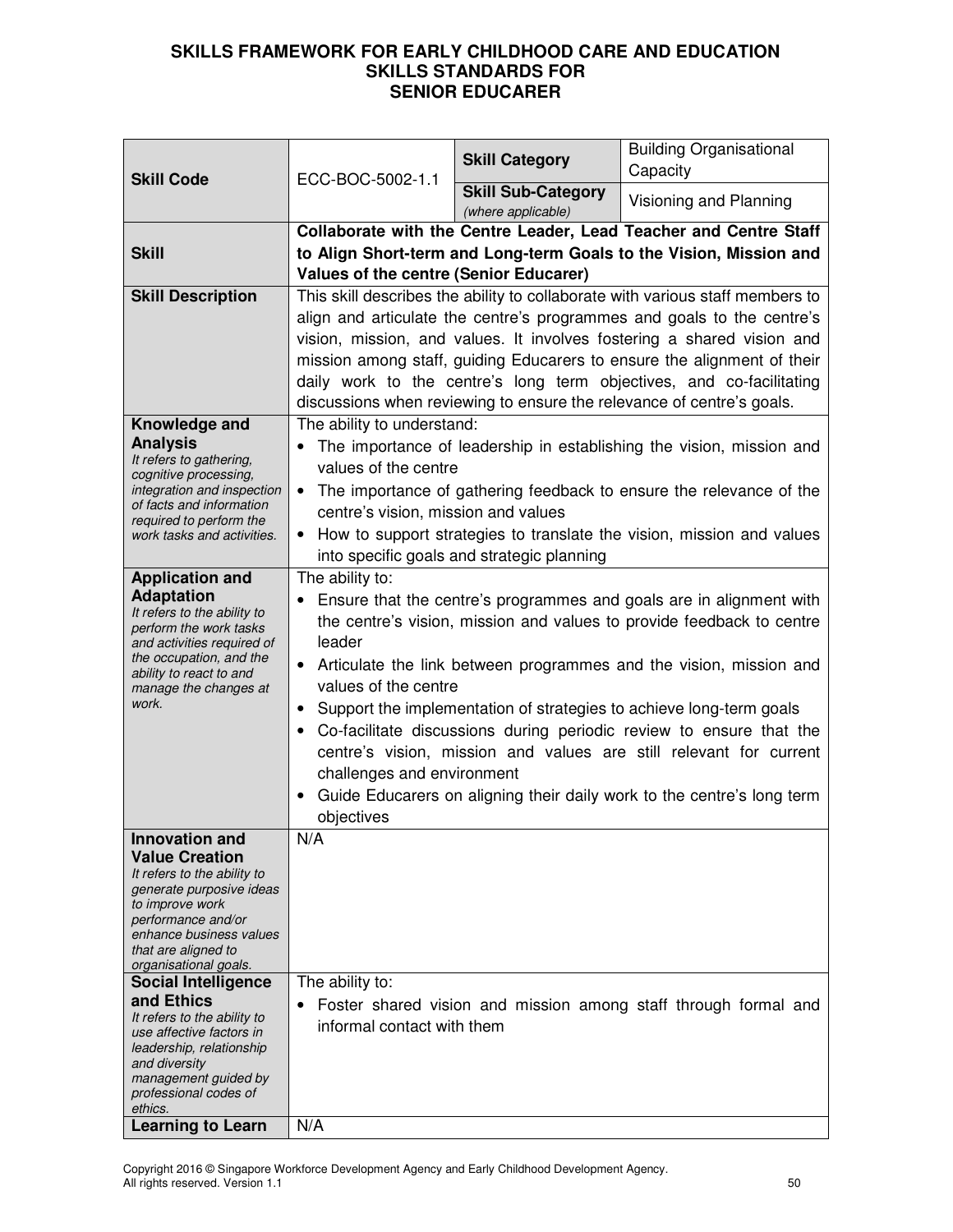| <b>Skill Code</b>                                                                                                                                                                                                                                                                                                                                                                                                                      | ECC-BOC-5002-1.1                                                                                                                                                                                                                                                                                                                                                                                                                                                                                                                                                                                                                            | <b>Skill Category</b>                           | <b>Building Organisational</b><br>Capacity                      |
|----------------------------------------------------------------------------------------------------------------------------------------------------------------------------------------------------------------------------------------------------------------------------------------------------------------------------------------------------------------------------------------------------------------------------------------|---------------------------------------------------------------------------------------------------------------------------------------------------------------------------------------------------------------------------------------------------------------------------------------------------------------------------------------------------------------------------------------------------------------------------------------------------------------------------------------------------------------------------------------------------------------------------------------------------------------------------------------------|-------------------------------------------------|-----------------------------------------------------------------|
|                                                                                                                                                                                                                                                                                                                                                                                                                                        |                                                                                                                                                                                                                                                                                                                                                                                                                                                                                                                                                                                                                                             | <b>Skill Sub-Category</b><br>(where applicable) | Visioning and Planning                                          |
| <b>Skill</b>                                                                                                                                                                                                                                                                                                                                                                                                                           | Collaborate with the Centre Leader, Lead Teacher and Centre Staff<br>to Align Short-term and Long-term Goals to the Vision, Mission and<br>Values of the centre (Senior Educarer)                                                                                                                                                                                                                                                                                                                                                                                                                                                           |                                                 |                                                                 |
| <b>Skill Description</b>                                                                                                                                                                                                                                                                                                                                                                                                               | This skill describes the ability to collaborate with various staff members to<br>align and articulate the centre's programmes and goals to the centre's<br>vision, mission, and values. It involves fostering a shared vision and<br>mission among staff, guiding Educarers to ensure the alignment of their<br>daily work to the centre's long term objectives, and co-facilitating<br>discussions when reviewing to ensure the relevance of centre's goals.                                                                                                                                                                               |                                                 |                                                                 |
| Knowledge and<br><b>Analysis</b><br>It refers to gathering,<br>cognitive processing,<br>integration and inspection<br>of facts and information<br>required to perform the<br>work tasks and activities.                                                                                                                                                                                                                                | The ability to understand:<br>The importance of leadership in establishing the vision, mission and<br>values of the centre<br>The importance of gathering feedback to ensure the relevance of the<br>centre's vision, mission and values<br>How to support strategies to translate the vision, mission and values<br>into specific goals and strategic planning                                                                                                                                                                                                                                                                             |                                                 |                                                                 |
| <b>Application and</b><br><b>Adaptation</b><br>It refers to the ability to<br>perform the work tasks<br>and activities required of<br>the occupation, and the<br>ability to react to and<br>manage the changes at<br>work.                                                                                                                                                                                                             | The ability to:<br>Ensure that the centre's programmes and goals are in alignment with<br>the centre's vision, mission and values to provide feedback to centre<br>leader<br>Articulate the link between programmes and the vision, mission and<br>$\bullet$<br>values of the centre<br>Support the implementation of strategies to achieve long-term goals<br>$\bullet$<br>Co-facilitate discussions during periodic review to ensure that the<br>centre's vision, mission and values are still relevant for current<br>challenges and environment<br>Guide Educarers on aligning their daily work to the centre's long term<br>objectives |                                                 |                                                                 |
| Innovation and<br><b>Value Creation</b><br>It refers to the ability to<br>generate purposive ideas<br>to improve work<br>performance and/or<br>enhance business values<br>that are aligned to<br>organisational goals.<br><b>Social Intelligence</b><br>and Ethics<br>It refers to the ability to<br>use affective factors in<br>leadership, relationship<br>and diversity<br>management guided by<br>professional codes of<br>ethics. | N/A<br>The ability to:<br>informal contact with them                                                                                                                                                                                                                                                                                                                                                                                                                                                                                                                                                                                        |                                                 | Foster shared vision and mission among staff through formal and |
| <b>Learning to Learn</b>                                                                                                                                                                                                                                                                                                                                                                                                               | N/A                                                                                                                                                                                                                                                                                                                                                                                                                                                                                                                                                                                                                                         |                                                 |                                                                 |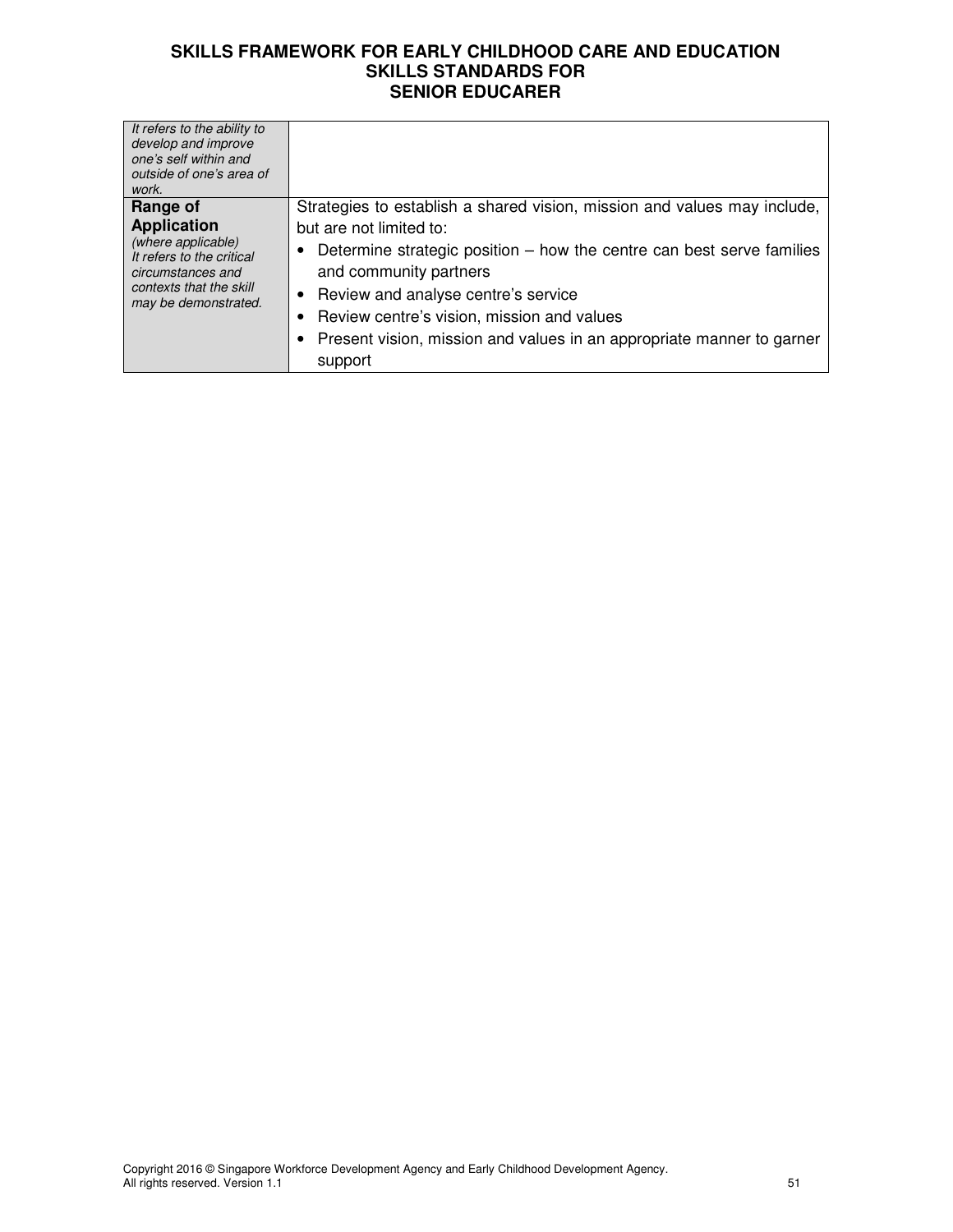| It refers to the ability to<br>develop and improve<br>one's self within and<br>outside of one's area of<br>work.                                          |                                                                                                                                                                                                                                                                                                                                                                                        |
|-----------------------------------------------------------------------------------------------------------------------------------------------------------|----------------------------------------------------------------------------------------------------------------------------------------------------------------------------------------------------------------------------------------------------------------------------------------------------------------------------------------------------------------------------------------|
| Range of<br><b>Application</b><br>(where applicable)<br>It refers to the critical<br>circumstances and<br>contexts that the skill<br>may be demonstrated. | Strategies to establish a shared vision, mission and values may include,<br>but are not limited to:<br>Determine strategic position $-$ how the centre can best serve families<br>and community partners<br>Review and analyse centre's service<br>٠<br>Review centre's vision, mission and values<br>Present vision, mission and values in an appropriate manner to garner<br>support |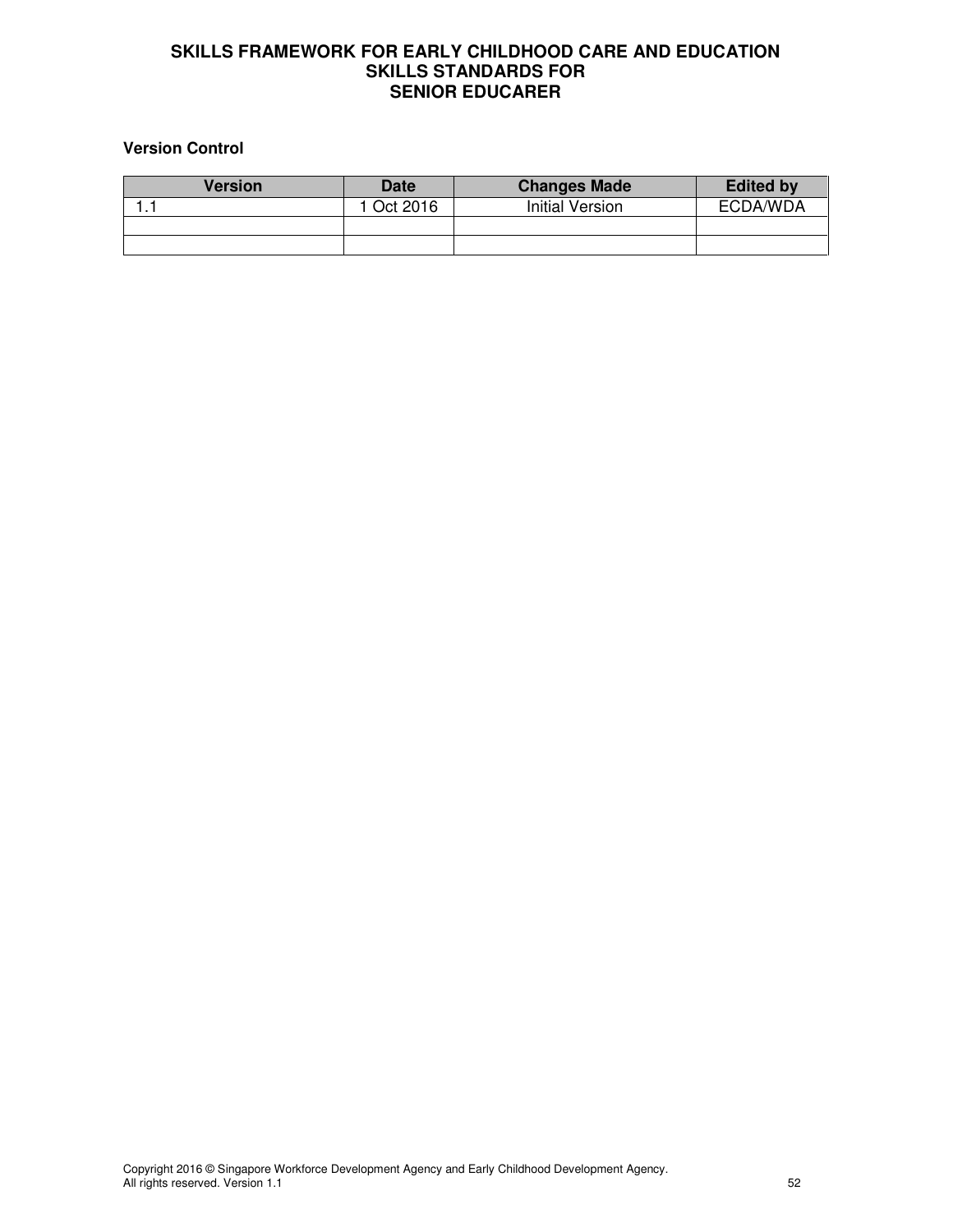# **Version Control**

| <b>Version</b> | <b>Date</b> | <b>Changes Made</b> | <b>Edited by</b> |
|----------------|-------------|---------------------|------------------|
|                | 1 Oct 2016  | Initial Version     | ECDA/WDA         |
|                |             |                     |                  |
|                |             |                     |                  |